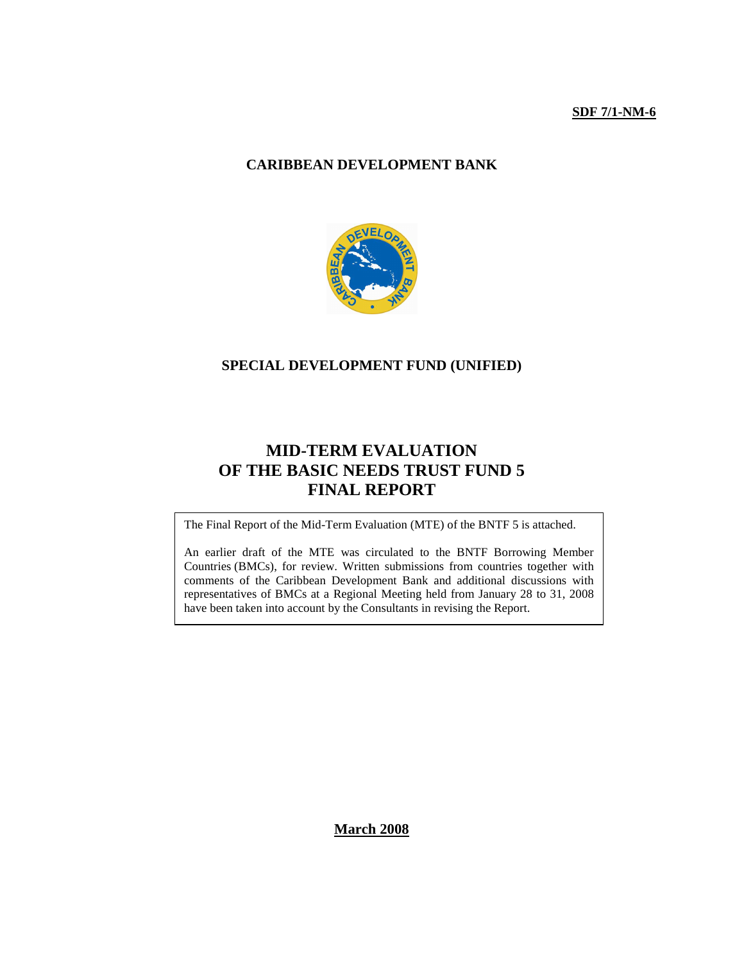#### **SDF 7/1-NM-6**

#### **CARIBBEAN DEVELOPMENT BANK**



#### **SPECIAL DEVELOPMENT FUND (UNIFIED)**

### **MID-TERM EVALUATION OF THE BASIC NEEDS TRUST FUND 5 FINAL REPORT**

The Final Report of the Mid-Term Evaluation (MTE) of the BNTF 5 is attached.

An earlier draft of the MTE was circulated to the BNTF Borrowing Member Countries (BMCs), for review. Written submissions from countries together with comments of the Caribbean Development Bank and additional discussions with representatives of BMCs at a Regional Meeting held from January 28 to 31, 2008 have been taken into account by the Consultants in revising the Report.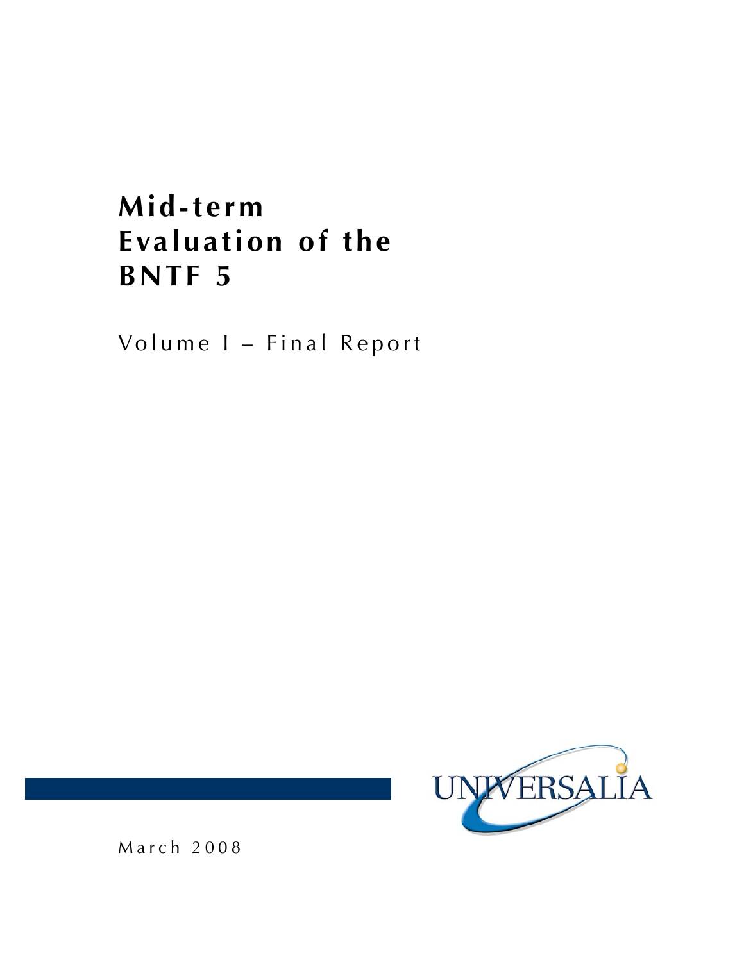# **Mid-term Evaluation of the BNTF 5**

Volume I – Final Report

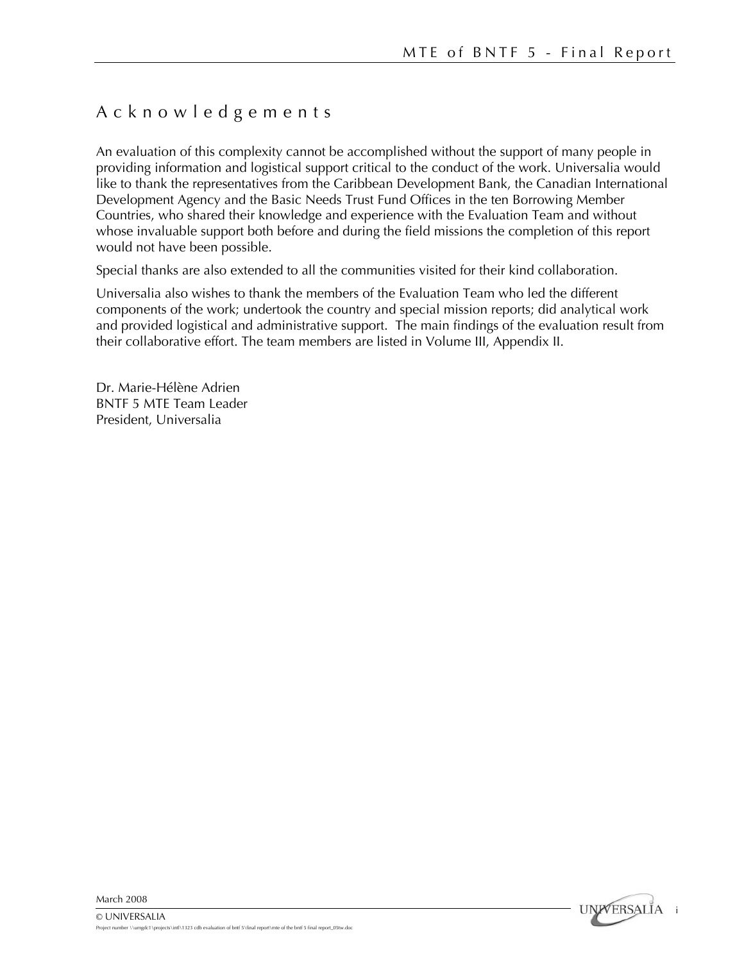### Acknowledgements

An evaluation of this complexity cannot be accomplished without the support of many people in providing information and logistical support critical to the conduct of the work. Universalia would like to thank the representatives from the Caribbean Development Bank, the Canadian International Development Agency and the Basic Needs Trust Fund Offices in the ten Borrowing Member Countries, who shared their knowledge and experience with the Evaluation Team and without whose invaluable support both before and during the field missions the completion of this report would not have been possible.

Special thanks are also extended to all the communities visited for their kind collaboration.

Universalia also wishes to thank the members of the Evaluation Team who led the different components of the work; undertook the country and special mission reports; did analytical work and provided logistical and administrative support. The main findings of the evaluation result from their collaborative effort. The team members are listed in Volume III, Appendix II.

Dr. Marie-Hélène Adrien BNTF 5 MTE Team Leader President, Universalia

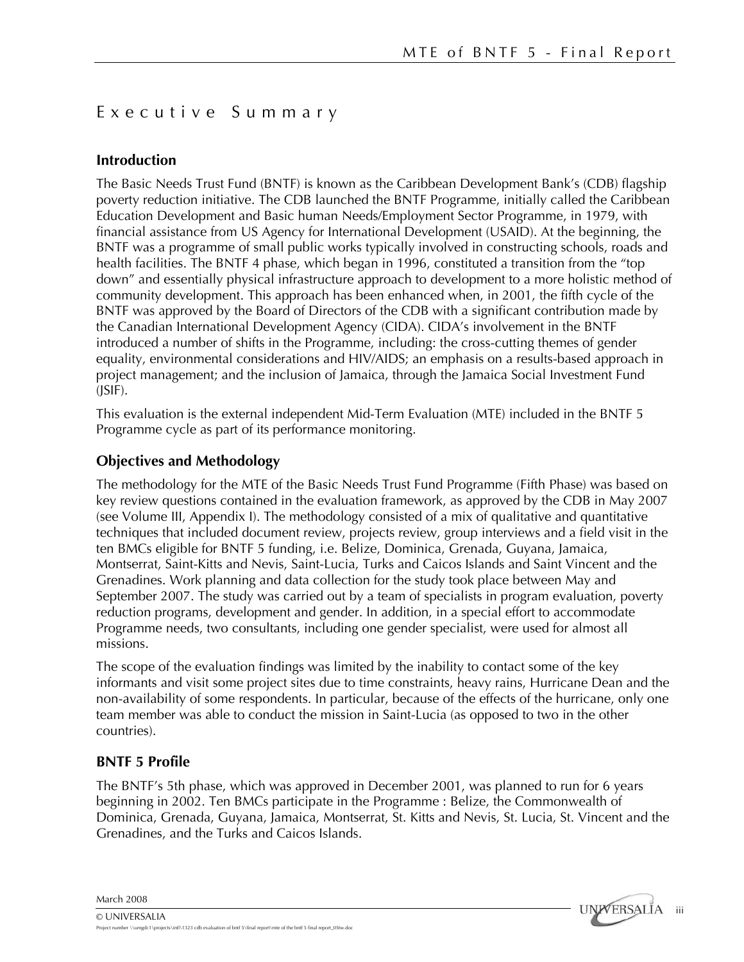### Executive Summary

### **Introduction**

The Basic Needs Trust Fund (BNTF) is known as the Caribbean Development Bank's (CDB) flagship poverty reduction initiative. The CDB launched the BNTF Programme, initially called the Caribbean Education Development and Basic human Needs/Employment Sector Programme, in 1979, with financial assistance from US Agency for International Development (USAID). At the beginning, the BNTF was a programme of small public works typically involved in constructing schools, roads and health facilities. The BNTF 4 phase, which began in 1996, constituted a transition from the "top down" and essentially physical infrastructure approach to development to a more holistic method of community development. This approach has been enhanced when, in 2001, the fifth cycle of the BNTF was approved by the Board of Directors of the CDB with a significant contribution made by the Canadian International Development Agency (CIDA). CIDA's involvement in the BNTF introduced a number of shifts in the Programme, including: the cross-cutting themes of gender equality, environmental considerations and HIV/AIDS; an emphasis on a results-based approach in project management; and the inclusion of Jamaica, through the Jamaica Social Investment Fund (JSIF).

This evaluation is the external independent Mid-Term Evaluation (MTE) included in the BNTF 5 Programme cycle as part of its performance monitoring.

### **Objectives and Methodology**

The methodology for the MTE of the Basic Needs Trust Fund Programme (Fifth Phase) was based on key review questions contained in the evaluation framework, as approved by the CDB in May 2007 (see Volume III, Appendix I). The methodology consisted of a mix of qualitative and quantitative techniques that included document review, projects review, group interviews and a field visit in the ten BMCs eligible for BNTF 5 funding, i.e. Belize, Dominica, Grenada, Guyana, Jamaica, Montserrat, Saint-Kitts and Nevis, Saint-Lucia, Turks and Caicos Islands and Saint Vincent and the Grenadines. Work planning and data collection for the study took place between May and September 2007. The study was carried out by a team of specialists in program evaluation, poverty reduction programs, development and gender. In addition, in a special effort to accommodate Programme needs, two consultants, including one gender specialist, were used for almost all missions.

The scope of the evaluation findings was limited by the inability to contact some of the key informants and visit some project sites due to time constraints, heavy rains, Hurricane Dean and the non-availability of some respondents. In particular, because of the effects of the hurricane, only one team member was able to conduct the mission in Saint-Lucia (as opposed to two in the other countries).

### **BNTF 5 Profile**

The BNTF's 5th phase, which was approved in December 2001, was planned to run for 6 years beginning in 2002. Ten BMCs participate in the Programme : Belize, the Commonwealth of Dominica, Grenada, Guyana, Jamaica, Montserrat, St. Kitts and Nevis, St. Lucia, St. Vincent and the Grenadines, and the Turks and Caicos Islands.

March 2008

© UNIVERSALIA

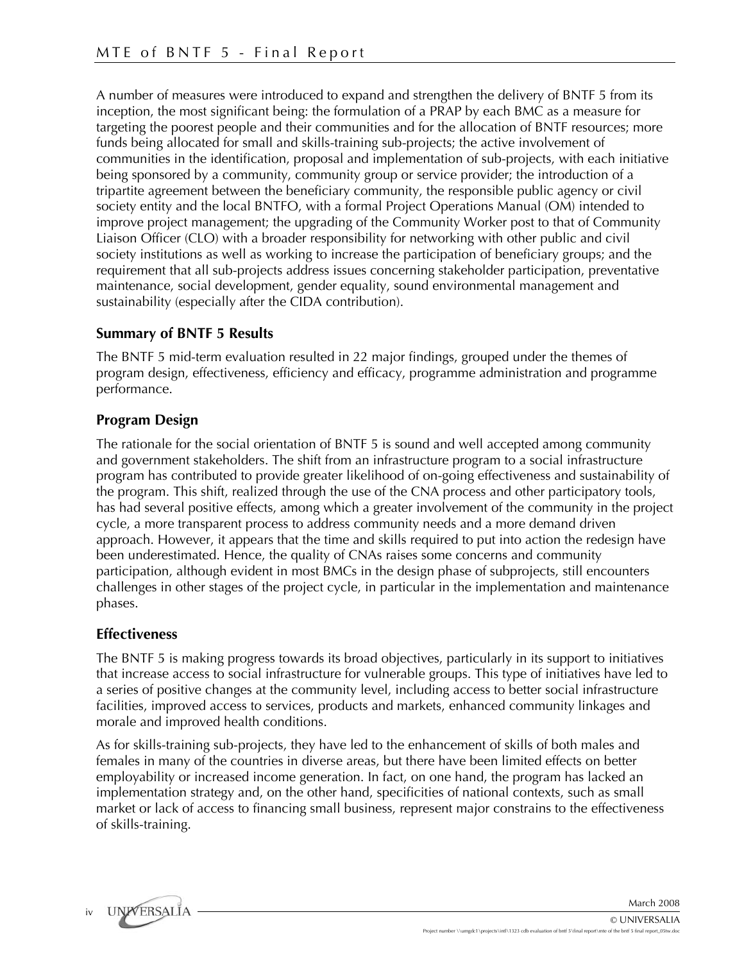A number of measures were introduced to expand and strengthen the delivery of BNTF 5 from its inception, the most significant being: the formulation of a PRAP by each BMC as a measure for targeting the poorest people and their communities and for the allocation of BNTF resources; more funds being allocated for small and skills-training sub-projects; the active involvement of communities in the identification, proposal and implementation of sub-projects, with each initiative being sponsored by a community, community group or service provider; the introduction of a tripartite agreement between the beneficiary community, the responsible public agency or civil society entity and the local BNTFO, with a formal Project Operations Manual (OM) intended to improve project management; the upgrading of the Community Worker post to that of Community Liaison Officer (CLO) with a broader responsibility for networking with other public and civil society institutions as well as working to increase the participation of beneficiary groups; and the requirement that all sub-projects address issues concerning stakeholder participation, preventative maintenance, social development, gender equality, sound environmental management and sustainability (especially after the CIDA contribution).

### **Summary of BNTF 5 Results**

The BNTF 5 mid-term evaluation resulted in 22 major findings, grouped under the themes of program design, effectiveness, efficiency and efficacy, programme administration and programme performance.

### **Program Design**

The rationale for the social orientation of BNTF 5 is sound and well accepted among community and government stakeholders. The shift from an infrastructure program to a social infrastructure program has contributed to provide greater likelihood of on-going effectiveness and sustainability of the program. This shift, realized through the use of the CNA process and other participatory tools, has had several positive effects, among which a greater involvement of the community in the project cycle, a more transparent process to address community needs and a more demand driven approach. However, it appears that the time and skills required to put into action the redesign have been underestimated. Hence, the quality of CNAs raises some concerns and community participation, although evident in most BMCs in the design phase of subprojects, still encounters challenges in other stages of the project cycle, in particular in the implementation and maintenance phases.

### **Effectiveness**

The BNTF 5 is making progress towards its broad objectives, particularly in its support to initiatives that increase access to social infrastructure for vulnerable groups. This type of initiatives have led to a series of positive changes at the community level, including access to better social infrastructure facilities, improved access to services, products and markets, enhanced community linkages and morale and improved health conditions.

As for skills-training sub-projects, they have led to the enhancement of skills of both males and females in many of the countries in diverse areas, but there have been limited effects on better employability or increased income generation. In fact, on one hand, the program has lacked an implementation strategy and, on the other hand, specificities of national contexts, such as small market or lack of access to financing small business, represent major constrains to the effectiveness of skills-training.

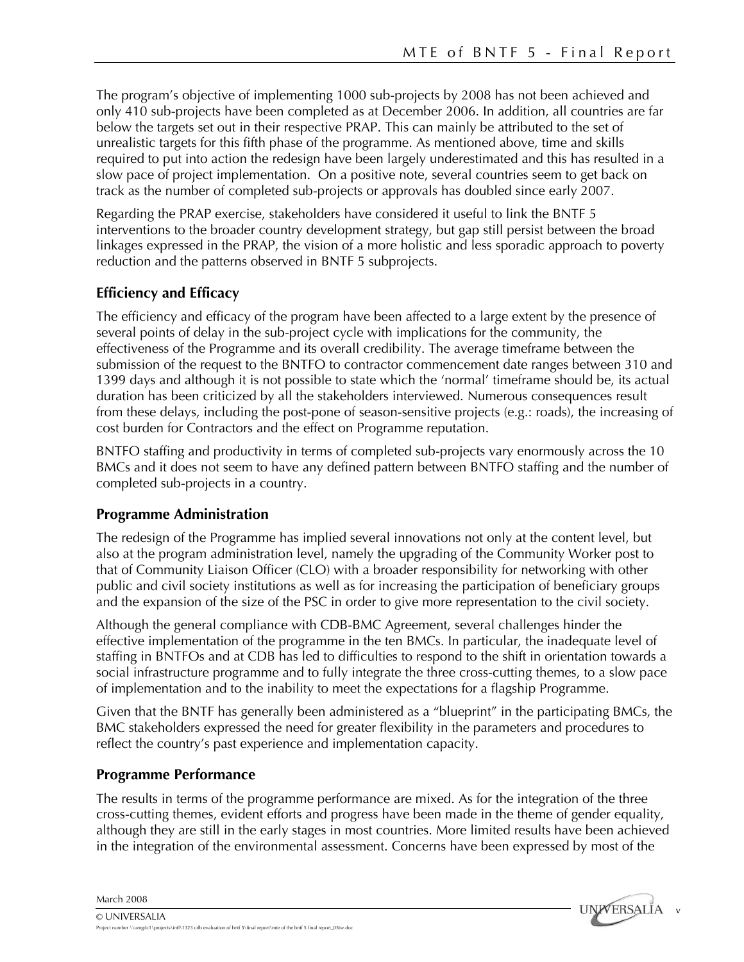v

**UNIVERSALIA** 

The program's objective of implementing 1000 sub-projects by 2008 has not been achieved and only 410 sub-projects have been completed as at December 2006. In addition, all countries are far below the targets set out in their respective PRAP. This can mainly be attributed to the set of unrealistic targets for this fifth phase of the programme. As mentioned above, time and skills required to put into action the redesign have been largely underestimated and this has resulted in a slow pace of project implementation. On a positive note, several countries seem to get back on track as the number of completed sub-projects or approvals has doubled since early 2007.

Regarding the PRAP exercise, stakeholders have considered it useful to link the BNTF 5 interventions to the broader country development strategy, but gap still persist between the broad linkages expressed in the PRAP, the vision of a more holistic and less sporadic approach to poverty reduction and the patterns observed in BNTF 5 subprojects.

### **Efficiency and Efficacy**

The efficiency and efficacy of the program have been affected to a large extent by the presence of several points of delay in the sub-project cycle with implications for the community, the effectiveness of the Programme and its overall credibility. The average timeframe between the submission of the request to the BNTFO to contractor commencement date ranges between 310 and 1399 days and although it is not possible to state which the 'normal' timeframe should be, its actual duration has been criticized by all the stakeholders interviewed. Numerous consequences result from these delays, including the post-pone of season-sensitive projects (e.g.: roads), the increasing of cost burden for Contractors and the effect on Programme reputation.

BNTFO staffing and productivity in terms of completed sub-projects vary enormously across the 10 BMCs and it does not seem to have any defined pattern between BNTFO staffing and the number of completed sub-projects in a country.

### **Programme Administration**

The redesign of the Programme has implied several innovations not only at the content level, but also at the program administration level, namely the upgrading of the Community Worker post to that of Community Liaison Officer (CLO) with a broader responsibility for networking with other public and civil society institutions as well as for increasing the participation of beneficiary groups and the expansion of the size of the PSC in order to give more representation to the civil society.

Although the general compliance with CDB-BMC Agreement, several challenges hinder the effective implementation of the programme in the ten BMCs. In particular, the inadequate level of staffing in BNTFOs and at CDB has led to difficulties to respond to the shift in orientation towards a social infrastructure programme and to fully integrate the three cross-cutting themes, to a slow pace of implementation and to the inability to meet the expectations for a flagship Programme.

Given that the BNTF has generally been administered as a "blueprint" in the participating BMCs, the BMC stakeholders expressed the need for greater flexibility in the parameters and procedures to reflect the country's past experience and implementation capacity.

### **Programme Performance**

The results in terms of the programme performance are mixed. As for the integration of the three cross-cutting themes, evident efforts and progress have been made in the theme of gender equality, although they are still in the early stages in most countries. More limited results have been achieved in the integration of the environmental assessment. Concerns have been expressed by most of the



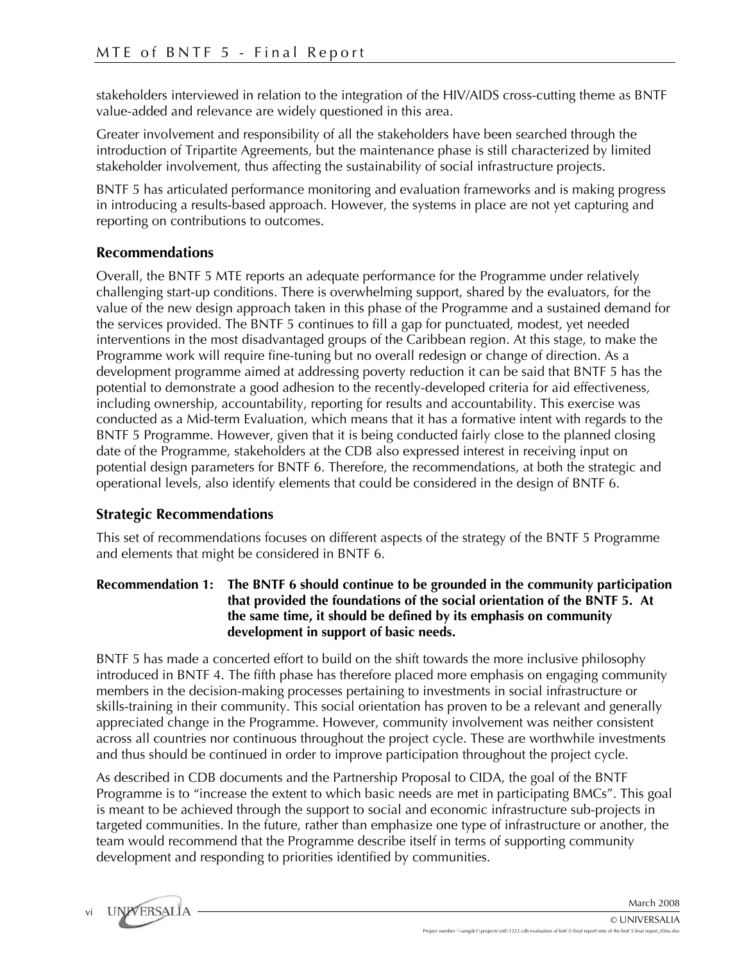stakeholders interviewed in relation to the integration of the HIV/AIDS cross-cutting theme as BNTF value-added and relevance are widely questioned in this area.

Greater involvement and responsibility of all the stakeholders have been searched through the introduction of Tripartite Agreements, but the maintenance phase is still characterized by limited stakeholder involvement, thus affecting the sustainability of social infrastructure projects.

BNTF 5 has articulated performance monitoring and evaluation frameworks and is making progress in introducing a results-based approach. However, the systems in place are not yet capturing and reporting on contributions to outcomes.

### **Recommendations**

Overall, the BNTF 5 MTE reports an adequate performance for the Programme under relatively challenging start-up conditions. There is overwhelming support, shared by the evaluators, for the value of the new design approach taken in this phase of the Programme and a sustained demand for the services provided. The BNTF 5 continues to fill a gap for punctuated, modest, yet needed interventions in the most disadvantaged groups of the Caribbean region. At this stage, to make the Programme work will require fine-tuning but no overall redesign or change of direction. As a development programme aimed at addressing poverty reduction it can be said that BNTF 5 has the potential to demonstrate a good adhesion to the recently-developed criteria for aid effectiveness, including ownership, accountability, reporting for results and accountability. This exercise was conducted as a Mid-term Evaluation, which means that it has a formative intent with regards to the BNTF 5 Programme. However, given that it is being conducted fairly close to the planned closing date of the Programme, stakeholders at the CDB also expressed interest in receiving input on potential design parameters for BNTF 6. Therefore, the recommendations, at both the strategic and operational levels, also identify elements that could be considered in the design of BNTF 6.

### **Strategic Recommendations**

This set of recommendations focuses on different aspects of the strategy of the BNTF 5 Programme and elements that might be considered in BNTF 6.

#### **Recommendation 1: The BNTF 6 should continue to be grounded in the community participation that provided the foundations of the social orientation of the BNTF 5. At the same time, it should be defined by its emphasis on community development in support of basic needs.**

BNTF 5 has made a concerted effort to build on the shift towards the more inclusive philosophy introduced in BNTF 4. The fifth phase has therefore placed more emphasis on engaging community members in the decision-making processes pertaining to investments in social infrastructure or skills-training in their community. This social orientation has proven to be a relevant and generally appreciated change in the Programme. However, community involvement was neither consistent across all countries nor continuous throughout the project cycle. These are worthwhile investments and thus should be continued in order to improve participation throughout the project cycle.

As described in CDB documents and the Partnership Proposal to CIDA, the goal of the BNTF Programme is to "increase the extent to which basic needs are met in participating BMCs". This goal is meant to be achieved through the support to social and economic infrastructure sub-projects in targeted communities. In the future, rather than emphasize one type of infrastructure or another, the team would recommend that the Programme describe itself in terms of supporting community development and responding to priorities identified by communities.

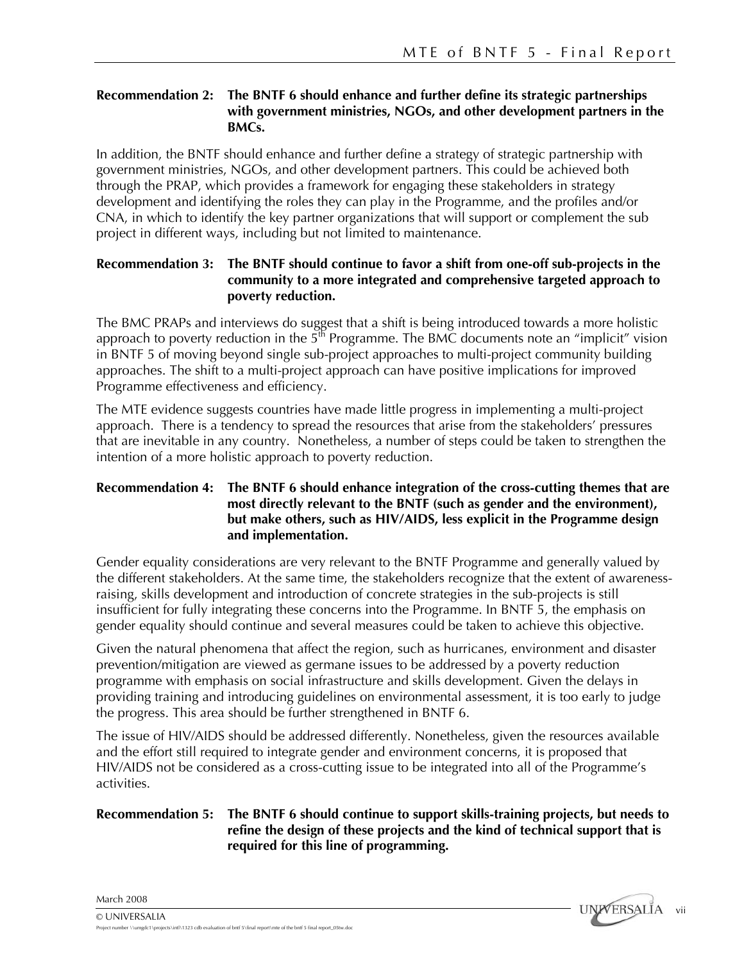#### **Recommendation 2: The BNTF 6 should enhance and further define its strategic partnerships with government ministries, NGOs, and other development partners in the BMCs.**

In addition, the BNTF should enhance and further define a strategy of strategic partnership with government ministries, NGOs, and other development partners. This could be achieved both through the PRAP, which provides a framework for engaging these stakeholders in strategy development and identifying the roles they can play in the Programme, and the profiles and/or CNA, in which to identify the key partner organizations that will support or complement the sub project in different ways, including but not limited to maintenance.

#### **Recommendation 3: The BNTF should continue to favor a shift from one-off sub-projects in the community to a more integrated and comprehensive targeted approach to poverty reduction.**

The BMC PRAPs and interviews do suggest that a shift is being introduced towards a more holistic approach to poverty reduction in the  $5<sup>th</sup>$  Programme. The BMC documents note an "implicit" vision in BNTF 5 of moving beyond single sub-project approaches to multi-project community building approaches. The shift to a multi-project approach can have positive implications for improved Programme effectiveness and efficiency.

The MTE evidence suggests countries have made little progress in implementing a multi-project approach. There is a tendency to spread the resources that arise from the stakeholders' pressures that are inevitable in any country. Nonetheless, a number of steps could be taken to strengthen the intention of a more holistic approach to poverty reduction.

#### **Recommendation 4: The BNTF 6 should enhance integration of the cross-cutting themes that are most directly relevant to the BNTF (such as gender and the environment), but make others, such as HIV/AIDS, less explicit in the Programme design and implementation.**

Gender equality considerations are very relevant to the BNTF Programme and generally valued by the different stakeholders. At the same time, the stakeholders recognize that the extent of awarenessraising, skills development and introduction of concrete strategies in the sub-projects is still insufficient for fully integrating these concerns into the Programme. In BNTF 5, the emphasis on gender equality should continue and several measures could be taken to achieve this objective.

Given the natural phenomena that affect the region, such as hurricanes, environment and disaster prevention/mitigation are viewed as germane issues to be addressed by a poverty reduction programme with emphasis on social infrastructure and skills development. Given the delays in providing training and introducing guidelines on environmental assessment, it is too early to judge the progress. This area should be further strengthened in BNTF 6.

The issue of HIV/AIDS should be addressed differently. Nonetheless, given the resources available and the effort still required to integrate gender and environment concerns, it is proposed that HIV/AIDS not be considered as a cross-cutting issue to be integrated into all of the Programme's activities.

### **Recommendation 5: The BNTF 6 should continue to support skills-training projects, but needs to refine the design of these projects and the kind of technical support that is required for this line of programming.**

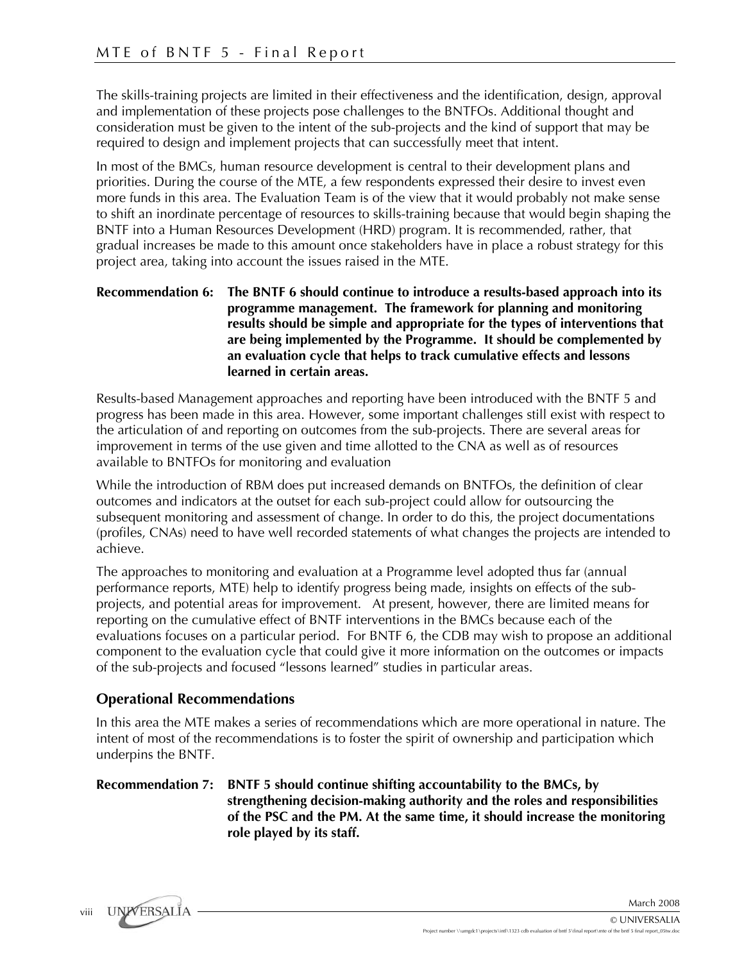The skills-training projects are limited in their effectiveness and the identification, design, approval and implementation of these projects pose challenges to the BNTFOs. Additional thought and consideration must be given to the intent of the sub-projects and the kind of support that may be required to design and implement projects that can successfully meet that intent.

In most of the BMCs, human resource development is central to their development plans and priorities. During the course of the MTE, a few respondents expressed their desire to invest even more funds in this area. The Evaluation Team is of the view that it would probably not make sense to shift an inordinate percentage of resources to skills-training because that would begin shaping the BNTF into a Human Resources Development (HRD) program. It is recommended, rather, that gradual increases be made to this amount once stakeholders have in place a robust strategy for this project area, taking into account the issues raised in the MTE.

#### **Recommendation 6: The BNTF 6 should continue to introduce a results-based approach into its programme management. The framework for planning and monitoring results should be simple and appropriate for the types of interventions that are being implemented by the Programme. It should be complemented by an evaluation cycle that helps to track cumulative effects and lessons learned in certain areas.**

Results-based Management approaches and reporting have been introduced with the BNTF 5 and progress has been made in this area. However, some important challenges still exist with respect to the articulation of and reporting on outcomes from the sub-projects. There are several areas for improvement in terms of the use given and time allotted to the CNA as well as of resources available to BNTFOs for monitoring and evaluation

While the introduction of RBM does put increased demands on BNTFOs, the definition of clear outcomes and indicators at the outset for each sub-project could allow for outsourcing the subsequent monitoring and assessment of change. In order to do this, the project documentations (profiles, CNAs) need to have well recorded statements of what changes the projects are intended to achieve.

The approaches to monitoring and evaluation at a Programme level adopted thus far (annual performance reports, MTE) help to identify progress being made, insights on effects of the subprojects, and potential areas for improvement. At present, however, there are limited means for reporting on the cumulative effect of BNTF interventions in the BMCs because each of the evaluations focuses on a particular period. For BNTF 6, the CDB may wish to propose an additional component to the evaluation cycle that could give it more information on the outcomes or impacts of the sub-projects and focused "lessons learned" studies in particular areas.

### **Operational Recommendations**

In this area the MTE makes a series of recommendations which are more operational in nature. The intent of most of the recommendations is to foster the spirit of ownership and participation which underpins the BNTF.

**Recommendation 7: BNTF 5 should continue shifting accountability to the BMCs, by strengthening decision-making authority and the roles and responsibilities of the PSC and the PM. At the same time, it should increase the monitoring role played by its staff.**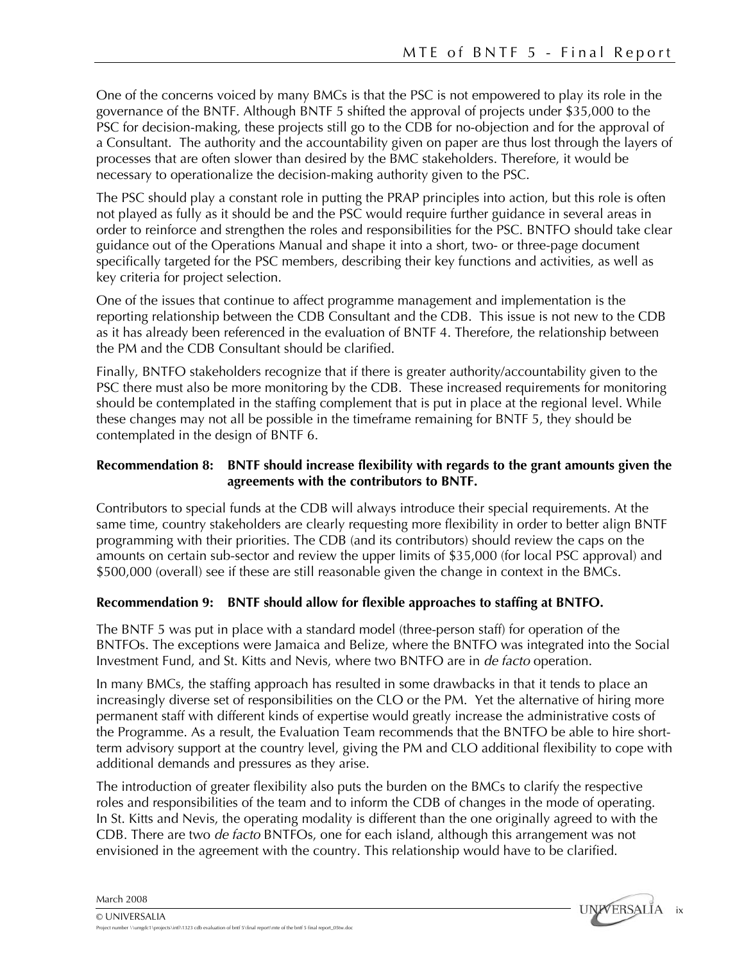One of the concerns voiced by many BMCs is that the PSC is not empowered to play its role in the governance of the BNTF. Although BNTF 5 shifted the approval of projects under \$35,000 to the PSC for decision-making, these projects still go to the CDB for no-objection and for the approval of a Consultant. The authority and the accountability given on paper are thus lost through the layers of processes that are often slower than desired by the BMC stakeholders. Therefore, it would be necessary to operationalize the decision-making authority given to the PSC.

The PSC should play a constant role in putting the PRAP principles into action, but this role is often not played as fully as it should be and the PSC would require further guidance in several areas in order to reinforce and strengthen the roles and responsibilities for the PSC. BNTFO should take clear guidance out of the Operations Manual and shape it into a short, two- or three-page document specifically targeted for the PSC members, describing their key functions and activities, as well as key criteria for project selection.

One of the issues that continue to affect programme management and implementation is the reporting relationship between the CDB Consultant and the CDB. This issue is not new to the CDB as it has already been referenced in the evaluation of BNTF 4. Therefore, the relationship between the PM and the CDB Consultant should be clarified.

Finally, BNTFO stakeholders recognize that if there is greater authority/accountability given to the PSC there must also be more monitoring by the CDB. These increased requirements for monitoring should be contemplated in the staffing complement that is put in place at the regional level. While these changes may not all be possible in the timeframe remaining for BNTF 5, they should be contemplated in the design of BNTF 6.

### **Recommendation 8: BNTF should increase flexibility with regards to the grant amounts given the agreements with the contributors to BNTF.**

Contributors to special funds at the CDB will always introduce their special requirements. At the same time, country stakeholders are clearly requesting more flexibility in order to better align BNTF programming with their priorities. The CDB (and its contributors) should review the caps on the amounts on certain sub-sector and review the upper limits of \$35,000 (for local PSC approval) and \$500,000 (overall) see if these are still reasonable given the change in context in the BMCs.

### **Recommendation 9: BNTF should allow for flexible approaches to staffing at BNTFO.**

The BNTF 5 was put in place with a standard model (three-person staff) for operation of the BNTFOs. The exceptions were Jamaica and Belize, where the BNTFO was integrated into the Social Investment Fund, and St. Kitts and Nevis, where two BNTFO are in *de facto* operation.

In many BMCs, the staffing approach has resulted in some drawbacks in that it tends to place an increasingly diverse set of responsibilities on the CLO or the PM. Yet the alternative of hiring more permanent staff with different kinds of expertise would greatly increase the administrative costs of the Programme. As a result, the Evaluation Team recommends that the BNTFO be able to hire shortterm advisory support at the country level, giving the PM and CLO additional flexibility to cope with additional demands and pressures as they arise.

The introduction of greater flexibility also puts the burden on the BMCs to clarify the respective roles and responsibilities of the team and to inform the CDB of changes in the mode of operating. In St. Kitts and Nevis, the operating modality is different than the one originally agreed to with the CDB. There are two *de facto* BNTFOs, one for each island, although this arrangement was not envisioned in the agreement with the country. This relationship would have to be clarified.

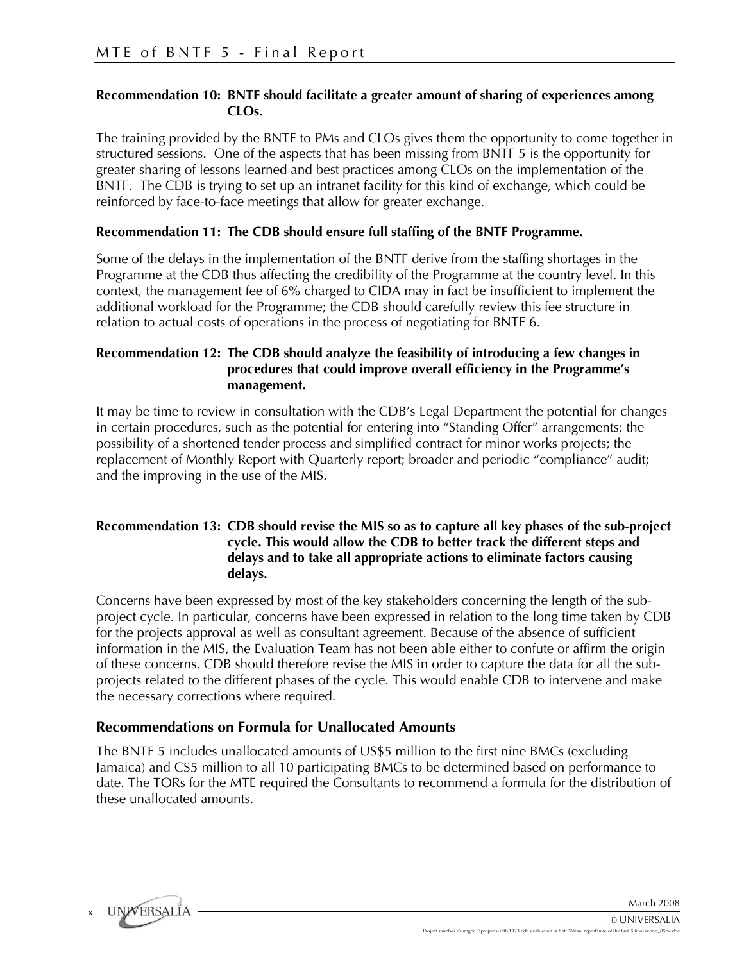#### **Recommendation 10: BNTF should facilitate a greater amount of sharing of experiences among CLOs.**

The training provided by the BNTF to PMs and CLOs gives them the opportunity to come together in structured sessions. One of the aspects that has been missing from BNTF 5 is the opportunity for greater sharing of lessons learned and best practices among CLOs on the implementation of the BNTF. The CDB is trying to set up an intranet facility for this kind of exchange, which could be reinforced by face-to-face meetings that allow for greater exchange.

#### **Recommendation 11: The CDB should ensure full staffing of the BNTF Programme.**

Some of the delays in the implementation of the BNTF derive from the staffing shortages in the Programme at the CDB thus affecting the credibility of the Programme at the country level. In this context, the management fee of 6% charged to CIDA may in fact be insufficient to implement the additional workload for the Programme; the CDB should carefully review this fee structure in relation to actual costs of operations in the process of negotiating for BNTF 6.

#### **Recommendation 12: The CDB should analyze the feasibility of introducing a few changes in procedures that could improve overall efficiency in the Programme's management.**

It may be time to review in consultation with the CDB's Legal Department the potential for changes in certain procedures, such as the potential for entering into "Standing Offer" arrangements; the possibility of a shortened tender process and simplified contract for minor works projects; the replacement of Monthly Report with Quarterly report; broader and periodic "compliance" audit; and the improving in the use of the MIS.

#### **Recommendation 13: CDB should revise the MIS so as to capture all key phases of the sub-project cycle. This would allow the CDB to better track the different steps and delays and to take all appropriate actions to eliminate factors causing delays.**

Concerns have been expressed by most of the key stakeholders concerning the length of the subproject cycle. In particular, concerns have been expressed in relation to the long time taken by CDB for the projects approval as well as consultant agreement. Because of the absence of sufficient information in the MIS, the Evaluation Team has not been able either to confute or affirm the origin of these concerns. CDB should therefore revise the MIS in order to capture the data for all the subprojects related to the different phases of the cycle. This would enable CDB to intervene and make the necessary corrections where required.

### **Recommendations on Formula for Unallocated Amounts**

The BNTF 5 includes unallocated amounts of US\$5 million to the first nine BMCs (excluding Jamaica) and C\$5 million to all 10 participating BMCs to be determined based on performance to date. The TORs for the MTE required the Consultants to recommend a formula for the distribution of these unallocated amounts.

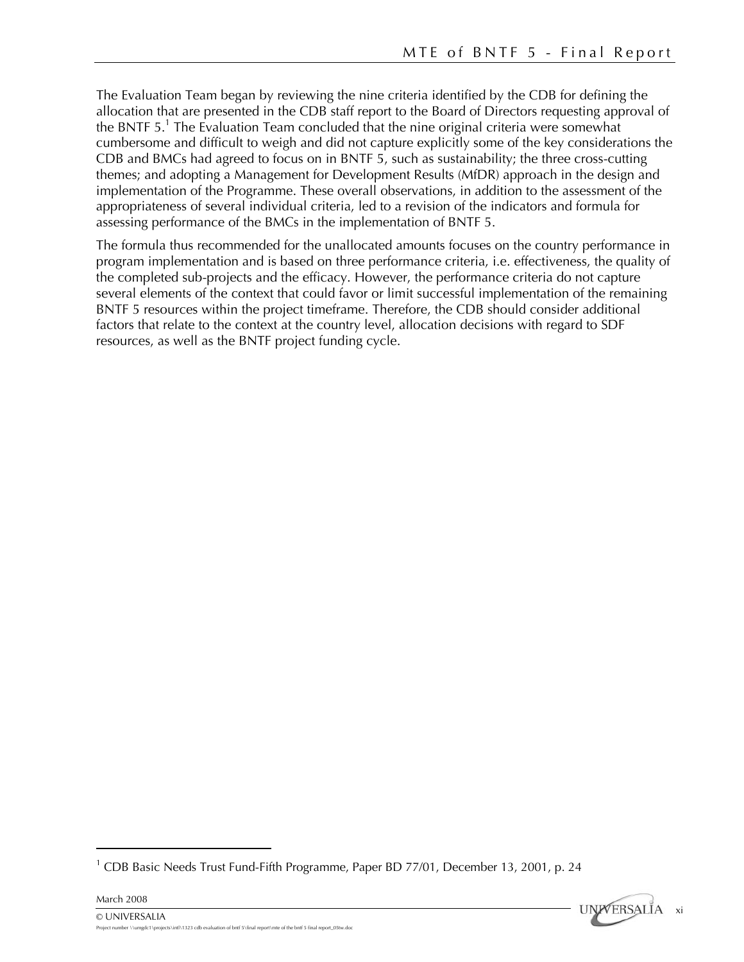The Evaluation Team began by reviewing the nine criteria identified by the CDB for defining the allocation that are presented in the CDB staff report to the Board of Directors requesting approval of the BNTF 5.<sup>1</sup> The Evaluation Team concluded that the nine original criteria were somewhat cumbersome and difficult to weigh and did not capture explicitly some of the key considerations the CDB and BMCs had agreed to focus on in BNTF 5, such as sustainability; the three cross-cutting themes; and adopting a Management for Development Results (MfDR) approach in the design and implementation of the Programme. These overall observations, in addition to the assessment of the appropriateness of several individual criteria, led to a revision of the indicators and formula for assessing performance of the BMCs in the implementation of BNTF 5.

The formula thus recommended for the unallocated amounts focuses on the country performance in program implementation and is based on three performance criteria, i.e. effectiveness, the quality of the completed sub-projects and the efficacy. However, the performance criteria do not capture several elements of the context that could favor or limit successful implementation of the remaining BNTF 5 resources within the project timeframe. Therefore, the CDB should consider additional factors that relate to the context at the country level, allocation decisions with regard to SDF resources, as well as the BNTF project funding cycle.

 $\overline{a}$ 



<sup>&</sup>lt;sup>1</sup> CDB Basic Needs Trust Fund-Fifth Programme, Paper BD 77/01, December 13, 2001, p. 24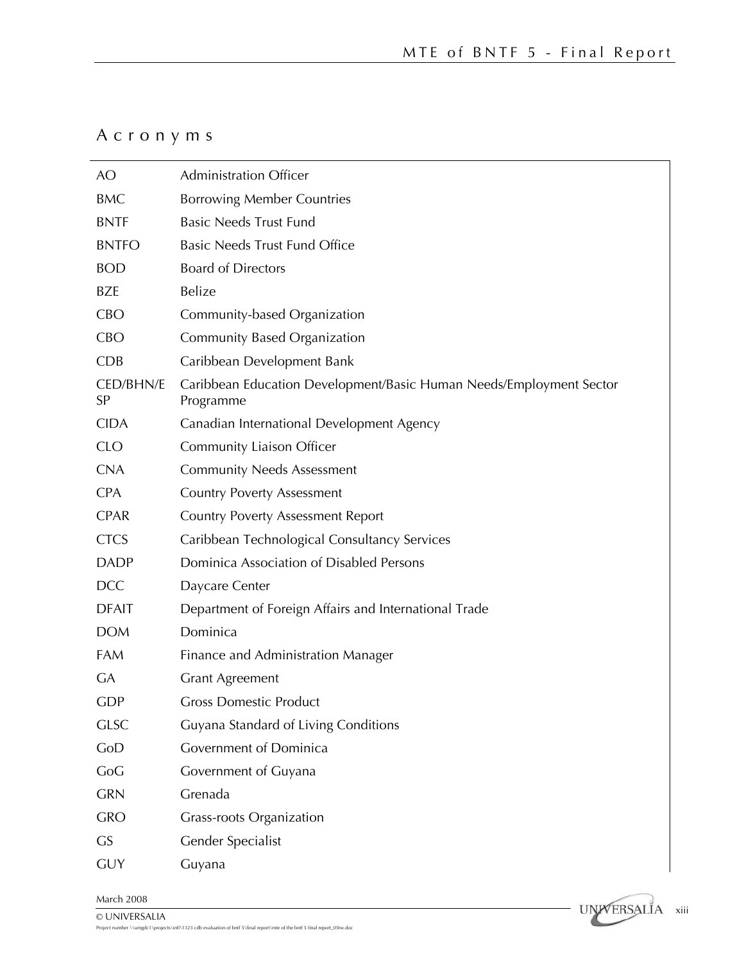### Acronyms

| AO                     | <b>Administration Officer</b>                                                    |  |  |  |
|------------------------|----------------------------------------------------------------------------------|--|--|--|
| <b>BMC</b>             | <b>Borrowing Member Countries</b>                                                |  |  |  |
| <b>BNTF</b>            | <b>Basic Needs Trust Fund</b>                                                    |  |  |  |
| <b>BNTFO</b>           | <b>Basic Needs Trust Fund Office</b>                                             |  |  |  |
| <b>BOD</b>             | <b>Board of Directors</b>                                                        |  |  |  |
| <b>BZE</b>             | Belize                                                                           |  |  |  |
| <b>CBO</b>             | Community-based Organization                                                     |  |  |  |
| <b>CBO</b>             | <b>Community Based Organization</b>                                              |  |  |  |
| <b>CDB</b>             | Caribbean Development Bank                                                       |  |  |  |
| <b>CED/BHN/E</b><br>SP | Caribbean Education Development/Basic Human Needs/Employment Sector<br>Programme |  |  |  |
| <b>CIDA</b>            | Canadian International Development Agency                                        |  |  |  |
| <b>CLO</b>             | <b>Community Liaison Officer</b>                                                 |  |  |  |
| <b>CNA</b>             | <b>Community Needs Assessment</b>                                                |  |  |  |
| <b>CPA</b>             | <b>Country Poverty Assessment</b>                                                |  |  |  |
| <b>CPAR</b>            | <b>Country Poverty Assessment Report</b>                                         |  |  |  |
| <b>CTCS</b>            | Caribbean Technological Consultancy Services                                     |  |  |  |
| <b>DADP</b>            | Dominica Association of Disabled Persons                                         |  |  |  |
| <b>DCC</b>             | Daycare Center                                                                   |  |  |  |
| <b>DFAIT</b>           | Department of Foreign Affairs and International Trade                            |  |  |  |
| <b>DOM</b>             | Dominica                                                                         |  |  |  |
| FAM                    | Finance and Administration Manager                                               |  |  |  |
| <b>GA</b>              | <b>Grant Agreement</b>                                                           |  |  |  |
| <b>GDP</b>             | <b>Gross Domestic Product</b>                                                    |  |  |  |
| <b>GLSC</b>            | Guyana Standard of Living Conditions                                             |  |  |  |
| GoD                    | Government of Dominica                                                           |  |  |  |
| CoG                    | Government of Guyana                                                             |  |  |  |
| <b>GRN</b>             | Grenada                                                                          |  |  |  |
| <b>GRO</b>             | <b>Grass-roots Organization</b>                                                  |  |  |  |
| <b>GS</b>              | Gender Specialist                                                                |  |  |  |
| <b>GUY</b>             | Guyana                                                                           |  |  |  |

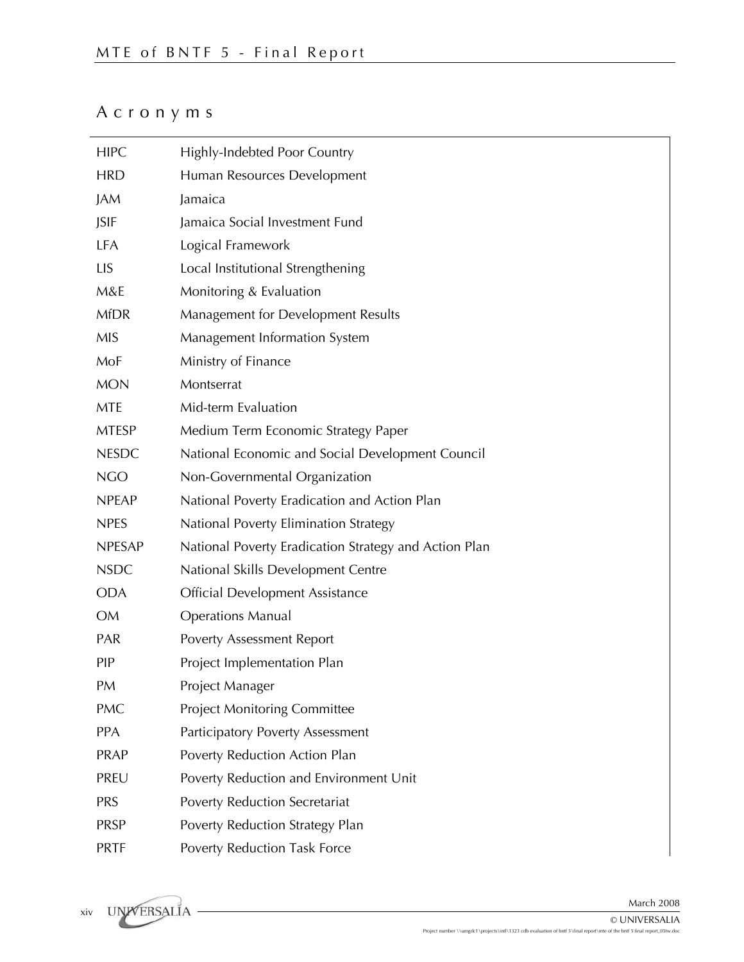### Acronyms

| <b>HIPC</b>   | Highly-Indebted Poor Country                          |  |  |  |
|---------------|-------------------------------------------------------|--|--|--|
| <b>HRD</b>    | Human Resources Development                           |  |  |  |
| JAM           | Jamaica                                               |  |  |  |
| <b>JSIF</b>   | Jamaica Social Investment Fund                        |  |  |  |
| LFA           | Logical Framework                                     |  |  |  |
| <b>LIS</b>    | Local Institutional Strengthening                     |  |  |  |
| M&E           | Monitoring & Evaluation                               |  |  |  |
| <b>MfDR</b>   | Management for Development Results                    |  |  |  |
| <b>MIS</b>    | Management Information System                         |  |  |  |
| MoF           | Ministry of Finance                                   |  |  |  |
| <b>MON</b>    | Montserrat                                            |  |  |  |
| <b>MTE</b>    | Mid-term Evaluation                                   |  |  |  |
| <b>MTESP</b>  | Medium Term Economic Strategy Paper                   |  |  |  |
| <b>NESDC</b>  | National Economic and Social Development Council      |  |  |  |
| <b>NGO</b>    | Non-Governmental Organization                         |  |  |  |
| <b>NPEAP</b>  | National Poverty Eradication and Action Plan          |  |  |  |
| <b>NPES</b>   | National Poverty Elimination Strategy                 |  |  |  |
| <b>NPESAP</b> | National Poverty Eradication Strategy and Action Plan |  |  |  |
| <b>NSDC</b>   | National Skills Development Centre                    |  |  |  |
| <b>ODA</b>    | <b>Official Development Assistance</b>                |  |  |  |
| <b>OM</b>     | <b>Operations Manual</b>                              |  |  |  |
| <b>PAR</b>    | <b>Poverty Assessment Report</b>                      |  |  |  |
| <b>PIP</b>    | Project Implementation Plan                           |  |  |  |
| PM            | Project Manager                                       |  |  |  |
| <b>PMC</b>    | <b>Project Monitoring Committee</b>                   |  |  |  |
| PPA           | <b>Participatory Poverty Assessment</b>               |  |  |  |
| <b>PRAP</b>   | Poverty Reduction Action Plan                         |  |  |  |
| PREU          | Poverty Reduction and Environment Unit                |  |  |  |
| <b>PRS</b>    | Poverty Reduction Secretariat                         |  |  |  |
| <b>PRSP</b>   | Poverty Reduction Strategy Plan                       |  |  |  |
| <b>PRTF</b>   | Poverty Reduction Task Force                          |  |  |  |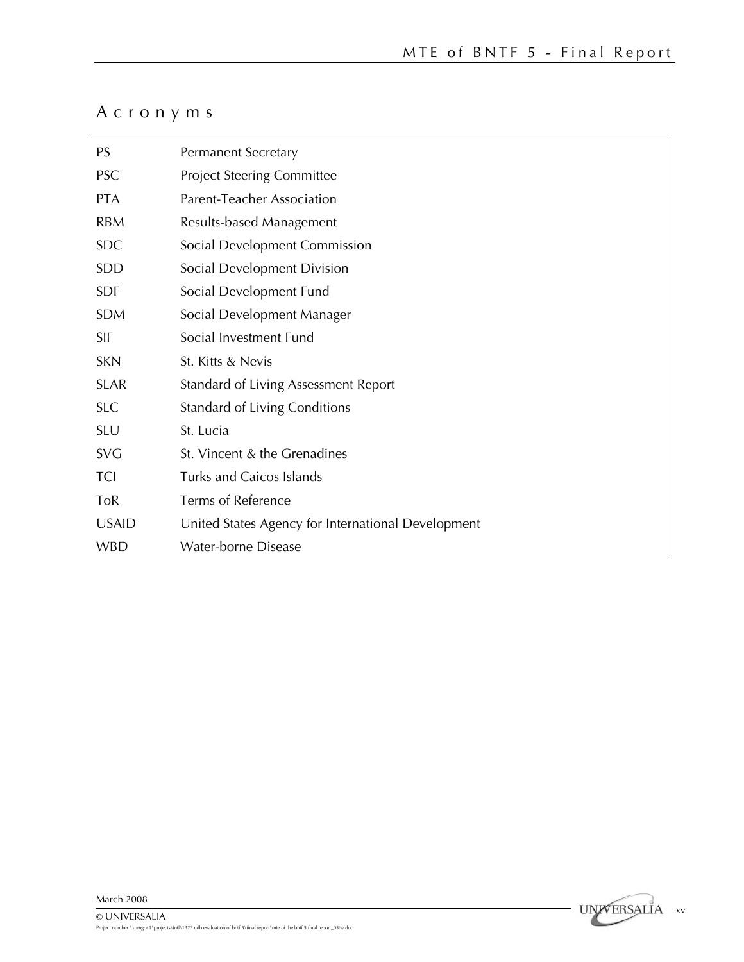## Acronyms

| <b>PS</b>    | <b>Permanent Secretary</b>                         |  |  |  |
|--------------|----------------------------------------------------|--|--|--|
| <b>PSC</b>   | <b>Project Steering Committee</b>                  |  |  |  |
| <b>PTA</b>   | Parent-Teacher Association                         |  |  |  |
| <b>RBM</b>   | Results-based Management                           |  |  |  |
| <b>SDC</b>   | Social Development Commission                      |  |  |  |
| <b>SDD</b>   | Social Development Division                        |  |  |  |
| <b>SDF</b>   | Social Development Fund                            |  |  |  |
| <b>SDM</b>   | Social Development Manager                         |  |  |  |
| <b>SIF</b>   | Social Investment Fund                             |  |  |  |
| <b>SKN</b>   | St. Kitts & Nevis                                  |  |  |  |
| <b>SLAR</b>  | Standard of Living Assessment Report               |  |  |  |
| <b>SLC</b>   | <b>Standard of Living Conditions</b>               |  |  |  |
| <b>SLU</b>   | St. Lucia                                          |  |  |  |
| <b>SVG</b>   | St. Vincent & the Grenadines                       |  |  |  |
| <b>TCI</b>   | Turks and Caicos Islands                           |  |  |  |
| ToR          | Terms of Reference                                 |  |  |  |
| <b>USAID</b> | United States Agency for International Development |  |  |  |
| <b>WBD</b>   | <b>Water-borne Disease</b>                         |  |  |  |

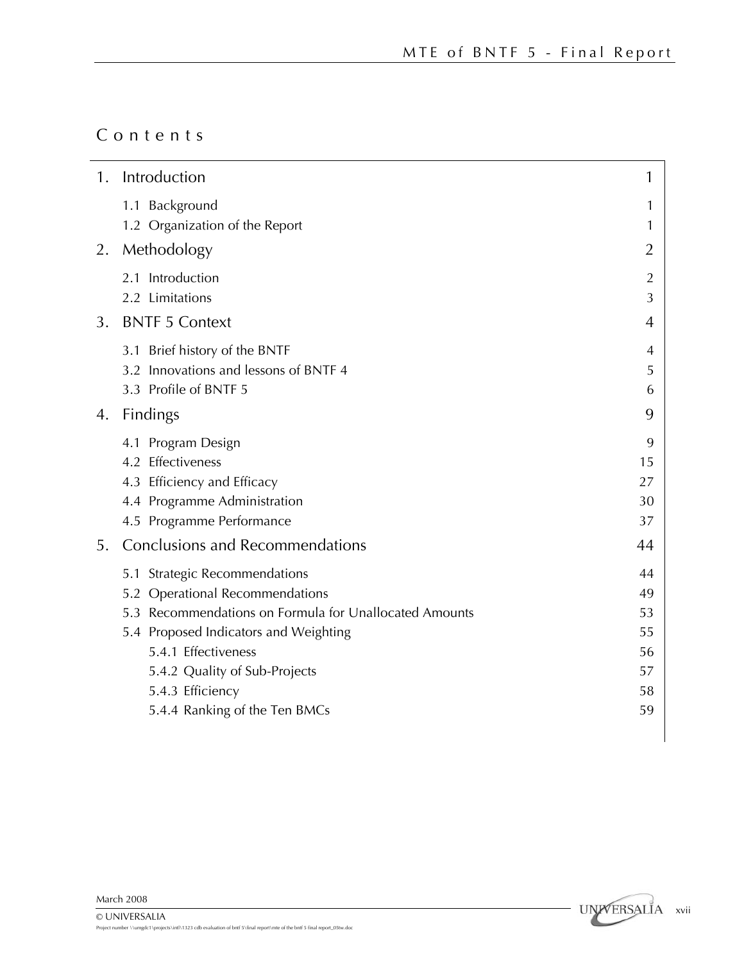### Contents

| 1. | Introduction                                                                                                                                                                                                                                    | 1                                      |
|----|-------------------------------------------------------------------------------------------------------------------------------------------------------------------------------------------------------------------------------------------------|----------------------------------------|
|    | 1.1 Background<br>1.2 Organization of the Report                                                                                                                                                                                                | 1<br>1                                 |
| 2. | Methodology                                                                                                                                                                                                                                     | $\overline{2}$                         |
|    | 2.1 Introduction<br>2.2 Limitations                                                                                                                                                                                                             | $\overline{2}$<br>3                    |
| 3. | <b>BNTF 5 Context</b>                                                                                                                                                                                                                           | 4                                      |
|    | 3.1 Brief history of the BNTF<br>3.2 Innovations and lessons of BNTF 4<br>3.3 Profile of BNTF 5                                                                                                                                                 | 4<br>5<br>6                            |
| 4. | <b>Findings</b>                                                                                                                                                                                                                                 | 9                                      |
|    | 4.1 Program Design<br>4.2 Effectiveness<br>4.3 Efficiency and Efficacy<br>4.4 Programme Administration<br>4.5 Programme Performance                                                                                                             | 9<br>15<br>27<br>30<br>37              |
| 5. | <b>Conclusions and Recommendations</b>                                                                                                                                                                                                          | 44                                     |
|    | 5.1 Strategic Recommendations<br>5.2 Operational Recommendations<br>5.3 Recommendations on Formula for Unallocated Amounts<br>5.4 Proposed Indicators and Weighting<br>5.4.1 Effectiveness<br>5.4.2 Quality of Sub-Projects<br>5.4.3 Efficiency | 44<br>49<br>53<br>55<br>56<br>57<br>58 |
|    | 5.4.4 Ranking of the Ten BMCs                                                                                                                                                                                                                   | 59                                     |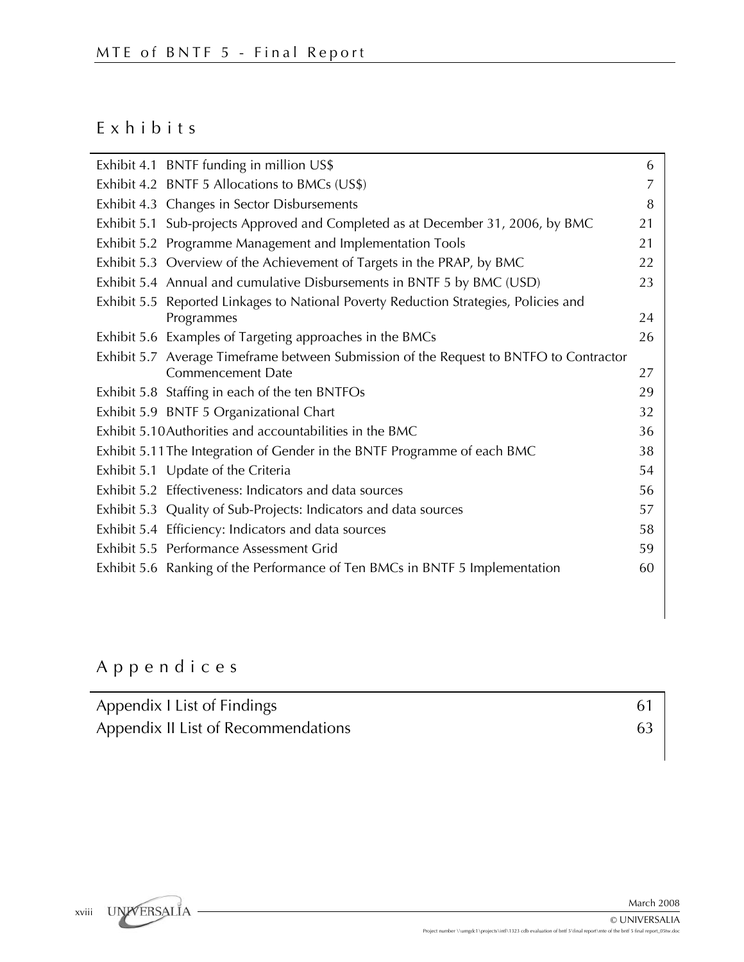### Exhibits

|  | Exhibit 4.1 BNTF funding in million US\$                                               | 6  |
|--|----------------------------------------------------------------------------------------|----|
|  | Exhibit 4.2 BNTF 5 Allocations to BMCs (US\$)                                          | 7  |
|  | Exhibit 4.3 Changes in Sector Disbursements                                            | 8  |
|  | Exhibit 5.1 Sub-projects Approved and Completed as at December 31, 2006, by BMC        | 21 |
|  | Exhibit 5.2 Programme Management and Implementation Tools                              | 21 |
|  | Exhibit 5.3 Overview of the Achievement of Targets in the PRAP, by BMC                 | 22 |
|  | Exhibit 5.4 Annual and cumulative Disbursements in BNTF 5 by BMC (USD)                 | 23 |
|  | Exhibit 5.5 Reported Linkages to National Poverty Reduction Strategies, Policies and   |    |
|  | Programmes                                                                             | 24 |
|  | Exhibit 5.6 Examples of Targeting approaches in the BMCs                               | 26 |
|  | Exhibit 5.7 Average Timeframe between Submission of the Request to BNTFO to Contractor |    |
|  | <b>Commencement Date</b>                                                               | 27 |
|  | Exhibit 5.8 Staffing in each of the ten BNTFOs                                         | 29 |
|  | Exhibit 5.9 BNTF 5 Organizational Chart                                                | 32 |
|  | Exhibit 5.10 Authorities and accountabilities in the BMC                               | 36 |
|  | Exhibit 5.11 The Integration of Gender in the BNTF Programme of each BMC               | 38 |
|  | Exhibit 5.1 Update of the Criteria                                                     | 54 |
|  | Exhibit 5.2 Effectiveness: Indicators and data sources                                 | 56 |
|  | Exhibit 5.3 Quality of Sub-Projects: Indicators and data sources                       | 57 |
|  | Exhibit 5.4 Efficiency: Indicators and data sources                                    | 58 |
|  | Exhibit 5.5 Performance Assessment Grid                                                | 59 |
|  | Exhibit 5.6 Ranking of the Performance of Ten BMCs in BNTF 5 Implementation            | 60 |
|  |                                                                                        |    |

## Appendices

| Appendix I List of Findings         |  |
|-------------------------------------|--|
| Appendix II List of Recommendations |  |

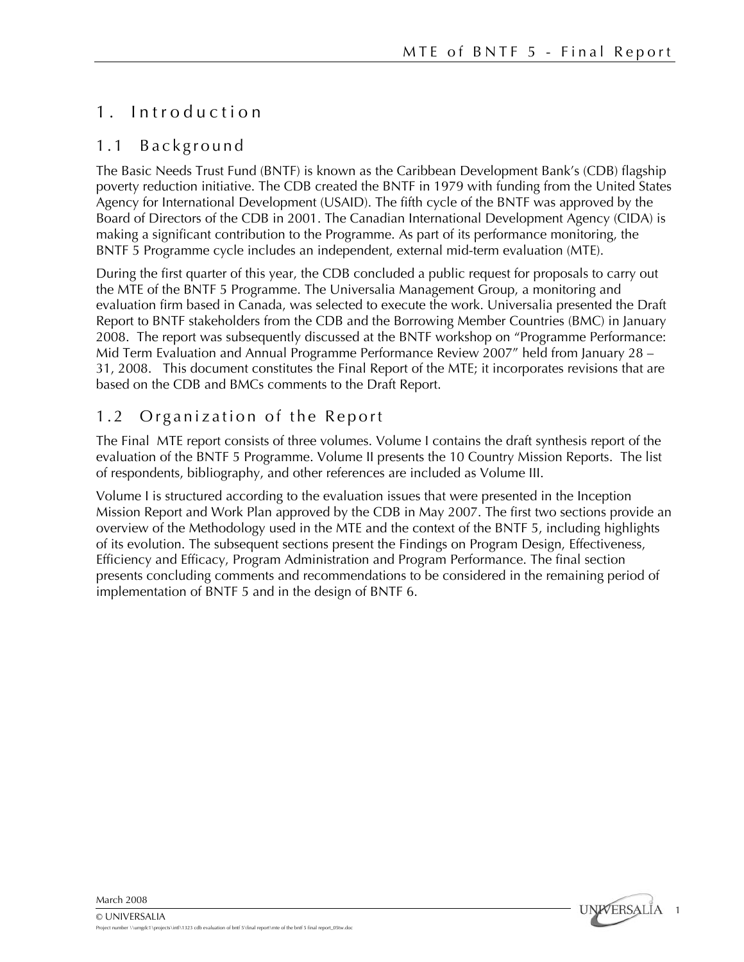### 1 . Introduction

### 1.1 Background

The Basic Needs Trust Fund (BNTF) is known as the Caribbean Development Bank's (CDB) flagship poverty reduction initiative. The CDB created the BNTF in 1979 with funding from the United States Agency for International Development (USAID). The fifth cycle of the BNTF was approved by the Board of Directors of the CDB in 2001. The Canadian International Development Agency (CIDA) is making a significant contribution to the Programme. As part of its performance monitoring, the BNTF 5 Programme cycle includes an independent, external mid-term evaluation (MTE).

During the first quarter of this year, the CDB concluded a public request for proposals to carry out the MTE of the BNTF 5 Programme. The Universalia Management Group, a monitoring and evaluation firm based in Canada, was selected to execute the work. Universalia presented the Draft Report to BNTF stakeholders from the CDB and the Borrowing Member Countries (BMC) in January 2008. The report was subsequently discussed at the BNTF workshop on "Programme Performance: Mid Term Evaluation and Annual Programme Performance Review 2007" held from January 28 – 31, 2008. This document constitutes the Final Report of the MTE; it incorporates revisions that are based on the CDB and BMCs comments to the Draft Report.

### 1.2 Organization of the Report

The Final MTE report consists of three volumes. Volume I contains the draft synthesis report of the evaluation of the BNTF 5 Programme. Volume II presents the 10 Country Mission Reports. The list of respondents, bibliography, and other references are included as Volume III.

Volume I is structured according to the evaluation issues that were presented in the Inception Mission Report and Work Plan approved by the CDB in May 2007. The first two sections provide an overview of the Methodology used in the MTE and the context of the BNTF 5, including highlights of its evolution. The subsequent sections present the Findings on Program Design, Effectiveness, Efficiency and Efficacy, Program Administration and Program Performance. The final section presents concluding comments and recommendations to be considered in the remaining period of implementation of BNTF 5 and in the design of BNTF 6.

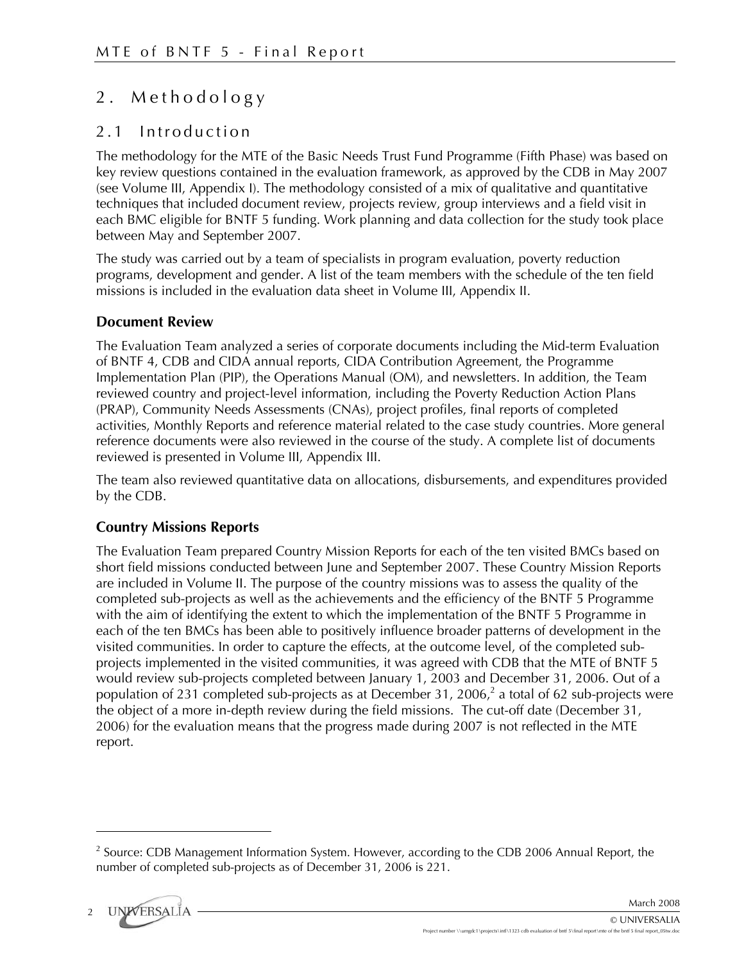### 2 . Methodology

### 2.1 Introduction

The methodology for the MTE of the Basic Needs Trust Fund Programme (Fifth Phase) was based on key review questions contained in the evaluation framework, as approved by the CDB in May 2007 (see Volume III, Appendix I). The methodology consisted of a mix of qualitative and quantitative techniques that included document review, projects review, group interviews and a field visit in each BMC eligible for BNTF 5 funding. Work planning and data collection for the study took place between May and September 2007.

The study was carried out by a team of specialists in program evaluation, poverty reduction programs, development and gender. A list of the team members with the schedule of the ten field missions is included in the evaluation data sheet in Volume III, Appendix II.

### **Document Review**

The Evaluation Team analyzed a series of corporate documents including the Mid-term Evaluation of BNTF 4, CDB and CIDA annual reports, CIDA Contribution Agreement, the Programme Implementation Plan (PIP), the Operations Manual (OM), and newsletters. In addition, the Team reviewed country and project-level information, including the Poverty Reduction Action Plans (PRAP), Community Needs Assessments (CNAs), project profiles, final reports of completed activities, Monthly Reports and reference material related to the case study countries. More general reference documents were also reviewed in the course of the study. A complete list of documents reviewed is presented in Volume III, Appendix III.

The team also reviewed quantitative data on allocations, disbursements, and expenditures provided by the CDB.

### **Country Missions Reports**

The Evaluation Team prepared Country Mission Reports for each of the ten visited BMCs based on short field missions conducted between June and September 2007. These Country Mission Reports are included in Volume II. The purpose of the country missions was to assess the quality of the completed sub-projects as well as the achievements and the efficiency of the BNTF 5 Programme with the aim of identifying the extent to which the implementation of the BNTF 5 Programme in each of the ten BMCs has been able to positively influence broader patterns of development in the visited communities. In order to capture the effects, at the outcome level, of the completed subprojects implemented in the visited communities, it was agreed with CDB that the MTE of BNTF 5 would review sub-projects completed between January 1, 2003 and December 31, 2006. Out of a population of 231 completed sub-projects as at December 31, 2006,<sup>2</sup> a total of 62 sub-projects were the object of a more in-depth review during the field missions. The cut-off date (December 31, 2006) for the evaluation means that the progress made during 2007 is not reflected in the MTE report.

 $2$  Source: CDB Management Information System. However, according to the CDB 2006 Annual Report, the number of completed sub-projects as of December 31, 2006 is 221.



1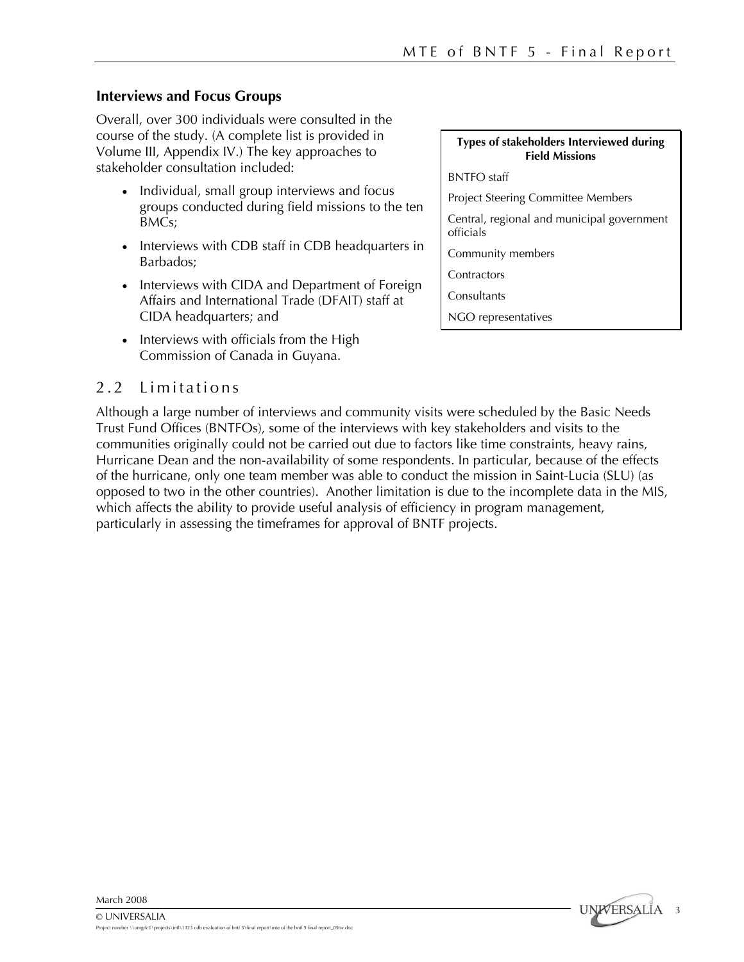### **Interviews and Focus Groups**

Overall, over 300 individuals were consulted in the course of the study. (A complete list is provided in Volume III, Appendix IV.) The key approaches to stakeholder consultation included:

- Individual, small group interviews and focus groups conducted during field missions to the ten BMCs;
- Interviews with CDB staff in CDB headquarters in Barbados;
- Interviews with CIDA and Department of Foreign Affairs and International Trade (DFAIT) staff at CIDA headquarters; and
- Interviews with officials from the High Commission of Canada in Guyana.

### 2.2 Limitations

Although a large number of interviews and community visits were scheduled by the Basic Needs Trust Fund Offices (BNTFOs), some of the interviews with key stakeholders and visits to the communities originally could not be carried out due to factors like time constraints, heavy rains, Hurricane Dean and the non-availability of some respondents. In particular, because of the effects of the hurricane, only one team member was able to conduct the mission in Saint-Lucia (SLU) (as opposed to two in the other countries). Another limitation is due to the incomplete data in the MIS, which affects the ability to provide useful analysis of efficiency in program management, particularly in assessing the timeframes for approval of BNTF projects.

#### **Types of stakeholders Interviewed during Field Missions**

BNTFO staff

Project Steering Committee Members

Central, regional and municipal government officials

3

**UNWERSALIA** 

Community members

**Contractors** 

**Consultants** 

NGO representatives

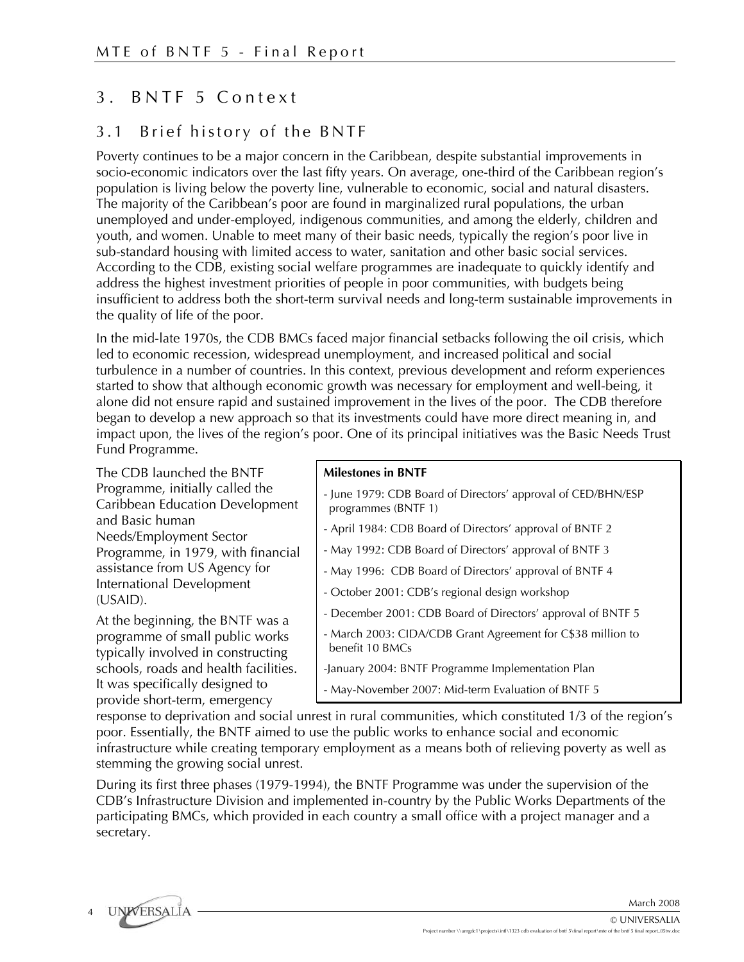### 3 . BNTF 5 Context

### 3.1 Brief history of the BNTF

Poverty continues to be a major concern in the Caribbean, despite substantial improvements in socio-economic indicators over the last fifty years. On average, one-third of the Caribbean region's population is living below the poverty line, vulnerable to economic, social and natural disasters. The majority of the Caribbean's poor are found in marginalized rural populations, the urban unemployed and under-employed, indigenous communities, and among the elderly, children and youth, and women. Unable to meet many of their basic needs, typically the region's poor live in sub-standard housing with limited access to water, sanitation and other basic social services. According to the CDB, existing social welfare programmes are inadequate to quickly identify and address the highest investment priorities of people in poor communities, with budgets being insufficient to address both the short-term survival needs and long-term sustainable improvements in the quality of life of the poor.

In the mid-late 1970s, the CDB BMCs faced major financial setbacks following the oil crisis, which led to economic recession, widespread unemployment, and increased political and social turbulence in a number of countries. In this context, previous development and reform experiences started to show that although economic growth was necessary for employment and well-being, it alone did not ensure rapid and sustained improvement in the lives of the poor. The CDB therefore began to develop a new approach so that its investments could have more direct meaning in, and impact upon, the lives of the region's poor. One of its principal initiatives was the Basic Needs Trust Fund Programme.

The CDB launched the BNTF Programme, initially called the Caribbean Education Development and Basic human Needs/Employment Sector Programme, in 1979, with financial assistance from US Agency for International Development (USAID).

At the beginning, the BNTF was a programme of small public works typically involved in constructing schools, roads and health facilities. It was specifically designed to provide short-term, emergency

#### **Milestones in BNTF**

- June 1979: CDB Board of Directors' approval of CED/BHN/ESP programmes (BNTF 1)
- April 1984: CDB Board of Directors' approval of BNTF 2
- May 1992: CDB Board of Directors' approval of BNTF 3
- May 1996: CDB Board of Directors' approval of BNTF 4
- October 2001: CDB's regional design workshop
- December 2001: CDB Board of Directors' approval of BNTF 5
- March 2003: CIDA/CDB Grant Agreement for C\$38 million to benefit 10 BMCs
- -January 2004: BNTF Programme Implementation Plan
- May-November 2007: Mid-term Evaluation of BNTF 5

response to deprivation and social unrest in rural communities, which constituted 1/3 of the region's poor. Essentially, the BNTF aimed to use the public works to enhance social and economic infrastructure while creating temporary employment as a means both of relieving poverty as well as stemming the growing social unrest.

During its first three phases (1979-1994), the BNTF Programme was under the supervision of the CDB's Infrastructure Division and implemented in-country by the Public Works Departments of the participating BMCs, which provided in each country a small office with a project manager and a secretary.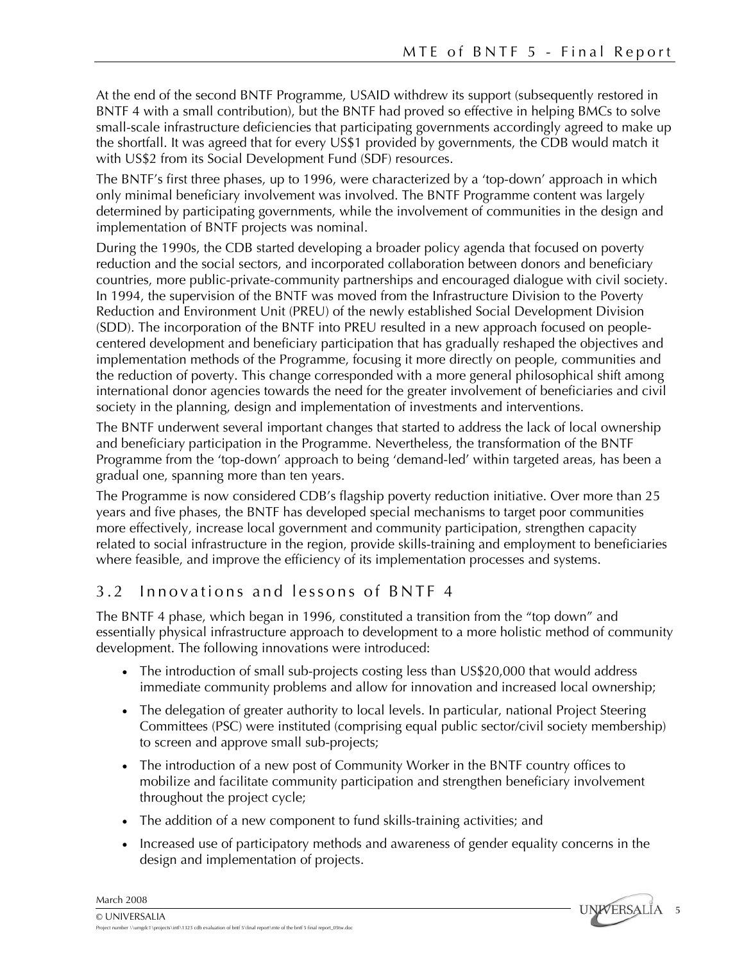At the end of the second BNTF Programme, USAID withdrew its support (subsequently restored in BNTF 4 with a small contribution), but the BNTF had proved so effective in helping BMCs to solve small-scale infrastructure deficiencies that participating governments accordingly agreed to make up the shortfall. It was agreed that for every US\$1 provided by governments, the CDB would match it with US\$2 from its Social Development Fund (SDF) resources.

The BNTF's first three phases, up to 1996, were characterized by a 'top-down' approach in which only minimal beneficiary involvement was involved. The BNTF Programme content was largely determined by participating governments, while the involvement of communities in the design and implementation of BNTF projects was nominal.

During the 1990s, the CDB started developing a broader policy agenda that focused on poverty reduction and the social sectors, and incorporated collaboration between donors and beneficiary countries, more public-private-community partnerships and encouraged dialogue with civil society. In 1994, the supervision of the BNTF was moved from the Infrastructure Division to the Poverty Reduction and Environment Unit (PREU) of the newly established Social Development Division (SDD). The incorporation of the BNTF into PREU resulted in a new approach focused on peoplecentered development and beneficiary participation that has gradually reshaped the objectives and implementation methods of the Programme, focusing it more directly on people, communities and the reduction of poverty. This change corresponded with a more general philosophical shift among international donor agencies towards the need for the greater involvement of beneficiaries and civil society in the planning, design and implementation of investments and interventions.

The BNTF underwent several important changes that started to address the lack of local ownership and beneficiary participation in the Programme. Nevertheless, the transformation of the BNTF Programme from the 'top-down' approach to being 'demand-led' within targeted areas, has been a gradual one, spanning more than ten years.

The Programme is now considered CDB's flagship poverty reduction initiative. Over more than 25 years and five phases, the BNTF has developed special mechanisms to target poor communities more effectively, increase local government and community participation, strengthen capacity related to social infrastructure in the region, provide skills-training and employment to beneficiaries where feasible, and improve the efficiency of its implementation processes and systems.

### 3.2 Innovations and lessons of BNTF 4

The BNTF 4 phase, which began in 1996, constituted a transition from the "top down" and essentially physical infrastructure approach to development to a more holistic method of community development. The following innovations were introduced:

- The introduction of small sub-projects costing less than US\$20,000 that would address immediate community problems and allow for innovation and increased local ownership;
- The delegation of greater authority to local levels. In particular, national Project Steering Committees (PSC) were instituted (comprising equal public sector/civil society membership) to screen and approve small sub-projects;
- The introduction of a new post of Community Worker in the BNTF country offices to mobilize and facilitate community participation and strengthen beneficiary involvement throughout the project cycle;
- The addition of a new component to fund skills-training activities; and
- Increased use of participatory methods and awareness of gender equality concerns in the design and implementation of projects.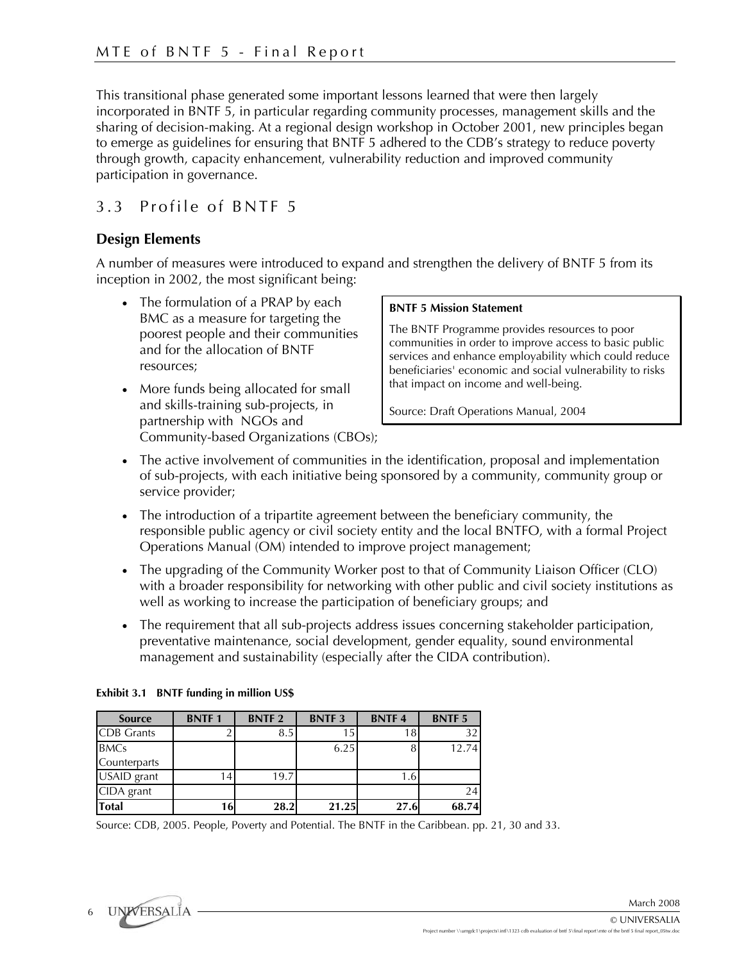This transitional phase generated some important lessons learned that were then largely incorporated in BNTF 5, in particular regarding community processes, management skills and the sharing of decision-making. At a regional design workshop in October 2001, new principles began to emerge as guidelines for ensuring that BNTF 5 adhered to the CDB's strategy to reduce poverty through growth, capacity enhancement, vulnerability reduction and improved community participation in governance.

### 3.3 Profile of BNTF 5

### **Design Elements**

A number of measures were introduced to expand and strengthen the delivery of BNTF 5 from its inception in 2002, the most significant being:

- The formulation of a PRAP by each BMC as a measure for targeting the poorest people and their communities and for the allocation of BNTF resources;
- More funds being allocated for small and skills-training sub-projects, in partnership with NGOs and Community-based Organizations (CBOs);

#### **BNTF 5 Mission Statement**

The BNTF Programme provides resources to poor communities in order to improve access to basic public services and enhance employability which could reduce beneficiaries' economic and social vulnerability to risks that impact on income and well-being.

Source: Draft Operations Manual, 2004

- The active involvement of communities in the identification, proposal and implementation of sub-projects, with each initiative being sponsored by a community, community group or service provider;
- The introduction of a tripartite agreement between the beneficiary community, the responsible public agency or civil society entity and the local BNTFO, with a formal Project Operations Manual (OM) intended to improve project management;
- The upgrading of the Community Worker post to that of Community Liaison Officer (CLO) with a broader responsibility for networking with other public and civil society institutions as well as working to increase the participation of beneficiary groups; and
- The requirement that all sub-projects address issues concerning stakeholder participation, preventative maintenance, social development, gender equality, sound environmental management and sustainability (especially after the CIDA contribution).

| <b>Source</b>     | <b>BNTF1</b> | <b>BNTF2</b> | <b>BNTF3</b> | <b>BNTF4</b> | <b>BNTF5</b> |
|-------------------|--------------|--------------|--------------|--------------|--------------|
| <b>CDB</b> Grants |              | 8.5          | 15.          | 18           | 32           |
| <b>BMCs</b>       |              |              | 6.25         |              | 12.74        |
| Counterparts      |              |              |              |              |              |
| USAID grant       | l 41         | 19.7         |              | 1.6          |              |
| CIDA grant        |              |              |              |              | 24           |
| <b>Total</b>      | 16           | 28.2         | 21.25        | 27.6         | 68.74        |

#### **Exhibit 3.1 BNTF funding in million US\$**

Source: CDB, 2005. People, Poverty and Potential. The BNTF in the Caribbean. pp. 21, 30 and 33.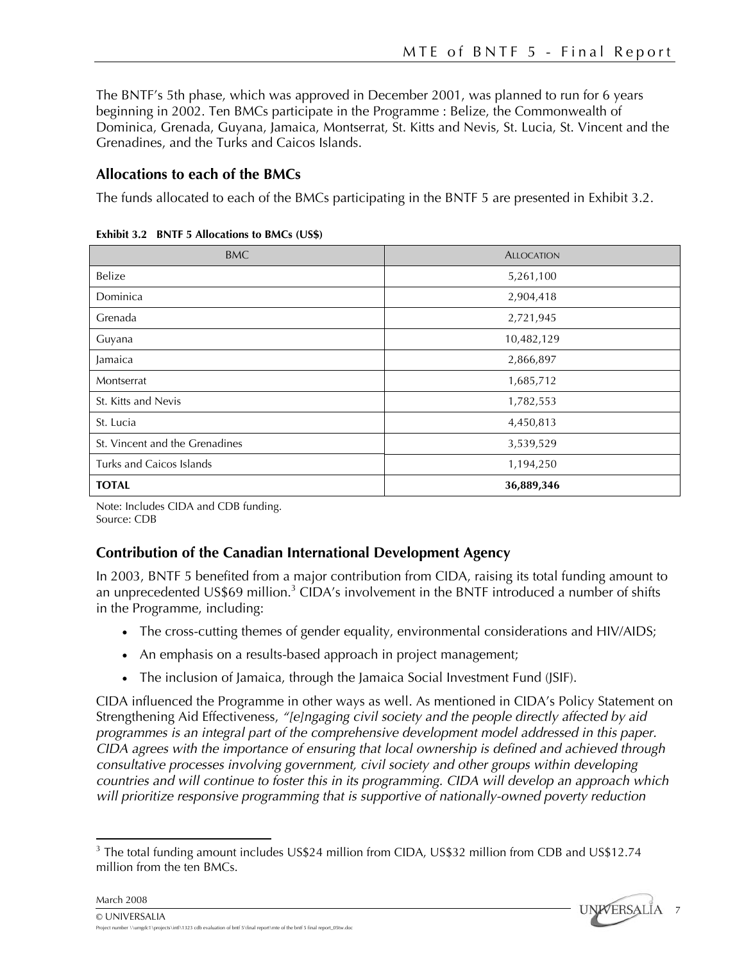The BNTF's 5th phase, which was approved in December 2001, was planned to run for 6 years beginning in 2002. Ten BMCs participate in the Programme : Belize, the Commonwealth of Dominica, Grenada, Guyana, Jamaica, Montserrat, St. Kitts and Nevis, St. Lucia, St. Vincent and the Grenadines, and the Turks and Caicos Islands.

### **Allocations to each of the BMCs**

The funds allocated to each of the BMCs participating in the BNTF 5 are presented in Exhibit 3.2.

| <b>BMC</b>                     | <b>ALLOCATION</b> |
|--------------------------------|-------------------|
| Belize                         | 5,261,100         |
| Dominica                       | 2,904,418         |
| Grenada                        | 2,721,945         |
| Guyana                         | 10,482,129        |
| Jamaica                        | 2,866,897         |
| Montserrat                     | 1,685,712         |
| St. Kitts and Nevis            | 1,782,553         |
| St. Lucia                      | 4,450,813         |
| St. Vincent and the Grenadines | 3,539,529         |
| Turks and Caicos Islands       | 1,194,250         |
| <b>TOTAL</b>                   | 36,889,346        |

**Exhibit 3.2 BNTF 5 Allocations to BMCs (US\$)** 

Note: Includes CIDA and CDB funding. Source: CDB

### **Contribution of the Canadian International Development Agency**

In 2003, BNTF 5 benefited from a major contribution from CIDA, raising its total funding amount to an unprecedented US\$69 million.<sup>3</sup> CIDA's involvement in the BNTF introduced a number of shifts in the Programme, including:

- The cross-cutting themes of gender equality, environmental considerations and HIV/AIDS;
- An emphasis on a results-based approach in project management;
- The inclusion of Jamaica, through the Jamaica Social Investment Fund (JSIF).

CIDA influenced the Programme in other ways as well. As mentioned in CIDA's Policy Statement on Strengthening Aid Effectiveness, *"[e]ngaging civil society and the people directly affected by aid programmes is an integral part of the comprehensive development model addressed in this paper. CIDA agrees with the importance of ensuring that local ownership is defined and achieved through consultative processes involving government, civil society and other groups within developing countries and will continue to foster this in its programming. CIDA will develop an approach which will prioritize responsive programming that is supportive of nationally-owned poverty reduction* 

<sup>1</sup>  $3$  The total funding amount includes US\$24 million from CIDA, US\$32 million from CDB and US\$12.74 million from the ten BMCs.

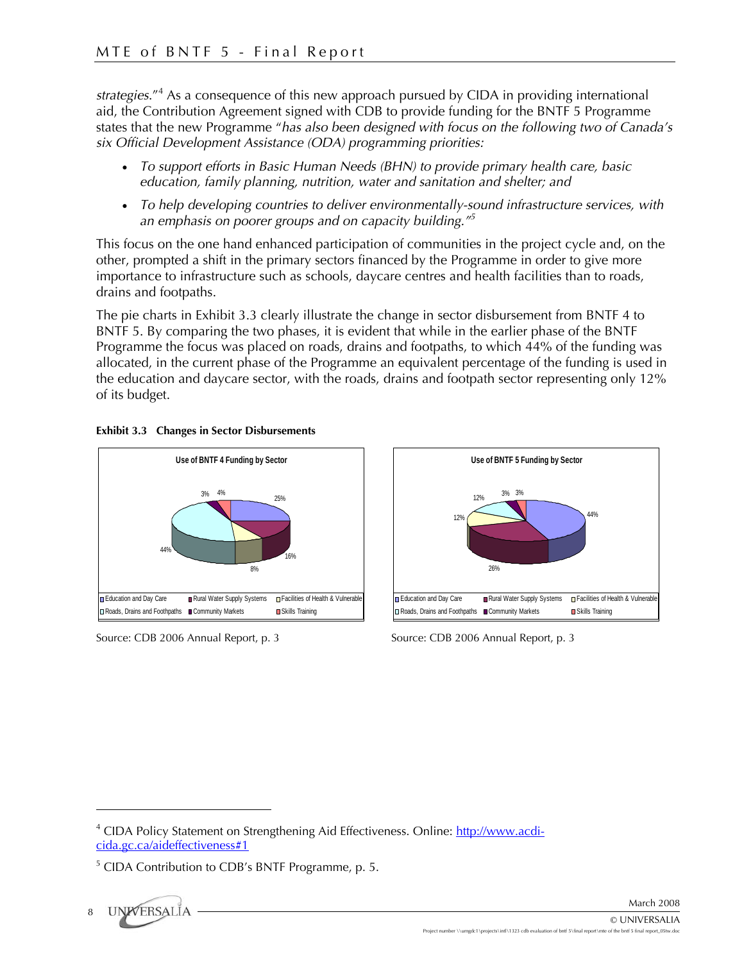strategies."<sup>4</sup> As a consequence of this new approach pursued by CIDA in providing international aid, the Contribution Agreement signed with CDB to provide funding for the BNTF 5 Programme states that the new Programme "*has also been designed with focus on the following two of Canada's six Official Development Assistance (ODA) programming priorities:* 

- *To support efforts in Basic Human Needs (BHN) to provide primary health care, basic education, family planning, nutrition, water and sanitation and shelter; and*
- *To help developing countries to deliver environmentally-sound infrastructure services, with an emphasis on poorer groups and on capacity building."5*

This focus on the one hand enhanced participation of communities in the project cycle and, on the other, prompted a shift in the primary sectors financed by the Programme in order to give more importance to infrastructure such as schools, daycare centres and health facilities than to roads, drains and footpaths.

The pie charts in Exhibit 3.3 clearly illustrate the change in sector disbursement from BNTF 4 to BNTF 5. By comparing the two phases, it is evident that while in the earlier phase of the BNTF Programme the focus was placed on roads, drains and footpaths, to which 44% of the funding was allocated, in the current phase of the Programme an equivalent percentage of the funding is used in the education and daycare sector, with the roads, drains and footpath sector representing only 12% of its budget.





Source: CDB 2006 Annual Report, p. 3



Source: CDB 2006 Annual Report, p. 3

1

<sup>&</sup>lt;sup>4</sup> CIDA Policy Statement on Strengthening Aid Effectiveness. Online: http://www.acdicida.gc.ca/aideffectiveness#1

<sup>&</sup>lt;sup>5</sup> CIDA Contribution to CDB's BNTF Programme, p. 5.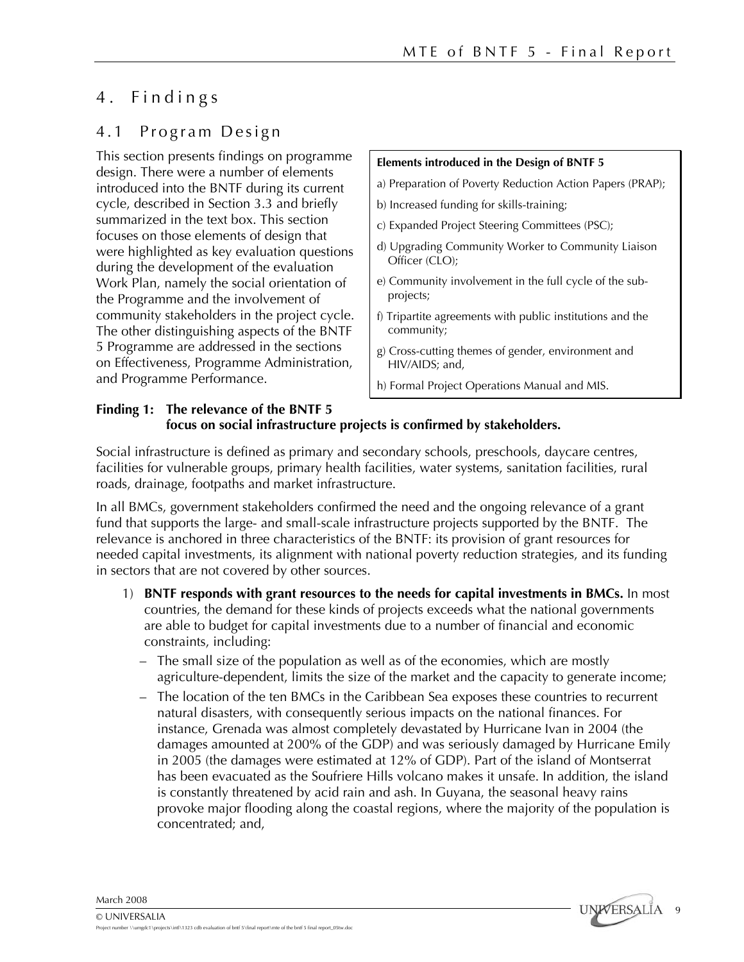### 4 . Findings

### 4.1 Program Design

This section presents findings on programme design. There were a number of elements introduced into the BNTF during its current cycle, described in Section 3.3 and briefly summarized in the text box. This section focuses on those elements of design that were highlighted as key evaluation questions during the development of the evaluation Work Plan, namely the social orientation of the Programme and the involvement of community stakeholders in the project cycle. The other distinguishing aspects of the BNTF 5 Programme are addressed in the sections on Effectiveness, Programme Administration, and Programme Performance.

#### **Elements introduced in the Design of BNTF 5**

- a) Preparation of Poverty Reduction Action Papers (PRAP);
- b) Increased funding for skills-training;
- c) Expanded Project Steering Committees (PSC);
- d) Upgrading Community Worker to Community Liaison Officer (CLO);
- e) Community involvement in the full cycle of the subprojects;
- f) Tripartite agreements with public institutions and the community;
- g) Cross-cutting themes of gender, environment and HIV/AIDS; and,
- h) Formal Project Operations Manual and MIS.

#### **Finding 1: The relevance of the BNTF 5 focus on social infrastructure projects is confirmed by stakeholders.**

Social infrastructure is defined as primary and secondary schools, preschools, daycare centres, facilities for vulnerable groups, primary health facilities, water systems, sanitation facilities, rural roads, drainage, footpaths and market infrastructure.

In all BMCs, government stakeholders confirmed the need and the ongoing relevance of a grant fund that supports the large- and small-scale infrastructure projects supported by the BNTF. The relevance is anchored in three characteristics of the BNTF: its provision of grant resources for needed capital investments, its alignment with national poverty reduction strategies, and its funding in sectors that are not covered by other sources.

- 1) **BNTF responds with grant resources to the needs for capital investments in BMCs.** In most countries, the demand for these kinds of projects exceeds what the national governments are able to budget for capital investments due to a number of financial and economic constraints, including:
	- The small size of the population as well as of the economies, which are mostly agriculture-dependent, limits the size of the market and the capacity to generate income;
	- The location of the ten BMCs in the Caribbean Sea exposes these countries to recurrent natural disasters, with consequently serious impacts on the national finances. For instance, Grenada was almost completely devastated by Hurricane Ivan in 2004 (the damages amounted at 200% of the GDP) and was seriously damaged by Hurricane Emily in 2005 (the damages were estimated at 12% of GDP). Part of the island of Montserrat has been evacuated as the Soufriere Hills volcano makes it unsafe. In addition, the island is constantly threatened by acid rain and ash. In Guyana, the seasonal heavy rains provoke major flooding along the coastal regions, where the majority of the population is concentrated; and,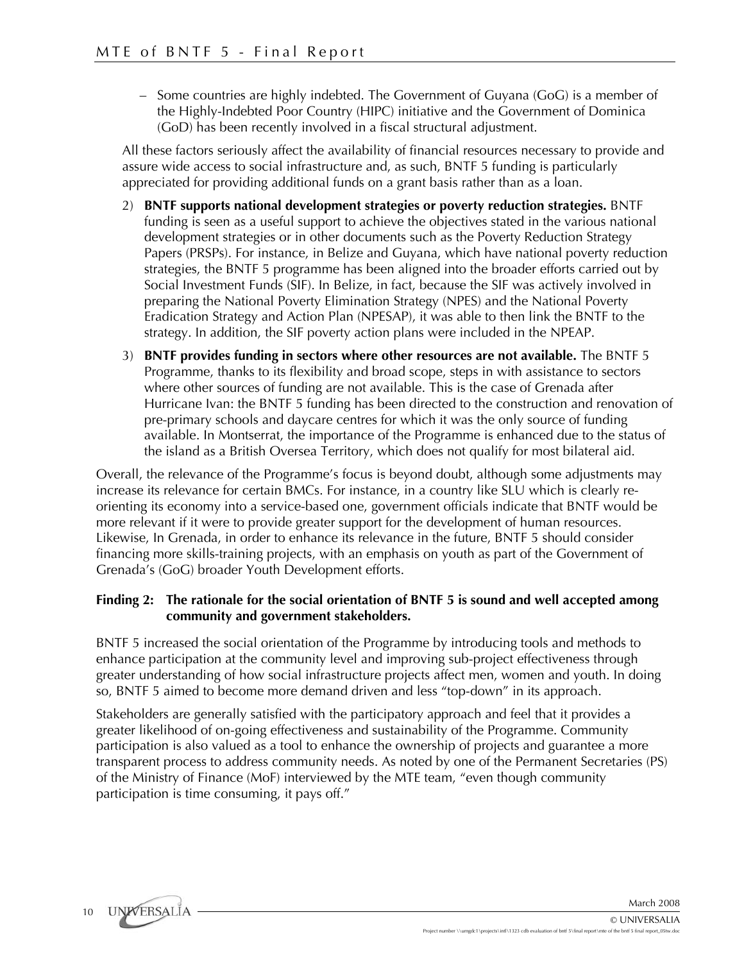– Some countries are highly indebted. The Government of Guyana (GoG) is a member of the Highly-Indebted Poor Country (HIPC) initiative and the Government of Dominica (GoD) has been recently involved in a fiscal structural adjustment.

All these factors seriously affect the availability of financial resources necessary to provide and assure wide access to social infrastructure and, as such, BNTF 5 funding is particularly appreciated for providing additional funds on a grant basis rather than as a loan.

- 2) **BNTF supports national development strategies or poverty reduction strategies.** BNTF funding is seen as a useful support to achieve the objectives stated in the various national development strategies or in other documents such as the Poverty Reduction Strategy Papers (PRSPs). For instance, in Belize and Guyana, which have national poverty reduction strategies, the BNTF 5 programme has been aligned into the broader efforts carried out by Social Investment Funds (SIF). In Belize, in fact, because the SIF was actively involved in preparing the National Poverty Elimination Strategy (NPES) and the National Poverty Eradication Strategy and Action Plan (NPESAP), it was able to then link the BNTF to the strategy. In addition, the SIF poverty action plans were included in the NPEAP.
- 3) **BNTF provides funding in sectors where other resources are not available.** The BNTF 5 Programme, thanks to its flexibility and broad scope, steps in with assistance to sectors where other sources of funding are not available. This is the case of Grenada after Hurricane Ivan: the BNTF 5 funding has been directed to the construction and renovation of pre-primary schools and daycare centres for which it was the only source of funding available. In Montserrat, the importance of the Programme is enhanced due to the status of the island as a British Oversea Territory, which does not qualify for most bilateral aid.

Overall, the relevance of the Programme's focus is beyond doubt, although some adjustments may increase its relevance for certain BMCs. For instance, in a country like SLU which is clearly reorienting its economy into a service-based one, government officials indicate that BNTF would be more relevant if it were to provide greater support for the development of human resources. Likewise, In Grenada, in order to enhance its relevance in the future, BNTF 5 should consider financing more skills-training projects, with an emphasis on youth as part of the Government of Grenada's (GoG) broader Youth Development efforts.

#### **Finding 2: The rationale for the social orientation of BNTF 5 is sound and well accepted among community and government stakeholders.**

BNTF 5 increased the social orientation of the Programme by introducing tools and methods to enhance participation at the community level and improving sub-project effectiveness through greater understanding of how social infrastructure projects affect men, women and youth. In doing so, BNTF 5 aimed to become more demand driven and less "top-down" in its approach.

Stakeholders are generally satisfied with the participatory approach and feel that it provides a greater likelihood of on-going effectiveness and sustainability of the Programme. Community participation is also valued as a tool to enhance the ownership of projects and guarantee a more transparent process to address community needs. As noted by one of the Permanent Secretaries (PS) of the Ministry of Finance (MoF) interviewed by the MTE team, "even though community participation is time consuming, it pays off."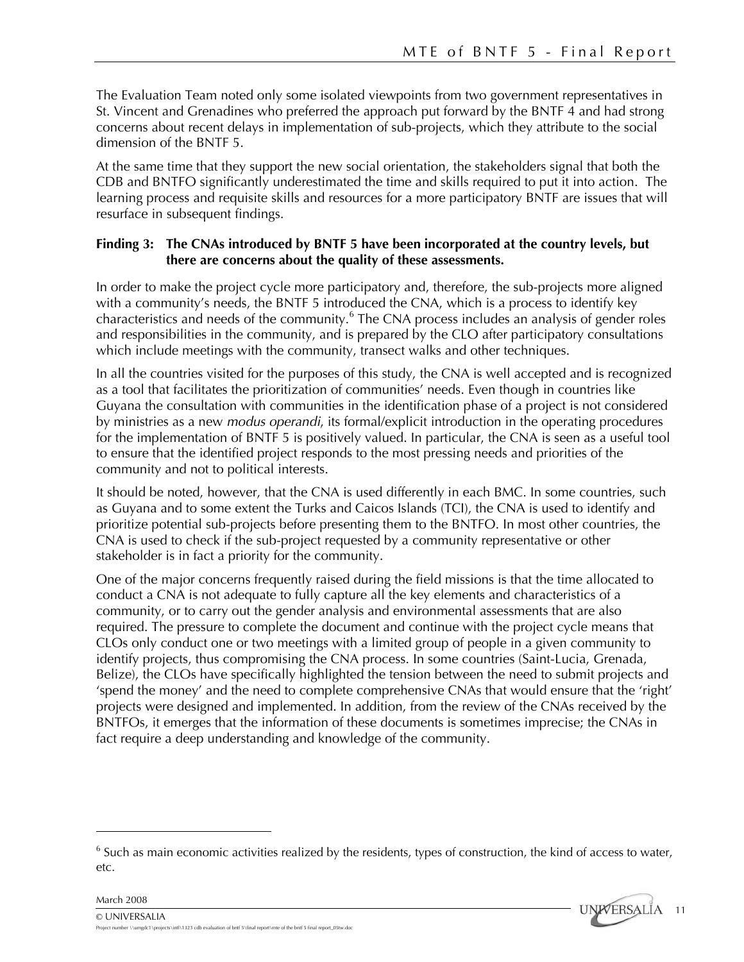The Evaluation Team noted only some isolated viewpoints from two government representatives in St. Vincent and Grenadines who preferred the approach put forward by the BNTF 4 and had strong concerns about recent delays in implementation of sub-projects, which they attribute to the social dimension of the BNTF 5.

At the same time that they support the new social orientation, the stakeholders signal that both the CDB and BNTFO significantly underestimated the time and skills required to put it into action. The learning process and requisite skills and resources for a more participatory BNTF are issues that will resurface in subsequent findings.

### **Finding 3: The CNAs introduced by BNTF 5 have been incorporated at the country levels, but there are concerns about the quality of these assessments.**

In order to make the project cycle more participatory and, therefore, the sub-projects more aligned with a community's needs, the BNTF 5 introduced the CNA, which is a process to identify key characteristics and needs of the community.<sup>6</sup> The CNA process includes an analysis of gender roles and responsibilities in the community, and is prepared by the CLO after participatory consultations which include meetings with the community, transect walks and other techniques.

In all the countries visited for the purposes of this study, the CNA is well accepted and is recognized as a tool that facilitates the prioritization of communities' needs. Even though in countries like Guyana the consultation with communities in the identification phase of a project is not considered by ministries as a new *modus operandi*, its formal/explicit introduction in the operating procedures for the implementation of BNTF 5 is positively valued. In particular, the CNA is seen as a useful tool to ensure that the identified project responds to the most pressing needs and priorities of the community and not to political interests.

It should be noted, however, that the CNA is used differently in each BMC. In some countries, such as Guyana and to some extent the Turks and Caicos Islands (TCI), the CNA is used to identify and prioritize potential sub-projects before presenting them to the BNTFO. In most other countries, the CNA is used to check if the sub-project requested by a community representative or other stakeholder is in fact a priority for the community.

One of the major concerns frequently raised during the field missions is that the time allocated to conduct a CNA is not adequate to fully capture all the key elements and characteristics of a community, or to carry out the gender analysis and environmental assessments that are also required. The pressure to complete the document and continue with the project cycle means that CLOs only conduct one or two meetings with a limited group of people in a given community to identify projects, thus compromising the CNA process. In some countries (Saint-Lucia, Grenada, Belize), the CLOs have specifically highlighted the tension between the need to submit projects and 'spend the money' and the need to complete comprehensive CNAs that would ensure that the 'right' projects were designed and implemented. In addition, from the review of the CNAs received by the BNTFOs, it emerges that the information of these documents is sometimes imprecise; the CNAs in fact require a deep understanding and knowledge of the community.

 $6$  Such as main economic activities realized by the residents, types of construction, the kind of access to water, etc.



March 2008

1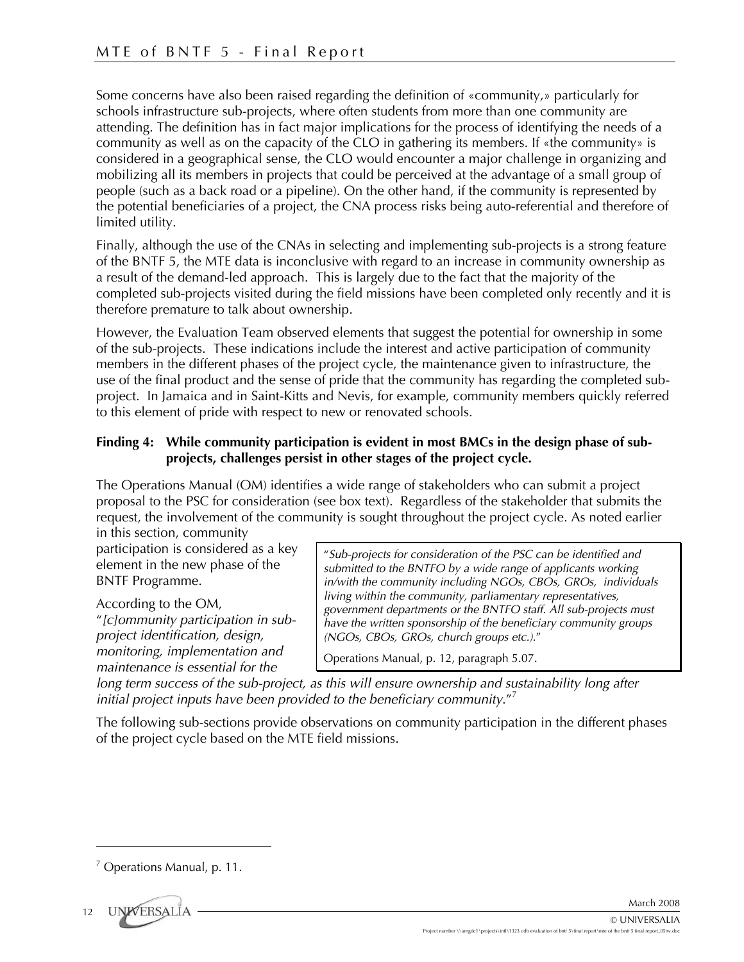Some concerns have also been raised regarding the definition of «community,» particularly for schools infrastructure sub-projects, where often students from more than one community are attending. The definition has in fact major implications for the process of identifying the needs of a community as well as on the capacity of the CLO in gathering its members. If «the community» is considered in a geographical sense, the CLO would encounter a major challenge in organizing and mobilizing all its members in projects that could be perceived at the advantage of a small group of people (such as a back road or a pipeline). On the other hand, if the community is represented by the potential beneficiaries of a project, the CNA process risks being auto-referential and therefore of limited utility.

Finally, although the use of the CNAs in selecting and implementing sub-projects is a strong feature of the BNTF 5, the MTE data is inconclusive with regard to an increase in community ownership as a result of the demand-led approach. This is largely due to the fact that the majority of the completed sub-projects visited during the field missions have been completed only recently and it is therefore premature to talk about ownership.

However, the Evaluation Team observed elements that suggest the potential for ownership in some of the sub-projects. These indications include the interest and active participation of community members in the different phases of the project cycle, the maintenance given to infrastructure, the use of the final product and the sense of pride that the community has regarding the completed subproject. In Jamaica and in Saint-Kitts and Nevis, for example, community members quickly referred to this element of pride with respect to new or renovated schools.

### **Finding 4: While community participation is evident in most BMCs in the design phase of subprojects, challenges persist in other stages of the project cycle.**

The Operations Manual (OM) identifies a wide range of stakeholders who can submit a project proposal to the PSC for consideration (see box text). Regardless of the stakeholder that submits the request, the involvement of the community is sought throughout the project cycle. As noted earlier

in this section, community participation is considered as a key element in the new phase of the BNTF Programme.

According to the OM,

"*[c]ommunity participation in subproject identification, design, monitoring, implementation and maintenance is essential for the* 

"*Sub-projects for consideration of the PSC can be identified and submitted to the BNTFO by a wide range of applicants working in/with the community including NGOs, CBOs, GROs, individuals living within the community, parliamentary representatives, government departments or the BNTFO staff. All sub-projects must have the written sponsorship of the beneficiary community groups (NGOs, CBOs, GROs, church groups etc.).*"

Operations Manual, p. 12, paragraph 5.07.

long term success of the sub-project, as this will ensure ownership and sustainability long after *initial project inputs have been provided to the beneficiary community*."<sup>7</sup>

The following sub-sections provide observations on community participation in the different phases of the project cycle based on the MTE field missions.

 $<sup>7</sup>$  Operations Manual, p. 11.</sup>



<u>.</u>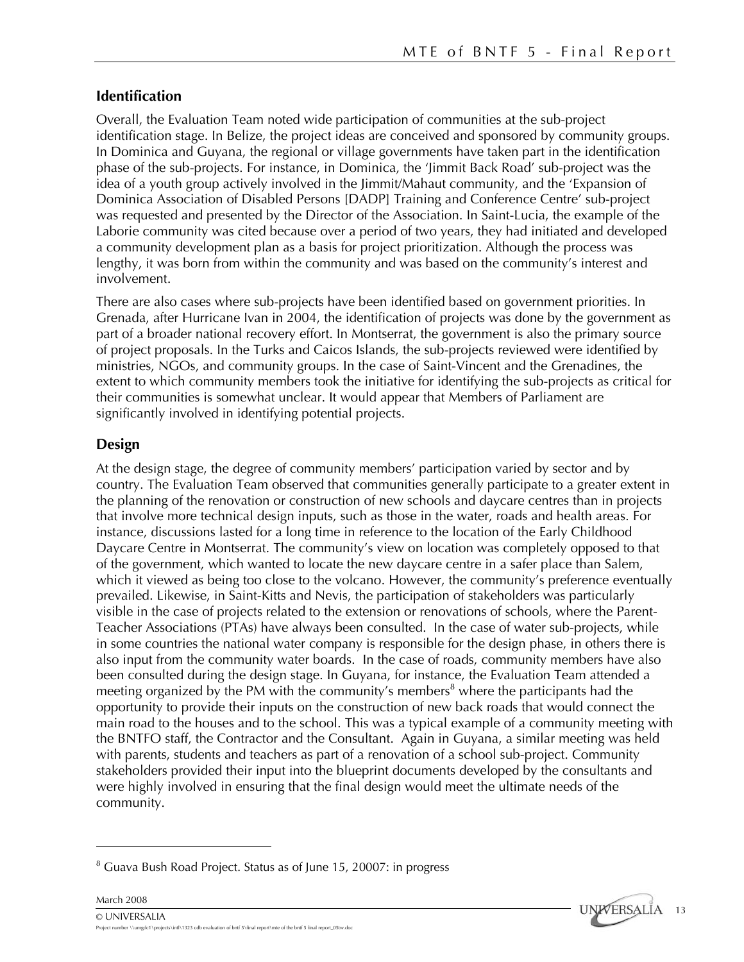### **Identification**

Overall, the Evaluation Team noted wide participation of communities at the sub-project identification stage. In Belize, the project ideas are conceived and sponsored by community groups. In Dominica and Guyana, the regional or village governments have taken part in the identification phase of the sub-projects. For instance, in Dominica, the 'Jimmit Back Road' sub-project was the idea of a youth group actively involved in the Jimmit/Mahaut community, and the 'Expansion of Dominica Association of Disabled Persons [DADP] Training and Conference Centre' sub-project was requested and presented by the Director of the Association. In Saint-Lucia, the example of the Laborie community was cited because over a period of two years, they had initiated and developed a community development plan as a basis for project prioritization. Although the process was lengthy, it was born from within the community and was based on the community's interest and involvement.

There are also cases where sub-projects have been identified based on government priorities. In Grenada, after Hurricane Ivan in 2004, the identification of projects was done by the government as part of a broader national recovery effort. In Montserrat, the government is also the primary source of project proposals. In the Turks and Caicos Islands, the sub-projects reviewed were identified by ministries, NGOs, and community groups. In the case of Saint-Vincent and the Grenadines, the extent to which community members took the initiative for identifying the sub-projects as critical for their communities is somewhat unclear. It would appear that Members of Parliament are significantly involved in identifying potential projects.

### **Design**

March 2008

<u>.</u>

At the design stage, the degree of community members' participation varied by sector and by country. The Evaluation Team observed that communities generally participate to a greater extent in the planning of the renovation or construction of new schools and daycare centres than in projects that involve more technical design inputs, such as those in the water, roads and health areas. For instance, discussions lasted for a long time in reference to the location of the Early Childhood Daycare Centre in Montserrat. The community's view on location was completely opposed to that of the government, which wanted to locate the new daycare centre in a safer place than Salem, which it viewed as being too close to the volcano. However, the community's preference eventually prevailed. Likewise, in Saint-Kitts and Nevis, the participation of stakeholders was particularly visible in the case of projects related to the extension or renovations of schools, where the Parent-Teacher Associations (PTAs) have always been consulted. In the case of water sub-projects, while in some countries the national water company is responsible for the design phase, in others there is also input from the community water boards. In the case of roads, community members have also been consulted during the design stage. In Guyana, for instance, the Evaluation Team attended a meeting organized by the PM with the community's members<sup>8</sup> where the participants had the opportunity to provide their inputs on the construction of new back roads that would connect the main road to the houses and to the school. This was a typical example of a community meeting with the BNTFO staff, the Contractor and the Consultant. Again in Guyana, a similar meeting was held with parents, students and teachers as part of a renovation of a school sub-project. Community stakeholders provided their input into the blueprint documents developed by the consultants and were highly involved in ensuring that the final design would meet the ultimate needs of the community.



<sup>&</sup>lt;sup>8</sup> Guava Bush Road Project. Status as of June 15, 20007: in progress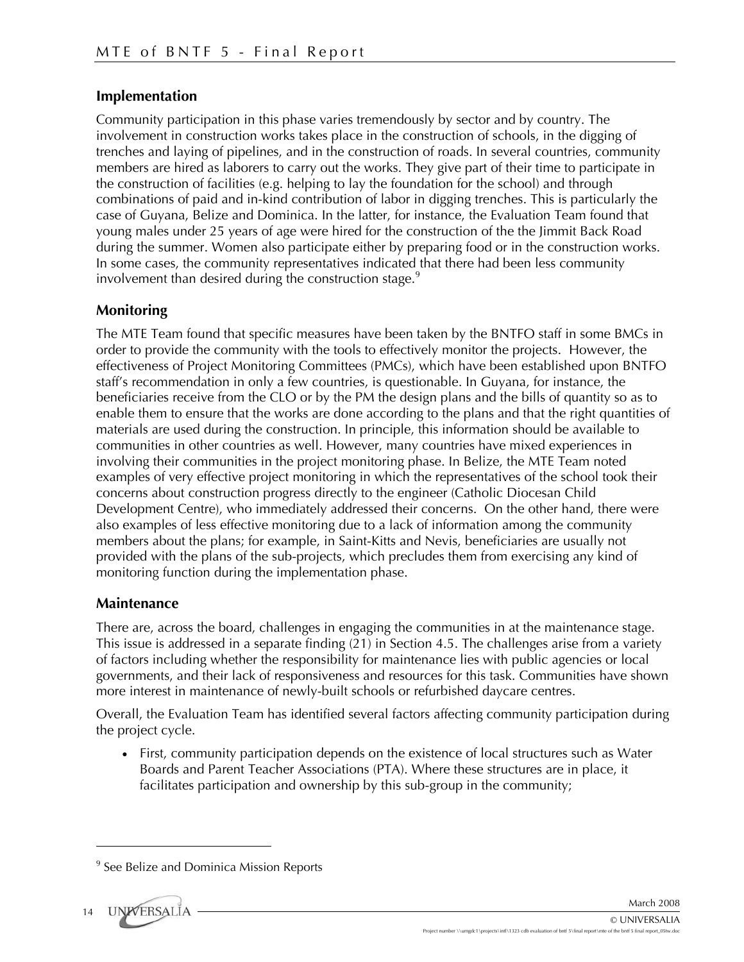### **Implementation**

Community participation in this phase varies tremendously by sector and by country. The involvement in construction works takes place in the construction of schools, in the digging of trenches and laying of pipelines, and in the construction of roads. In several countries, community members are hired as laborers to carry out the works. They give part of their time to participate in the construction of facilities (e.g. helping to lay the foundation for the school) and through combinations of paid and in-kind contribution of labor in digging trenches. This is particularly the case of Guyana, Belize and Dominica. In the latter, for instance, the Evaluation Team found that young males under 25 years of age were hired for the construction of the the Jimmit Back Road during the summer. Women also participate either by preparing food or in the construction works. In some cases, the community representatives indicated that there had been less community involvement than desired during the construction stage.<sup>9</sup>

### **Monitoring**

The MTE Team found that specific measures have been taken by the BNTFO staff in some BMCs in order to provide the community with the tools to effectively monitor the projects. However, the effectiveness of Project Monitoring Committees (PMCs), which have been established upon BNTFO staff's recommendation in only a few countries, is questionable. In Guyana, for instance, the beneficiaries receive from the CLO or by the PM the design plans and the bills of quantity so as to enable them to ensure that the works are done according to the plans and that the right quantities of materials are used during the construction. In principle, this information should be available to communities in other countries as well. However, many countries have mixed experiences in involving their communities in the project monitoring phase. In Belize, the MTE Team noted examples of very effective project monitoring in which the representatives of the school took their concerns about construction progress directly to the engineer (Catholic Diocesan Child Development Centre), who immediately addressed their concerns. On the other hand, there were also examples of less effective monitoring due to a lack of information among the community members about the plans; for example, in Saint-Kitts and Nevis, beneficiaries are usually not provided with the plans of the sub-projects, which precludes them from exercising any kind of monitoring function during the implementation phase.

### **Maintenance**

There are, across the board, challenges in engaging the communities in at the maintenance stage. This issue is addressed in a separate finding (21) in Section 4.5. The challenges arise from a variety of factors including whether the responsibility for maintenance lies with public agencies or local governments, and their lack of responsiveness and resources for this task. Communities have shown more interest in maintenance of newly-built schools or refurbished daycare centres.

Overall, the Evaluation Team has identified several factors affecting community participation during the project cycle.

• First, community participation depends on the existence of local structures such as Water Boards and Parent Teacher Associations (PTA). Where these structures are in place, it facilitates participation and ownership by this sub-group in the community;

<sup>&</sup>lt;sup>9</sup> See Belize and Dominica Mission Reports



<u>.</u>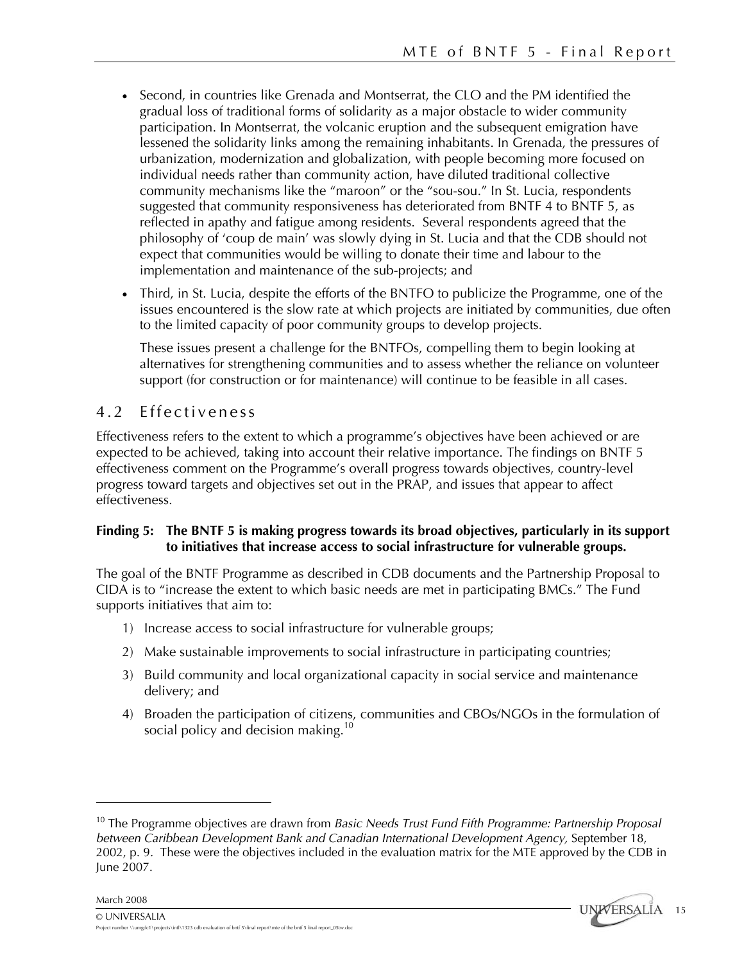- Second, in countries like Grenada and Montserrat, the CLO and the PM identified the gradual loss of traditional forms of solidarity as a major obstacle to wider community participation. In Montserrat, the volcanic eruption and the subsequent emigration have lessened the solidarity links among the remaining inhabitants. In Grenada, the pressures of urbanization, modernization and globalization, with people becoming more focused on individual needs rather than community action, have diluted traditional collective community mechanisms like the "maroon" or the "sou-sou." In St. Lucia, respondents suggested that community responsiveness has deteriorated from BNTF 4 to BNTF 5, as reflected in apathy and fatigue among residents. Several respondents agreed that the philosophy of 'coup de main' was slowly dying in St. Lucia and that the CDB should not expect that communities would be willing to donate their time and labour to the implementation and maintenance of the sub-projects; and
- Third, in St. Lucia, despite the efforts of the BNTFO to publicize the Programme, one of the issues encountered is the slow rate at which projects are initiated by communities, due often to the limited capacity of poor community groups to develop projects.

These issues present a challenge for the BNTFOs, compelling them to begin looking at alternatives for strengthening communities and to assess whether the reliance on volunteer support (for construction or for maintenance) will continue to be feasible in all cases.

### 4.2 Effectiveness

Effectiveness refers to the extent to which a programme's objectives have been achieved or are expected to be achieved, taking into account their relative importance. The findings on BNTF 5 effectiveness comment on the Programme's overall progress towards objectives, country-level progress toward targets and objectives set out in the PRAP, and issues that appear to affect effectiveness.

### **Finding 5: The BNTF 5 is making progress towards its broad objectives, particularly in its support to initiatives that increase access to social infrastructure for vulnerable groups.**

The goal of the BNTF Programme as described in CDB documents and the Partnership Proposal to CIDA is to "increase the extent to which basic needs are met in participating BMCs." The Fund supports initiatives that aim to:

- 1) Increase access to social infrastructure for vulnerable groups;
- 2) Make sustainable improvements to social infrastructure in participating countries;
- 3) Build community and local organizational capacity in social service and maintenance delivery; and
- 4) Broaden the participation of citizens, communities and CBOs/NGOs in the formulation of social policy and decision making.<sup>10</sup>

March 2008

<u>.</u>

<sup>10</sup> The Programme objectives are drawn from *Basic Needs Trust Fund Fifth Programme: Partnership Proposal between Caribbean Development Bank and Canadian International Development Agency,* September 18, 2002, p. 9. These were the objectives included in the evaluation matrix for the MTE approved by the CDB in June 2007.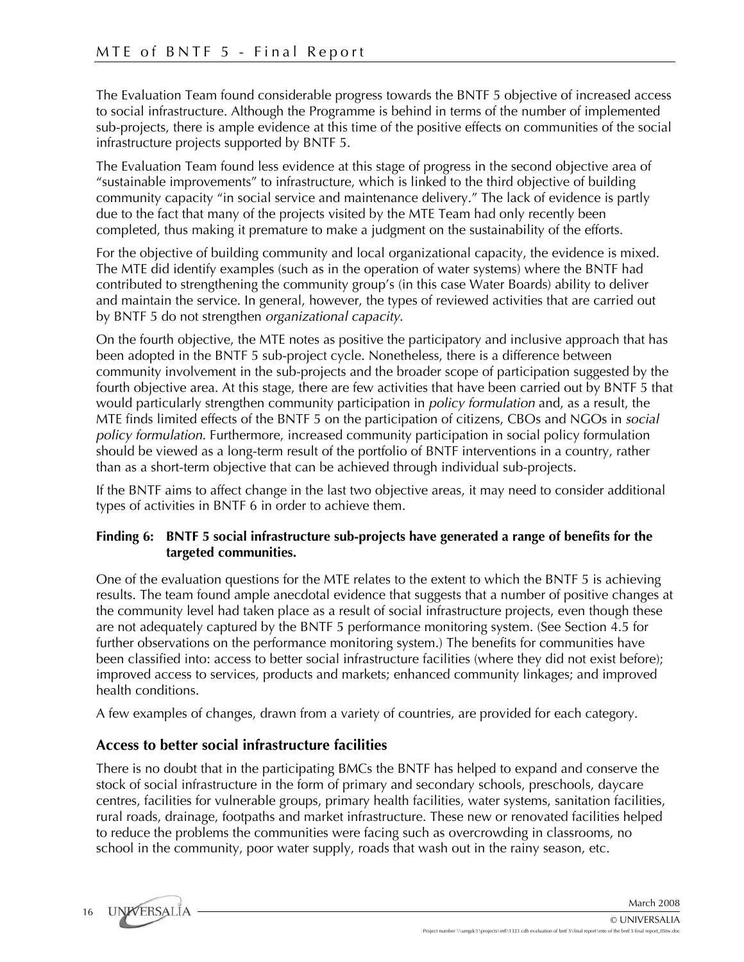The Evaluation Team found considerable progress towards the BNTF 5 objective of increased access to social infrastructure. Although the Programme is behind in terms of the number of implemented sub-projects, there is ample evidence at this time of the positive effects on communities of the social infrastructure projects supported by BNTF 5.

The Evaluation Team found less evidence at this stage of progress in the second objective area of "sustainable improvements" to infrastructure, which is linked to the third objective of building community capacity "in social service and maintenance delivery." The lack of evidence is partly due to the fact that many of the projects visited by the MTE Team had only recently been completed, thus making it premature to make a judgment on the sustainability of the efforts.

For the objective of building community and local organizational capacity, the evidence is mixed. The MTE did identify examples (such as in the operation of water systems) where the BNTF had contributed to strengthening the community group's (in this case Water Boards) ability to deliver and maintain the service. In general, however, the types of reviewed activities that are carried out by BNTF 5 do not strengthen *organizational capacity*.

On the fourth objective, the MTE notes as positive the participatory and inclusive approach that has been adopted in the BNTF 5 sub-project cycle. Nonetheless, there is a difference between community involvement in the sub-projects and the broader scope of participation suggested by the fourth objective area. At this stage, there are few activities that have been carried out by BNTF 5 that would particularly strengthen community participation in *policy formulation* and, as a result, the MTE finds limited effects of the BNTF 5 on the participation of citizens, CBOs and NGOs in *social policy formulation.* Furthermore, increased community participation in social policy formulation should be viewed as a long-term result of the portfolio of BNTF interventions in a country, rather than as a short-term objective that can be achieved through individual sub-projects.

If the BNTF aims to affect change in the last two objective areas, it may need to consider additional types of activities in BNTF 6 in order to achieve them.

#### **Finding 6: BNTF 5 social infrastructure sub-projects have generated a range of benefits for the targeted communities.**

One of the evaluation questions for the MTE relates to the extent to which the BNTF 5 is achieving results. The team found ample anecdotal evidence that suggests that a number of positive changes at the community level had taken place as a result of social infrastructure projects, even though these are not adequately captured by the BNTF 5 performance monitoring system. (See Section 4.5 for further observations on the performance monitoring system.) The benefits for communities have been classified into: access to better social infrastructure facilities (where they did not exist before); improved access to services, products and markets; enhanced community linkages; and improved health conditions.

A few examples of changes, drawn from a variety of countries, are provided for each category.

### **Access to better social infrastructure facilities**

There is no doubt that in the participating BMCs the BNTF has helped to expand and conserve the stock of social infrastructure in the form of primary and secondary schools, preschools, daycare centres, facilities for vulnerable groups, primary health facilities, water systems, sanitation facilities, rural roads, drainage, footpaths and market infrastructure. These new or renovated facilities helped to reduce the problems the communities were facing such as overcrowding in classrooms, no school in the community, poor water supply, roads that wash out in the rainy season, etc.

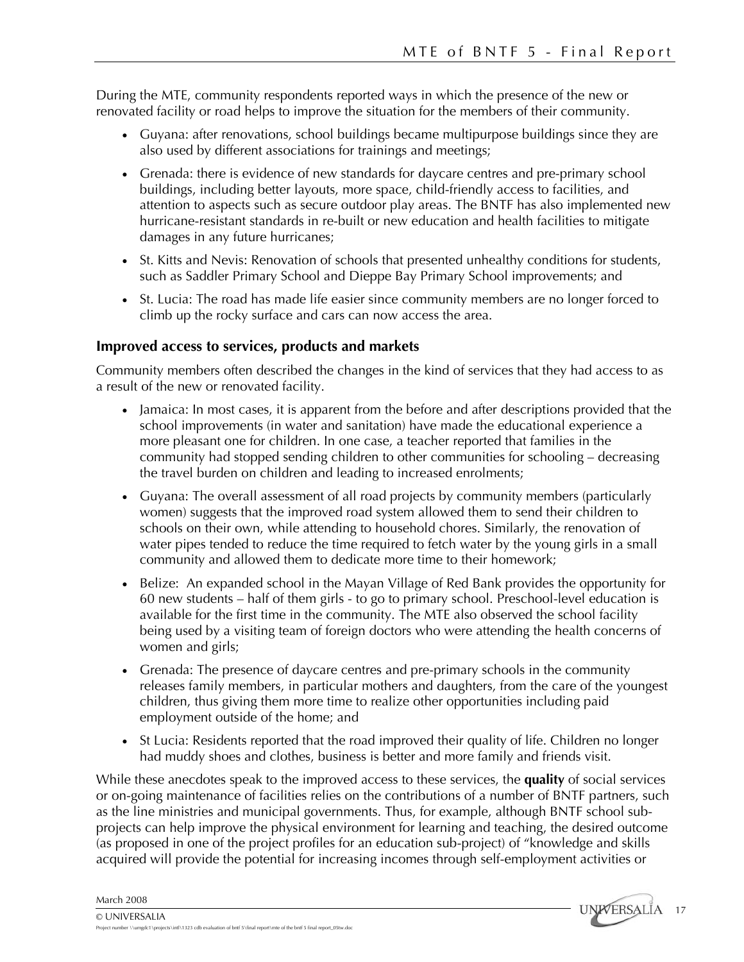During the MTE, community respondents reported ways in which the presence of the new or renovated facility or road helps to improve the situation for the members of their community.

- Guyana: after renovations, school buildings became multipurpose buildings since they are also used by different associations for trainings and meetings;
- Grenada: there is evidence of new standards for daycare centres and pre-primary school buildings, including better layouts, more space, child-friendly access to facilities, and attention to aspects such as secure outdoor play areas. The BNTF has also implemented new hurricane-resistant standards in re-built or new education and health facilities to mitigate damages in any future hurricanes;
- St. Kitts and Nevis: Renovation of schools that presented unhealthy conditions for students, such as Saddler Primary School and Dieppe Bay Primary School improvements; and
- St. Lucia: The road has made life easier since community members are no longer forced to climb up the rocky surface and cars can now access the area.

### **Improved access to services, products and markets**

Community members often described the changes in the kind of services that they had access to as a result of the new or renovated facility.

- Jamaica: In most cases, it is apparent from the before and after descriptions provided that the school improvements (in water and sanitation) have made the educational experience a more pleasant one for children. In one case, a teacher reported that families in the community had stopped sending children to other communities for schooling – decreasing the travel burden on children and leading to increased enrolments;
- Guyana: The overall assessment of all road projects by community members (particularly women) suggests that the improved road system allowed them to send their children to schools on their own, while attending to household chores. Similarly, the renovation of water pipes tended to reduce the time required to fetch water by the young girls in a small community and allowed them to dedicate more time to their homework;
- Belize: An expanded school in the Mayan Village of Red Bank provides the opportunity for 60 new students – half of them girls - to go to primary school. Preschool-level education is available for the first time in the community. The MTE also observed the school facility being used by a visiting team of foreign doctors who were attending the health concerns of women and girls;
- Grenada: The presence of daycare centres and pre-primary schools in the community releases family members, in particular mothers and daughters, from the care of the youngest children, thus giving them more time to realize other opportunities including paid employment outside of the home; and
- St Lucia: Residents reported that the road improved their quality of life. Children no longer had muddy shoes and clothes, business is better and more family and friends visit.

While these anecdotes speak to the improved access to these services, the **quality** of social services or on-going maintenance of facilities relies on the contributions of a number of BNTF partners, such as the line ministries and municipal governments. Thus, for example, although BNTF school subprojects can help improve the physical environment for learning and teaching, the desired outcome (as proposed in one of the project profiles for an education sub-project) of "knowledge and skills acquired will provide the potential for increasing incomes through self-employment activities or

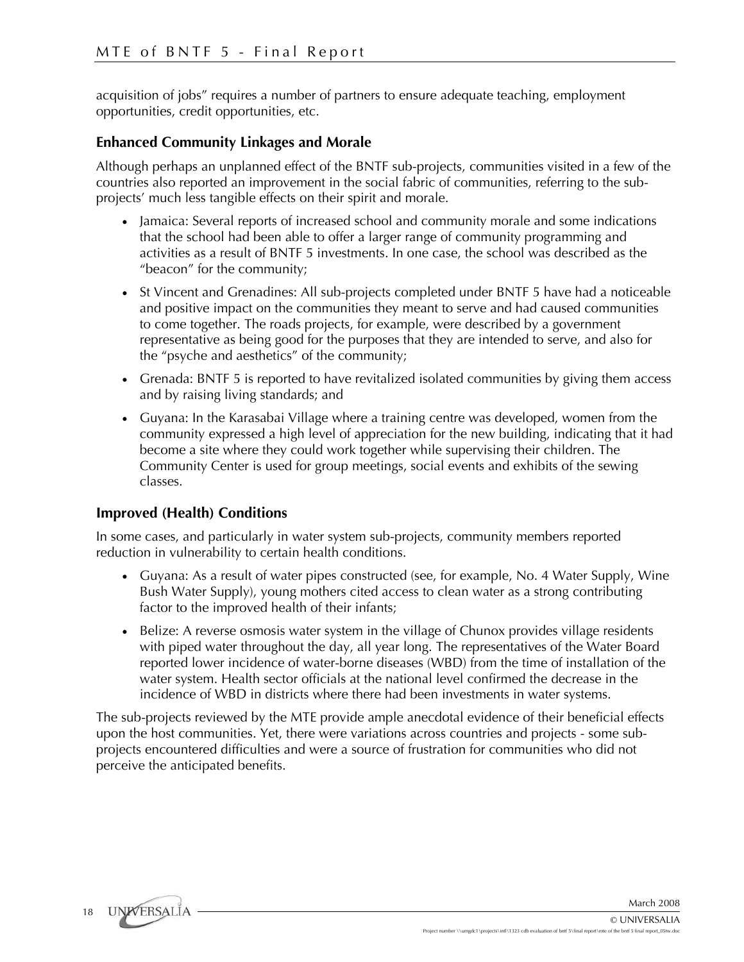acquisition of jobs" requires a number of partners to ensure adequate teaching, employment opportunities, credit opportunities, etc.

### **Enhanced Community Linkages and Morale**

Although perhaps an unplanned effect of the BNTF sub-projects, communities visited in a few of the countries also reported an improvement in the social fabric of communities, referring to the subprojects' much less tangible effects on their spirit and morale.

- Jamaica: Several reports of increased school and community morale and some indications that the school had been able to offer a larger range of community programming and activities as a result of BNTF 5 investments. In one case, the school was described as the "beacon" for the community;
- St Vincent and Grenadines: All sub-projects completed under BNTF 5 have had a noticeable and positive impact on the communities they meant to serve and had caused communities to come together. The roads projects, for example, were described by a government representative as being good for the purposes that they are intended to serve, and also for the "psyche and aesthetics" of the community;
- Grenada: BNTF 5 is reported to have revitalized isolated communities by giving them access and by raising living standards; and
- Guyana: In the Karasabai Village where a training centre was developed, women from the community expressed a high level of appreciation for the new building, indicating that it had become a site where they could work together while supervising their children. The Community Center is used for group meetings, social events and exhibits of the sewing classes.

### **Improved (Health) Conditions**

In some cases, and particularly in water system sub-projects, community members reported reduction in vulnerability to certain health conditions.

- Guyana: As a result of water pipes constructed (see, for example, No. 4 Water Supply, Wine Bush Water Supply), young mothers cited access to clean water as a strong contributing factor to the improved health of their infants;
- Belize: A reverse osmosis water system in the village of Chunox provides village residents with piped water throughout the day, all year long. The representatives of the Water Board reported lower incidence of water-borne diseases (WBD) from the time of installation of the water system. Health sector officials at the national level confirmed the decrease in the incidence of WBD in districts where there had been investments in water systems.

The sub-projects reviewed by the MTE provide ample anecdotal evidence of their beneficial effects upon the host communities. Yet, there were variations across countries and projects - some subprojects encountered difficulties and were a source of frustration for communities who did not perceive the anticipated benefits.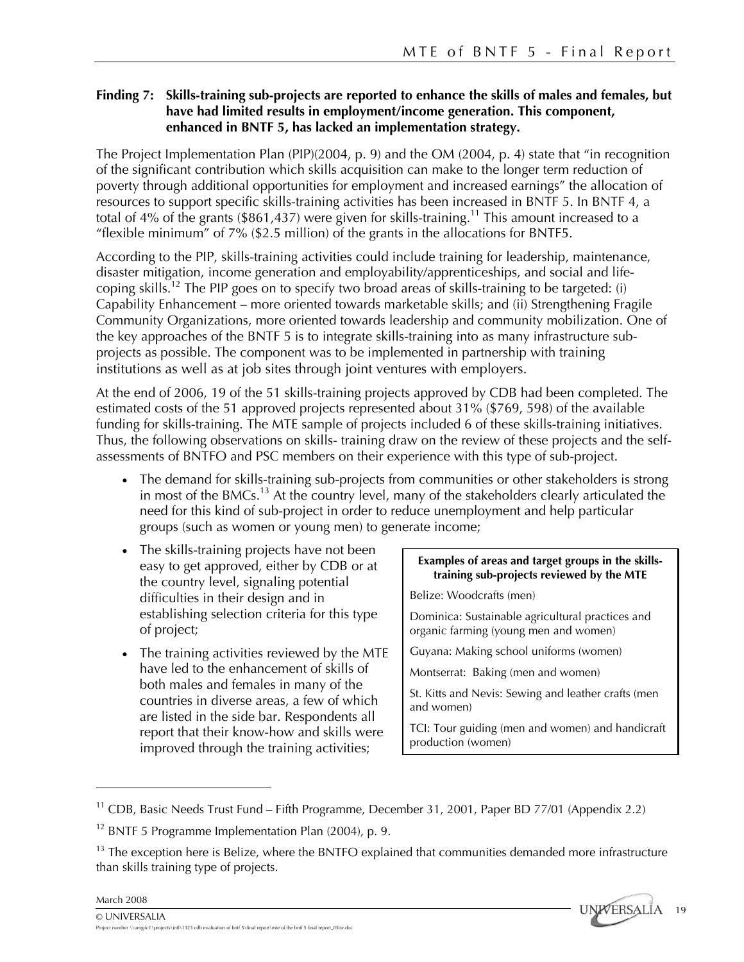### **Finding 7: Skills-training sub-projects are reported to enhance the skills of males and females, but have had limited results in employment/income generation. This component, enhanced in BNTF 5, has lacked an implementation strategy.**

The Project Implementation Plan (PIP)(2004, p. 9) and the OM (2004, p. 4) state that "in recognition of the significant contribution which skills acquisition can make to the longer term reduction of poverty through additional opportunities for employment and increased earnings" the allocation of resources to support specific skills-training activities has been increased in BNTF 5. In BNTF 4, a total of 4% of the grants (\$861,437) were given for skills-training.<sup>11</sup> This amount increased to a "flexible minimum" of 7% (\$2.5 million) of the grants in the allocations for BNTF5.

According to the PIP, skills-training activities could include training for leadership, maintenance, disaster mitigation, income generation and employability/apprenticeships, and social and lifecoping skills.12 The PIP goes on to specify two broad areas of skills-training to be targeted: (i) Capability Enhancement – more oriented towards marketable skills; and (ii) Strengthening Fragile Community Organizations, more oriented towards leadership and community mobilization. One of the key approaches of the BNTF 5 is to integrate skills-training into as many infrastructure subprojects as possible. The component was to be implemented in partnership with training institutions as well as at job sites through joint ventures with employers.

At the end of 2006, 19 of the 51 skills-training projects approved by CDB had been completed. The estimated costs of the 51 approved projects represented about 31% (\$769, 598) of the available funding for skills-training. The MTE sample of projects included 6 of these skills-training initiatives. Thus, the following observations on skills- training draw on the review of these projects and the selfassessments of BNTFO and PSC members on their experience with this type of sub-project.

- The demand for skills-training sub-projects from communities or other stakeholders is strong in most of the BMCs.<sup>13</sup> At the country level, many of the stakeholders clearly articulated the need for this kind of sub-project in order to reduce unemployment and help particular groups (such as women or young men) to generate income;
- The skills-training projects have not been easy to get approved, either by CDB or at the country level, signaling potential difficulties in their design and in establishing selection criteria for this type of project;
- The training activities reviewed by the MTE have led to the enhancement of skills of both males and females in many of the countries in diverse areas, a few of which are listed in the side bar. Respondents all report that their know-how and skills were improved through the training activities;

# **Examples of areas and target groups in the skillstraining sub-projects reviewed by the MTE**

Belize: Woodcrafts (men)

Dominica: Sustainable agricultural practices and organic farming (young men and women)

Guyana: Making school uniforms (women)

Montserrat: Baking (men and women)

St. Kitts and Nevis: Sewing and leather crafts (men and women)

TCI: Tour guiding (men and women) and handicraft production (women)

<u>.</u>



<sup>&</sup>lt;sup>11</sup> CDB, Basic Needs Trust Fund – Fifth Programme, December 31, 2001, Paper BD 77/01 (Appendix 2.2)

 $12$  BNTF 5 Programme Implementation Plan (2004), p. 9.

<sup>&</sup>lt;sup>13</sup> The exception here is Belize, where the BNTFO explained that communities demanded more infrastructure than skills training type of projects.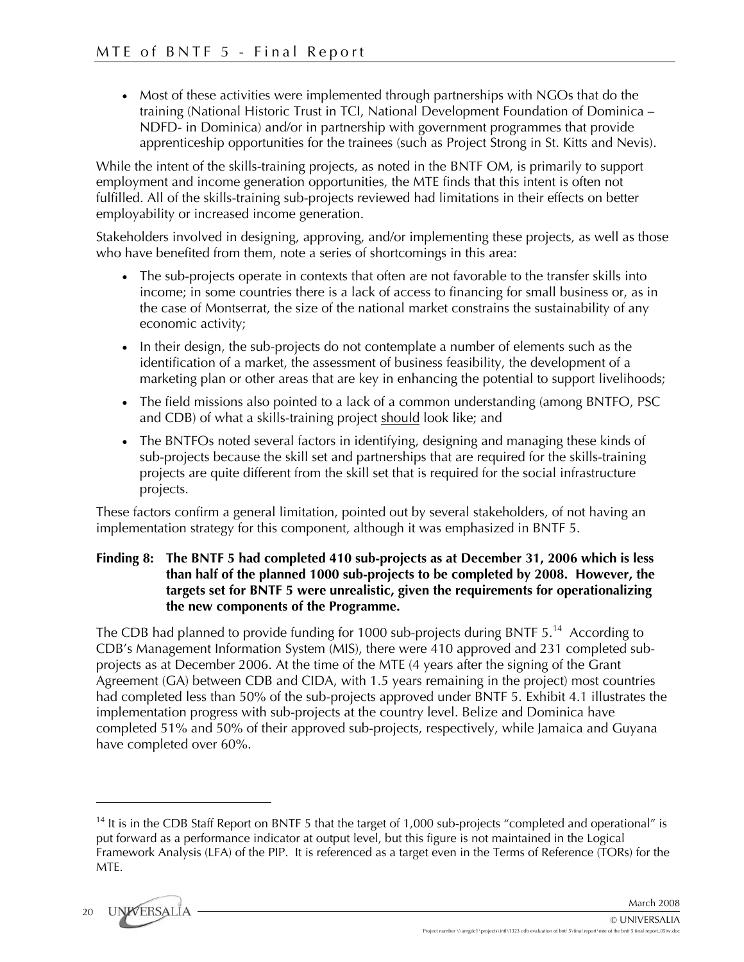• Most of these activities were implemented through partnerships with NGOs that do the training (National Historic Trust in TCI, National Development Foundation of Dominica – NDFD- in Dominica) and/or in partnership with government programmes that provide apprenticeship opportunities for the trainees (such as Project Strong in St. Kitts and Nevis).

While the intent of the skills-training projects, as noted in the BNTF OM, is primarily to support employment and income generation opportunities, the MTE finds that this intent is often not fulfilled. All of the skills-training sub-projects reviewed had limitations in their effects on better employability or increased income generation.

Stakeholders involved in designing, approving, and/or implementing these projects, as well as those who have benefited from them, note a series of shortcomings in this area:

- The sub-projects operate in contexts that often are not favorable to the transfer skills into income; in some countries there is a lack of access to financing for small business or, as in the case of Montserrat, the size of the national market constrains the sustainability of any economic activity;
- In their design, the sub-projects do not contemplate a number of elements such as the identification of a market, the assessment of business feasibility, the development of a marketing plan or other areas that are key in enhancing the potential to support livelihoods;
- The field missions also pointed to a lack of a common understanding (among BNTFO, PSC and CDB) of what a skills-training project should look like; and
- The BNTFOs noted several factors in identifying, designing and managing these kinds of sub-projects because the skill set and partnerships that are required for the skills-training projects are quite different from the skill set that is required for the social infrastructure projects.

These factors confirm a general limitation, pointed out by several stakeholders, of not having an implementation strategy for this component, although it was emphasized in BNTF 5.

### **Finding 8: The BNTF 5 had completed 410 sub-projects as at December 31, 2006 which is less than half of the planned 1000 sub-projects to be completed by 2008. However, the targets set for BNTF 5 were unrealistic, given the requirements for operationalizing the new components of the Programme.**

The CDB had planned to provide funding for 1000 sub-projects during BNTF 5.<sup>14</sup> According to CDB's Management Information System (MIS), there were 410 approved and 231 completed subprojects as at December 2006. At the time of the MTE (4 years after the signing of the Grant Agreement (GA) between CDB and CIDA, with 1.5 years remaining in the project) most countries had completed less than 50% of the sub-projects approved under BNTF 5. Exhibit 4.1 illustrates the implementation progress with sub-projects at the country level. Belize and Dominica have completed 51% and 50% of their approved sub-projects, respectively, while Jamaica and Guyana have completed over 60%.

<sup>&</sup>lt;sup>14</sup> It is in the CDB Staff Report on BNTF 5 that the target of 1,000 sub-projects "completed and operational" is put forward as a performance indicator at output level, but this figure is not maintained in the Logical Framework Analysis (LFA) of the PIP. It is referenced as a target even in the Terms of Reference (TORs) for the MTE.



<u>.</u>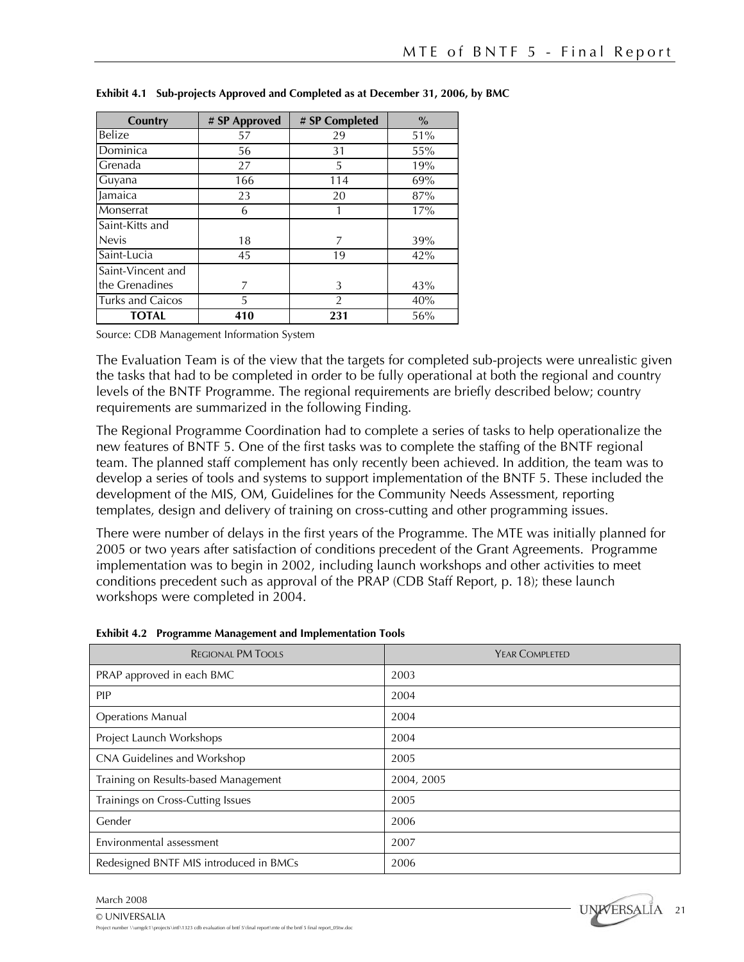| Country           | # SP Approved |     | $\%$ |
|-------------------|---------------|-----|------|
| Belize            | 57            | 29  | 51%  |
| Dominica          | 56            | 31  | 55%  |
| Grenada           | 27            | 5   | 19%  |
| Guyana            | 166           | 114 | 69%  |
| Jamaica           | 23            | 20  | 87%  |
| Monserrat         | 6             |     | 17%  |
| Saint-Kitts and   |               |     |      |
| <b>Nevis</b>      | 18            | 7   | 39%  |
| Saint-Lucia       | 45            | 19  | 42%  |
| Saint-Vincent and |               |     |      |
| the Grenadines    |               | 3   | 43%  |
| Turks and Caicos  | 5             | 2   | 40%  |
| <b>TOTAL</b>      | 410           | 231 | 56%  |

**Exhibit 4.1 Sub-projects Approved and Completed as at December 31, 2006, by BMC** 

Source: CDB Management Information System

The Evaluation Team is of the view that the targets for completed sub-projects were unrealistic given the tasks that had to be completed in order to be fully operational at both the regional and country levels of the BNTF Programme. The regional requirements are briefly described below; country requirements are summarized in the following Finding.

The Regional Programme Coordination had to complete a series of tasks to help operationalize the new features of BNTF 5. One of the first tasks was to complete the staffing of the BNTF regional team. The planned staff complement has only recently been achieved. In addition, the team was to develop a series of tools and systems to support implementation of the BNTF 5. These included the development of the MIS, OM, Guidelines for the Community Needs Assessment, reporting templates, design and delivery of training on cross-cutting and other programming issues.

There were number of delays in the first years of the Programme. The MTE was initially planned for 2005 or two years after satisfaction of conditions precedent of the Grant Agreements. Programme implementation was to begin in 2002, including launch workshops and other activities to meet conditions precedent such as approval of the PRAP (CDB Staff Report, p. 18); these launch workshops were completed in 2004.

| <b>REGIONAL PM TOOLS</b>               | YEAR COMPLETED |
|----------------------------------------|----------------|
| PRAP approved in each BMC              | 2003           |
| <b>PIP</b>                             | 2004           |
| <b>Operations Manual</b>               | 2004           |
| Project Launch Workshops               | 2004           |
| CNA Guidelines and Workshop            | 2005           |
| Training on Results-based Management   | 2004, 2005     |
| Trainings on Cross-Cutting Issues      | 2005           |
| Gender                                 | 2006           |
| Environmental assessment               | 2007           |
| Redesigned BNTF MIS introduced in BMCs | 2006           |

**Exhibit 4.2 Programme Management and Implementation Tools** 



<sup>©</sup> UNIVERSALIA Project number \\umgdc1\projects\intl\1323 cdb evaluation of bntf 5\final report\mte of the bntf 5 final report\_05tw.doc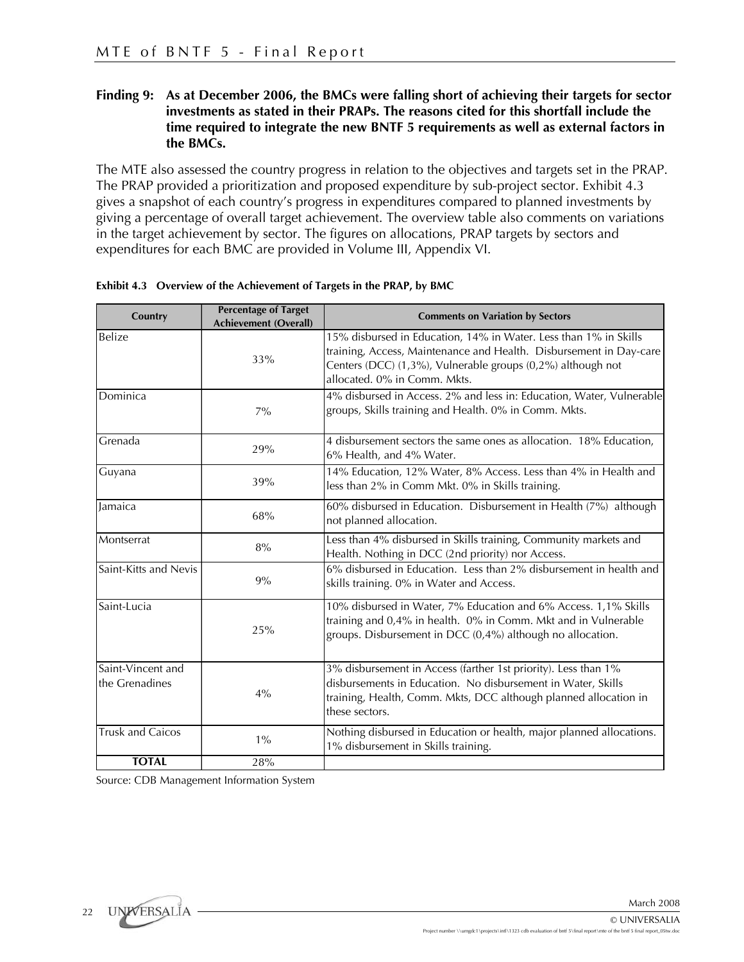### **Finding 9: As at December 2006, the BMCs were falling short of achieving their targets for sector investments as stated in their PRAPs. The reasons cited for this shortfall include the time required to integrate the new BNTF 5 requirements as well as external factors in the BMCs.**

The MTE also assessed the country progress in relation to the objectives and targets set in the PRAP. The PRAP provided a prioritization and proposed expenditure by sub-project sector. Exhibit 4.3 gives a snapshot of each country's progress in expenditures compared to planned investments by giving a percentage of overall target achievement. The overview table also comments on variations in the target achievement by sector. The figures on allocations, PRAP targets by sectors and expenditures for each BMC are provided in Volume III, Appendix VI.

| Country                 | <b>Percentage of Target</b><br><b>Achievement (Overall)</b> | <b>Comments on Variation by Sectors</b>                                                                                                                                                                                               |
|-------------------------|-------------------------------------------------------------|---------------------------------------------------------------------------------------------------------------------------------------------------------------------------------------------------------------------------------------|
| Belize                  | 33%                                                         | 15% disbursed in Education, 14% in Water. Less than 1% in Skills<br>training, Access, Maintenance and Health. Disbursement in Day-care<br>Centers (DCC) (1,3%), Vulnerable groups (0,2%) although not<br>allocated, 0% in Comm. Mkts. |
| Dominica                | $7\%$                                                       | 4% disbursed in Access. 2% and less in: Education, Water, Vulnerable<br>groups, Skills training and Health. 0% in Comm. Mkts.                                                                                                         |
| Grenada                 | 29%                                                         | 4 disbursement sectors the same ones as allocation. 18% Education,<br>6% Health, and 4% Water.                                                                                                                                        |
| Guyana                  | 39%                                                         | 14% Education, 12% Water, 8% Access. Less than 4% in Health and<br>less than 2% in Comm Mkt. 0% in Skills training.                                                                                                                   |
| Jamaica                 | 68%                                                         | 60% disbursed in Education. Disbursement in Health (7%) although<br>not planned allocation.                                                                                                                                           |
| Montserrat              | 8%                                                          | Less than 4% disbursed in Skills training, Community markets and<br>Health. Nothing in DCC (2nd priority) nor Access.                                                                                                                 |
| Saint-Kitts and Nevis   | 9%                                                          | 6% disbursed in Education. Less than 2% disbursement in health and<br>skills training. 0% in Water and Access.                                                                                                                        |
| Saint-Lucia             | 25%                                                         | 10% disbursed in Water, 7% Education and 6% Access. 1,1% Skills<br>training and 0,4% in health. 0% in Comm. Mkt and in Vulnerable<br>groups. Disbursement in DCC (0,4%) although no allocation.                                       |
| Saint-Vincent and       |                                                             | 3% disbursement in Access (farther 1st priority). Less than 1%                                                                                                                                                                        |
| the Grenadines          | 4%                                                          | disbursements in Education. No disbursement in Water, Skills<br>training, Health, Comm. Mkts, DCC although planned allocation in<br>these sectors.                                                                                    |
| <b>Trusk and Caicos</b> | $1\%$                                                       | Nothing disbursed in Education or health, major planned allocations.<br>1% disbursement in Skills training.                                                                                                                           |
| <b>TOTAL</b>            | 28%                                                         |                                                                                                                                                                                                                                       |

|  | Exhibit 4.3 Overview of the Achievement of Targets in the PRAP, by BMC |  |  |  |  |
|--|------------------------------------------------------------------------|--|--|--|--|
|--|------------------------------------------------------------------------|--|--|--|--|

Source: CDB Management Information System

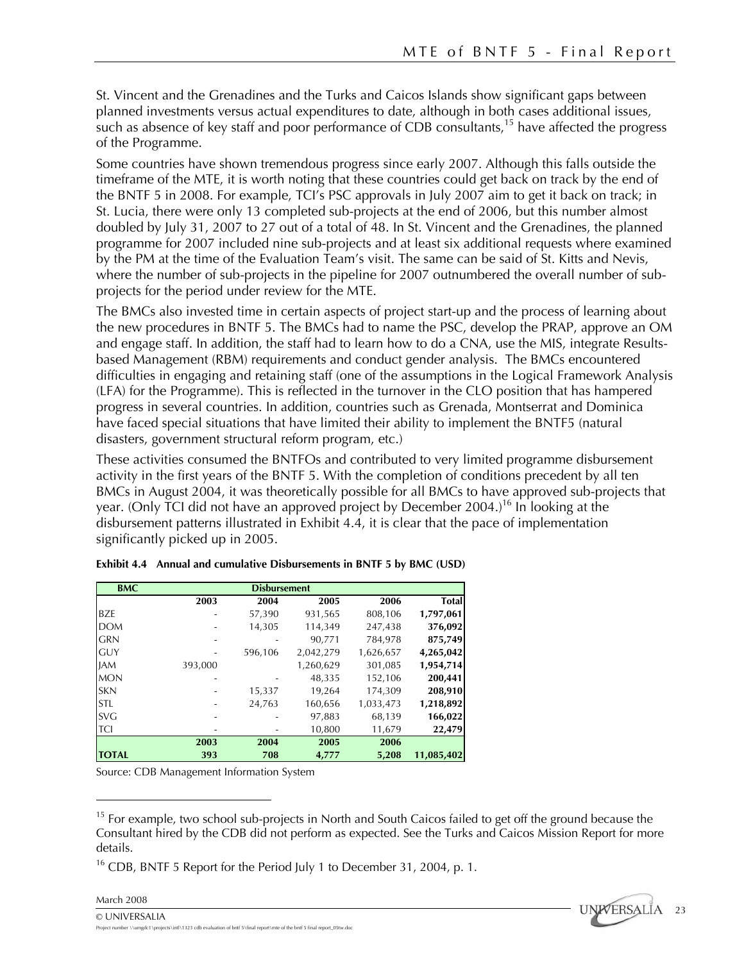St. Vincent and the Grenadines and the Turks and Caicos Islands show significant gaps between planned investments versus actual expenditures to date, although in both cases additional issues, such as absence of key staff and poor performance of CDB consultants,<sup>15</sup> have affected the progress of the Programme.

Some countries have shown tremendous progress since early 2007. Although this falls outside the timeframe of the MTE, it is worth noting that these countries could get back on track by the end of the BNTF 5 in 2008. For example, TCI's PSC approvals in July 2007 aim to get it back on track; in St. Lucia, there were only 13 completed sub-projects at the end of 2006, but this number almost doubled by July 31, 2007 to 27 out of a total of 48. In St. Vincent and the Grenadines, the planned programme for 2007 included nine sub-projects and at least six additional requests where examined by the PM at the time of the Evaluation Team's visit. The same can be said of St. Kitts and Nevis, where the number of sub-projects in the pipeline for 2007 outnumbered the overall number of subprojects for the period under review for the MTE.

The BMCs also invested time in certain aspects of project start-up and the process of learning about the new procedures in BNTF 5. The BMCs had to name the PSC, develop the PRAP, approve an OM and engage staff. In addition, the staff had to learn how to do a CNA, use the MIS, integrate Resultsbased Management (RBM) requirements and conduct gender analysis. The BMCs encountered difficulties in engaging and retaining staff (one of the assumptions in the Logical Framework Analysis (LFA) for the Programme). This is reflected in the turnover in the CLO position that has hampered progress in several countries. In addition, countries such as Grenada, Montserrat and Dominica have faced special situations that have limited their ability to implement the BNTF5 (natural disasters, government structural reform program, etc.)

These activities consumed the BNTFOs and contributed to very limited programme disbursement activity in the first years of the BNTF 5. With the completion of conditions precedent by all ten BMCs in August 2004, it was theoretically possible for all BMCs to have approved sub-projects that year. (Only TCI did not have an approved project by December 2004.)<sup>16</sup> In looking at the disbursement patterns illustrated in Exhibit 4.4, it is clear that the pace of implementation significantly picked up in 2005.

| <b>BMC</b>   | <b>Disbursement</b> |         |           |           |              |  |  |  |
|--------------|---------------------|---------|-----------|-----------|--------------|--|--|--|
|              | 2003                | 2004    | 2005      | 2006      | <b>Total</b> |  |  |  |
| <b>BZE</b>   |                     | 57,390  | 931,565   | 808,106   | 1,797,061    |  |  |  |
| <b>DOM</b>   |                     | 14,305  | 114,349   | 247,438   | 376,092      |  |  |  |
| <b>GRN</b>   |                     |         | 90,771    | 784,978   | 875,749      |  |  |  |
| <b>GUY</b>   |                     | 596,106 | 2,042,279 | 1,626,657 | 4,265,042    |  |  |  |
| <b>JAM</b>   | 393,000             |         | 1,260,629 | 301,085   | 1,954,714    |  |  |  |
| <b>MON</b>   |                     |         | 48,335    | 152,106   | 200,441      |  |  |  |
| <b>SKN</b>   |                     | 15,337  | 19,264    | 174,309   | 208,910      |  |  |  |
| <b>STL</b>   | ٠                   | 24,763  | 160,656   | 1,033,473 | 1,218,892    |  |  |  |
| <b>SVG</b>   |                     |         | 97,883    | 68,139    | 166,022      |  |  |  |
| TCI          |                     |         | 10,800    | 11,679    | 22,479       |  |  |  |
|              | 2003                | 2004    | 2005      | 2006      |              |  |  |  |
| <b>TOTAL</b> | 393                 | 708     | 4,777     | 5,208     | 11,085,402   |  |  |  |

|  |  |  | Exhibit 4.4 Annual and cumulative Disbursements in BNTF 5 by BMC (USD) |  |  |  |  |  |  |  |
|--|--|--|------------------------------------------------------------------------|--|--|--|--|--|--|--|
|--|--|--|------------------------------------------------------------------------|--|--|--|--|--|--|--|

Source: CDB Management Information System

<sup>16</sup> CDB, BNTF 5 Report for the Period July 1 to December 31, 2004, p. 1.



1



<sup>&</sup>lt;sup>15</sup> For example, two school sub-projects in North and South Caicos failed to get off the ground because the Consultant hired by the CDB did not perform as expected. See the Turks and Caicos Mission Report for more details.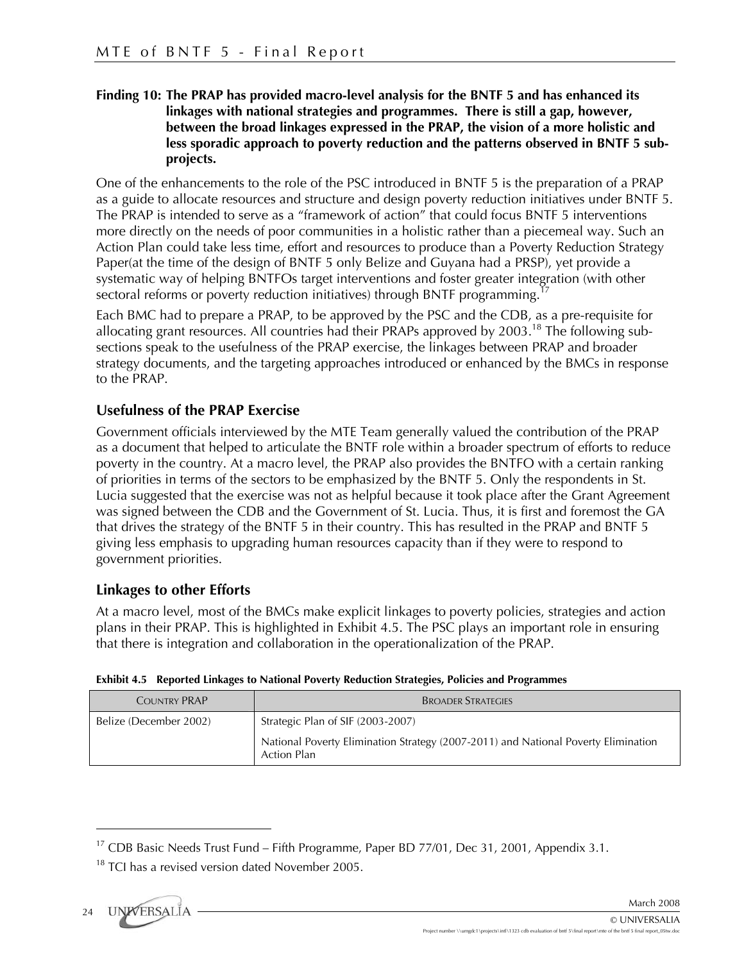# **Finding 10: The PRAP has provided macro-level analysis for the BNTF 5 and has enhanced its linkages with national strategies and programmes. There is still a gap, however, between the broad linkages expressed in the PRAP, the vision of a more holistic and less sporadic approach to poverty reduction and the patterns observed in BNTF 5 subprojects.**

One of the enhancements to the role of the PSC introduced in BNTF 5 is the preparation of a PRAP as a guide to allocate resources and structure and design poverty reduction initiatives under BNTF 5. The PRAP is intended to serve as a "framework of action" that could focus BNTF 5 interventions more directly on the needs of poor communities in a holistic rather than a piecemeal way. Such an Action Plan could take less time, effort and resources to produce than a Poverty Reduction Strategy Paper(at the time of the design of BNTF 5 only Belize and Guyana had a PRSP), yet provide a systematic way of helping BNTFOs target interventions and foster greater integration (with other sectoral reforms or poverty reduction initiatives) through BNTF programming.

Each BMC had to prepare a PRAP, to be approved by the PSC and the CDB, as a pre-requisite for allocating grant resources. All countries had their PRAPs approved by  $2003$ .<sup>18</sup> The following subsections speak to the usefulness of the PRAP exercise, the linkages between PRAP and broader strategy documents, and the targeting approaches introduced or enhanced by the BMCs in response to the PRAP.

# **Usefulness of the PRAP Exercise**

Government officials interviewed by the MTE Team generally valued the contribution of the PRAP as a document that helped to articulate the BNTF role within a broader spectrum of efforts to reduce poverty in the country. At a macro level, the PRAP also provides the BNTFO with a certain ranking of priorities in terms of the sectors to be emphasized by the BNTF 5. Only the respondents in St. Lucia suggested that the exercise was not as helpful because it took place after the Grant Agreement was signed between the CDB and the Government of St. Lucia. Thus, it is first and foremost the GA that drives the strategy of the BNTF 5 in their country. This has resulted in the PRAP and BNTF 5 giving less emphasis to upgrading human resources capacity than if they were to respond to government priorities.

# **Linkages to other Efforts**

At a macro level, most of the BMCs make explicit linkages to poverty policies, strategies and action plans in their PRAP. This is highlighted in Exhibit 4.5. The PSC plays an important role in ensuring that there is integration and collaboration in the operationalization of the PRAP.

| <b>COUNTRY PRAP</b>    | <b>BROADER STRATEGIES</b>                                                                                |  |  |  |
|------------------------|----------------------------------------------------------------------------------------------------------|--|--|--|
| Belize (December 2002) | Strategic Plan of SIF (2003-2007)                                                                        |  |  |  |
|                        | National Poverty Elimination Strategy (2007-2011) and National Poverty Elimination<br><b>Action Plan</b> |  |  |  |

### **Exhibit 4.5 Reported Linkages to National Poverty Reduction Strategies, Policies and Programmes**

<u>.</u>

<sup>&</sup>lt;sup>17</sup> CDB Basic Needs Trust Fund – Fifth Programme, Paper BD 77/01, Dec 31, 2001, Appendix 3.1.

 $18$  TCI has a revised version dated November 2005.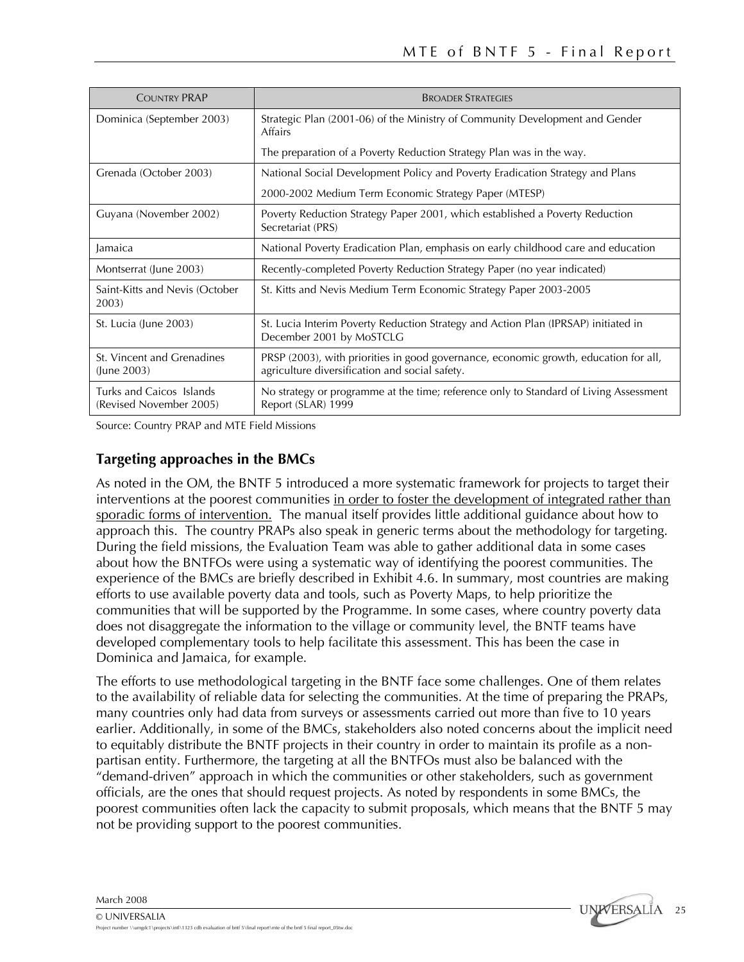| <b>COUNTRY PRAP</b>                                 | <b>BROADER STRATEGIES</b>                                                                                                              |
|-----------------------------------------------------|----------------------------------------------------------------------------------------------------------------------------------------|
| Dominica (September 2003)                           | Strategic Plan (2001-06) of the Ministry of Community Development and Gender<br>Affairs                                                |
|                                                     | The preparation of a Poverty Reduction Strategy Plan was in the way.                                                                   |
| Grenada (October 2003)                              | National Social Development Policy and Poverty Eradication Strategy and Plans                                                          |
|                                                     | 2000-2002 Medium Term Economic Strategy Paper (MTESP)                                                                                  |
| Guyana (November 2002)                              | Poverty Reduction Strategy Paper 2001, which established a Poverty Reduction<br>Secretariat (PRS)                                      |
| Jamaica                                             | National Poverty Eradication Plan, emphasis on early childhood care and education                                                      |
| Montserrat (June 2003)                              | Recently-completed Poverty Reduction Strategy Paper (no year indicated)                                                                |
| Saint-Kitts and Nevis (October<br>2003)             | St. Kitts and Nevis Medium Term Economic Strategy Paper 2003-2005                                                                      |
| St. Lucia (June 2003)                               | St. Lucia Interim Poverty Reduction Strategy and Action Plan (IPRSAP) initiated in<br>December 2001 by MoSTCLG                         |
| St. Vincent and Grenadines<br>(June 2003)           | PRSP (2003), with priorities in good governance, economic growth, education for all,<br>agriculture diversification and social safety. |
| Turks and Caicos Islands<br>(Revised November 2005) | No strategy or programme at the time; reference only to Standard of Living Assessment<br>Report (SLAR) 1999                            |

Source: Country PRAP and MTE Field Missions

# **Targeting approaches in the BMCs**

As noted in the OM, the BNTF 5 introduced a more systematic framework for projects to target their interventions at the poorest communities in order to foster the development of integrated rather than sporadic forms of intervention. The manual itself provides little additional guidance about how to approach this. The country PRAPs also speak in generic terms about the methodology for targeting. During the field missions, the Evaluation Team was able to gather additional data in some cases about how the BNTFOs were using a systematic way of identifying the poorest communities. The experience of the BMCs are briefly described in Exhibit 4.6. In summary, most countries are making efforts to use available poverty data and tools, such as Poverty Maps, to help prioritize the communities that will be supported by the Programme. In some cases, where country poverty data does not disaggregate the information to the village or community level, the BNTF teams have developed complementary tools to help facilitate this assessment. This has been the case in Dominica and Jamaica, for example.

The efforts to use methodological targeting in the BNTF face some challenges. One of them relates to the availability of reliable data for selecting the communities. At the time of preparing the PRAPs, many countries only had data from surveys or assessments carried out more than five to 10 years earlier. Additionally, in some of the BMCs, stakeholders also noted concerns about the implicit need to equitably distribute the BNTF projects in their country in order to maintain its profile as a nonpartisan entity. Furthermore, the targeting at all the BNTFOs must also be balanced with the "demand-driven" approach in which the communities or other stakeholders, such as government officials, are the ones that should request projects. As noted by respondents in some BMCs, the poorest communities often lack the capacity to submit proposals, which means that the BNTF 5 may not be providing support to the poorest communities.

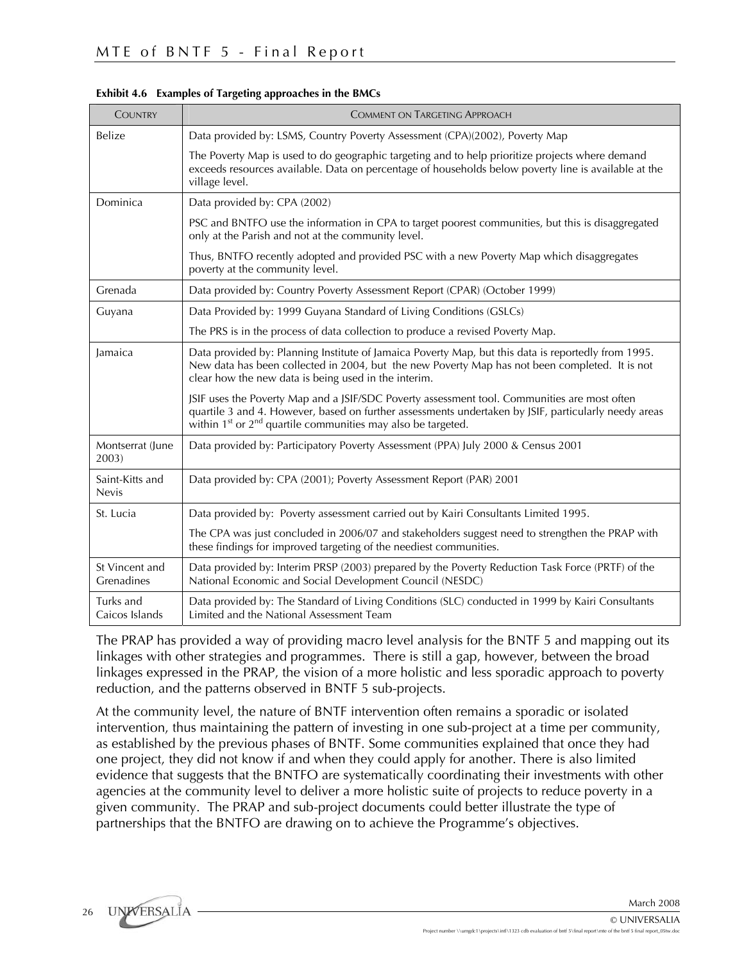| <b>COUNTRY</b>                  | <b>COMMENT ON TARGETING APPROACH</b>                                                                                                                                                                                                                                                         |
|---------------------------------|----------------------------------------------------------------------------------------------------------------------------------------------------------------------------------------------------------------------------------------------------------------------------------------------|
| Belize                          | Data provided by: LSMS, Country Poverty Assessment (CPA)(2002), Poverty Map                                                                                                                                                                                                                  |
|                                 | The Poverty Map is used to do geographic targeting and to help prioritize projects where demand<br>exceeds resources available. Data on percentage of households below poverty line is available at the<br>village level.                                                                    |
| Dominica                        | Data provided by: CPA (2002)                                                                                                                                                                                                                                                                 |
|                                 | PSC and BNTFO use the information in CPA to target poorest communities, but this is disaggregated<br>only at the Parish and not at the community level.                                                                                                                                      |
|                                 | Thus, BNTFO recently adopted and provided PSC with a new Poverty Map which disaggregates<br>poverty at the community level.                                                                                                                                                                  |
| Grenada                         | Data provided by: Country Poverty Assessment Report (CPAR) (October 1999)                                                                                                                                                                                                                    |
| Guyana                          | Data Provided by: 1999 Guyana Standard of Living Conditions (GSLCs)                                                                                                                                                                                                                          |
|                                 | The PRS is in the process of data collection to produce a revised Poverty Map.                                                                                                                                                                                                               |
| lamaica                         | Data provided by: Planning Institute of Jamaica Poverty Map, but this data is reportedly from 1995.<br>New data has been collected in 2004, but the new Poverty Map has not been completed. It is not<br>clear how the new data is being used in the interim.                                |
|                                 | JSIF uses the Poverty Map and a JSIF/SDC Poverty assessment tool. Communities are most often<br>quartile 3 and 4. However, based on further assessments undertaken by JSIF, particularly needy areas<br>within 1 <sup>st</sup> or 2 <sup>nd</sup> quartile communities may also be targeted. |
| Montserrat (June<br>2003)       | Data provided by: Participatory Poverty Assessment (PPA) July 2000 & Census 2001                                                                                                                                                                                                             |
| Saint-Kitts and<br><b>Nevis</b> | Data provided by: CPA (2001); Poverty Assessment Report (PAR) 2001                                                                                                                                                                                                                           |
| St. Lucia                       | Data provided by: Poverty assessment carried out by Kairi Consultants Limited 1995.                                                                                                                                                                                                          |
|                                 | The CPA was just concluded in 2006/07 and stakeholders suggest need to strengthen the PRAP with<br>these findings for improved targeting of the neediest communities.                                                                                                                        |
| St Vincent and<br>Grenadines    | Data provided by: Interim PRSP (2003) prepared by the Poverty Reduction Task Force (PRTF) of the<br>National Economic and Social Development Council (NESDC)                                                                                                                                 |
| Turks and<br>Caicos Islands     | Data provided by: The Standard of Living Conditions (SLC) conducted in 1999 by Kairi Consultants<br>Limited and the National Assessment Team                                                                                                                                                 |

**Exhibit 4.6 Examples of Targeting approaches in the BMCs** 

The PRAP has provided a way of providing macro level analysis for the BNTF 5 and mapping out its linkages with other strategies and programmes. There is still a gap, however, between the broad linkages expressed in the PRAP, the vision of a more holistic and less sporadic approach to poverty reduction, and the patterns observed in BNTF 5 sub-projects.

At the community level, the nature of BNTF intervention often remains a sporadic or isolated intervention, thus maintaining the pattern of investing in one sub-project at a time per community, as established by the previous phases of BNTF. Some communities explained that once they had one project, they did not know if and when they could apply for another. There is also limited evidence that suggests that the BNTFO are systematically coordinating their investments with other agencies at the community level to deliver a more holistic suite of projects to reduce poverty in a given community. The PRAP and sub-project documents could better illustrate the type of partnerships that the BNTFO are drawing on to achieve the Programme's objectives.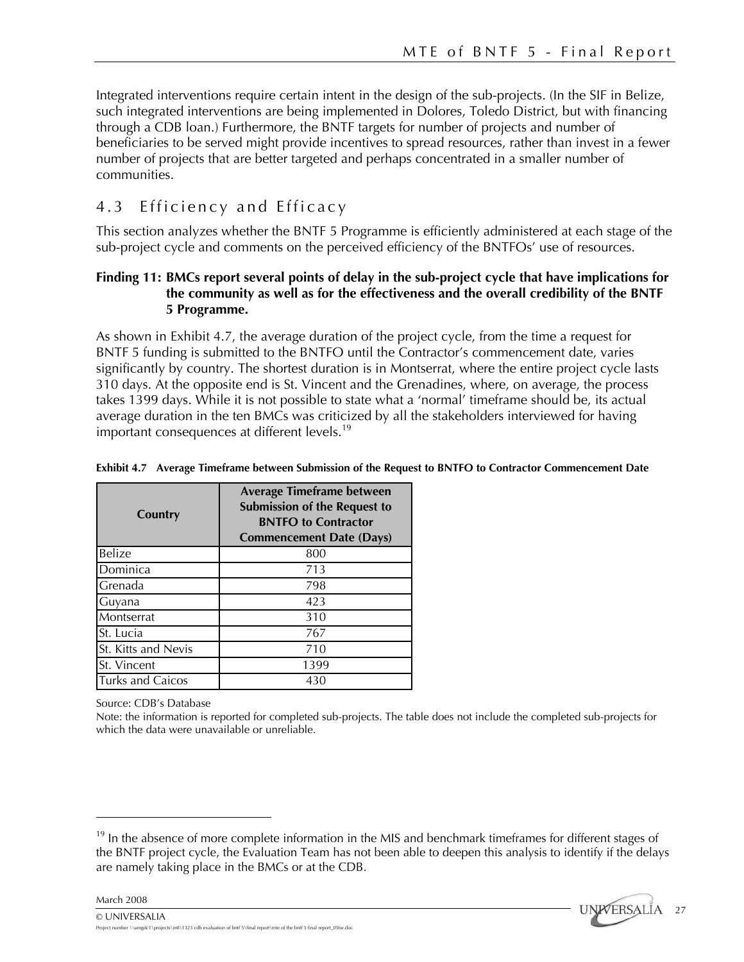Integrated interventions require certain intent in the design of the sub-projects. (In the SIF in Belize, such integrated interventions are being implemented in Dolores, Toledo District, but with financing through a CDB loan.) Furthermore, the BNTF targets for number of projects and number of beneficiaries to be served might provide incentives to spread resources, rather than invest in a fewer number of projects that are better targeted and perhaps concentrated in a smaller number of communities.

# 4.3 Efficiency and Efficacy

This section analyzes whether the BNTF 5 Programme is efficiently administered at each stage of the sub-project cycle and comments on the perceived efficiency of the BNTFOs' use of resources.

# **Finding 11: BMCs report several points of delay in the sub-project cycle that have implications for the community as well as for the effectiveness and the overall credibility of the BNTF 5 Programme.**

As shown in Exhibit 4.7, the average duration of the project cycle, from the time a request for BNTF 5 funding is submitted to the BNTFO until the Contractor's commencement date, varies significantly by country. The shortest duration is in Montserrat, where the entire project cycle lasts 310 days. At the opposite end is St. Vincent and the Grenadines, where, on average, the process takes 1399 days. While it is not possible to state what a 'normal' timeframe should be, its actual average duration in the ten BMCs was criticized by all the stakeholders interviewed for having important consequences at different levels.<sup>19</sup>

| Country                 | <b>Average Timeframe between</b><br><b>Submission of the Request to</b><br><b>BNTFO</b> to Contractor<br><b>Commencement Date (Days)</b> |
|-------------------------|------------------------------------------------------------------------------------------------------------------------------------------|
| Belize                  | 800                                                                                                                                      |
| Dominica                | 713                                                                                                                                      |
| Grenada                 | 798                                                                                                                                      |
| Guyana                  | 423                                                                                                                                      |
| Montserrat              | 310                                                                                                                                      |
| St. Lucia               | 767                                                                                                                                      |
| St. Kitts and Nevis     | 710                                                                                                                                      |
| St. Vincent             | 1399                                                                                                                                     |
| <b>Turks and Caicos</b> | 430                                                                                                                                      |

#### **Exhibit 4.7 Average Timeframe between Submission of the Request to BNTFO to Contractor Commencement Date**

Source: CDB's Database

Note: the information is reported for completed sub-projects. The table does not include the completed sub-projects for which the data were unavailable or unreliable.

 $19$  In the absence of more complete information in the MIS and benchmark time frames for different stages of the BNTF project cycle, the Evaluation Team has not been able to deepen this analysis to identify if the delays are namely taking place in the BMCs or at the CDB.



1

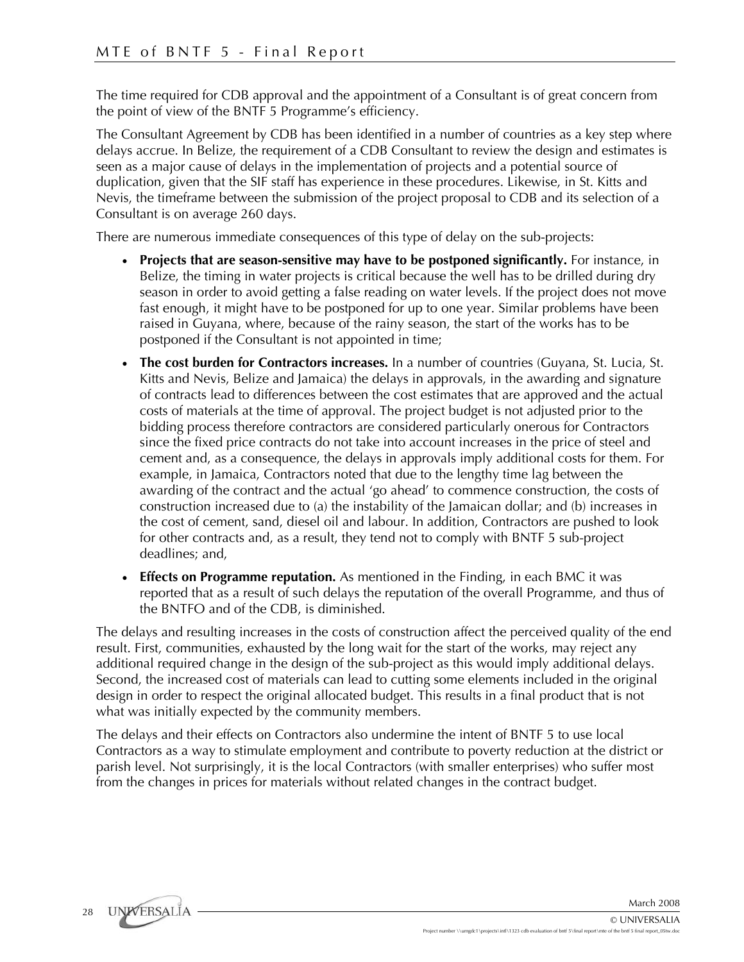The time required for CDB approval and the appointment of a Consultant is of great concern from the point of view of the BNTF 5 Programme's efficiency.

The Consultant Agreement by CDB has been identified in a number of countries as a key step where delays accrue. In Belize, the requirement of a CDB Consultant to review the design and estimates is seen as a major cause of delays in the implementation of projects and a potential source of duplication, given that the SIF staff has experience in these procedures. Likewise, in St. Kitts and Nevis, the timeframe between the submission of the project proposal to CDB and its selection of a Consultant is on average 260 days.

There are numerous immediate consequences of this type of delay on the sub-projects:

- **Projects that are season-sensitive may have to be postponed significantly.** For instance, in Belize, the timing in water projects is critical because the well has to be drilled during dry season in order to avoid getting a false reading on water levels. If the project does not move fast enough, it might have to be postponed for up to one year. Similar problems have been raised in Guyana, where, because of the rainy season, the start of the works has to be postponed if the Consultant is not appointed in time;
- **The cost burden for Contractors increases.** In a number of countries (Guyana, St. Lucia, St. Kitts and Nevis, Belize and Jamaica) the delays in approvals, in the awarding and signature of contracts lead to differences between the cost estimates that are approved and the actual costs of materials at the time of approval. The project budget is not adjusted prior to the bidding process therefore contractors are considered particularly onerous for Contractors since the fixed price contracts do not take into account increases in the price of steel and cement and, as a consequence, the delays in approvals imply additional costs for them. For example, in Jamaica, Contractors noted that due to the lengthy time lag between the awarding of the contract and the actual 'go ahead' to commence construction, the costs of construction increased due to (a) the instability of the Jamaican dollar; and (b) increases in the cost of cement, sand, diesel oil and labour. In addition, Contractors are pushed to look for other contracts and, as a result, they tend not to comply with BNTF 5 sub-project deadlines; and,
- **Effects on Programme reputation.** As mentioned in the Finding, in each BMC it was reported that as a result of such delays the reputation of the overall Programme, and thus of the BNTFO and of the CDB, is diminished.

The delays and resulting increases in the costs of construction affect the perceived quality of the end result. First, communities, exhausted by the long wait for the start of the works, may reject any additional required change in the design of the sub-project as this would imply additional delays. Second, the increased cost of materials can lead to cutting some elements included in the original design in order to respect the original allocated budget. This results in a final product that is not what was initially expected by the community members.

The delays and their effects on Contractors also undermine the intent of BNTF 5 to use local Contractors as a way to stimulate employment and contribute to poverty reduction at the district or parish level. Not surprisingly, it is the local Contractors (with smaller enterprises) who suffer most from the changes in prices for materials without related changes in the contract budget.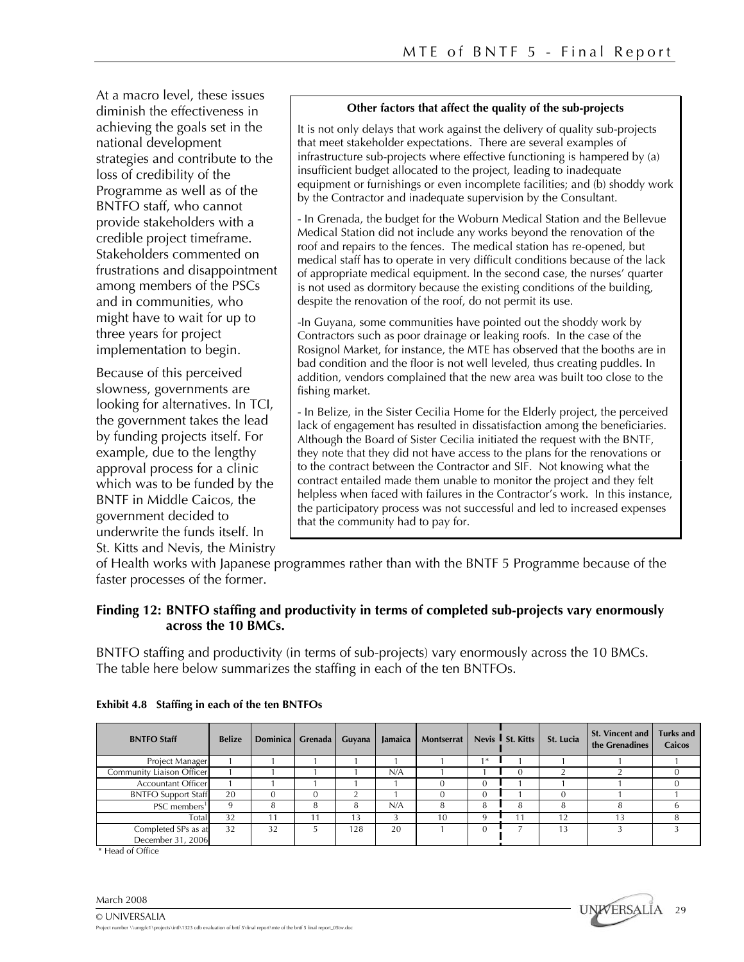At a macro level, these issues diminish the effectiveness in achieving the goals set in the national development strategies and contribute to the loss of credibility of the Programme as well as of the BNTFO staff, who cannot provide stakeholders with a credible project timeframe. Stakeholders commented on frustrations and disappointment among members of the PSCs and in communities, who might have to wait for up to three years for project implementation to begin.

Because of this perceived slowness, governments are looking for alternatives. In TCI, the government takes the lead by funding projects itself. For example, due to the lengthy approval process for a clinic which was to be funded by the BNTF in Middle Caicos, the government decided to underwrite the funds itself. In St. Kitts and Nevis, the Ministry

#### **Other factors that affect the quality of the sub-projects**

It is not only delays that work against the delivery of quality sub-projects that meet stakeholder expectations. There are several examples of infrastructure sub-projects where effective functioning is hampered by (a) insufficient budget allocated to the project, leading to inadequate equipment or furnishings or even incomplete facilities; and (b) shoddy work by the Contractor and inadequate supervision by the Consultant.

- In Grenada, the budget for the Woburn Medical Station and the Bellevue Medical Station did not include any works beyond the renovation of the roof and repairs to the fences. The medical station has re-opened, but medical staff has to operate in very difficult conditions because of the lack of appropriate medical equipment. In the second case, the nurses' quarter is not used as dormitory because the existing conditions of the building, despite the renovation of the roof, do not permit its use.

-In Guyana, some communities have pointed out the shoddy work by Contractors such as poor drainage or leaking roofs. In the case of the Rosignol Market, for instance, the MTE has observed that the booths are in bad condition and the floor is not well leveled, thus creating puddles. In addition, vendors complained that the new area was built too close to the fishing market.

- In Belize, in the Sister Cecilia Home for the Elderly project, the perceived lack of engagement has resulted in dissatisfaction among the beneficiaries. Although the Board of Sister Cecilia initiated the request with the BNTF, they note that they did not have access to the plans for the renovations or to the contract between the Contractor and SIF. Not knowing what the contract entailed made them unable to monitor the project and they felt helpless when faced with failures in the Contractor's work. In this instance, the participatory process was not successful and led to increased expenses that the community had to pay for.

of Health works with Japanese programmes rather than with the BNTF 5 Programme because of the faster processes of the former.

#### **Finding 12: BNTFO staffing and productivity in terms of completed sub-projects vary enormously across the 10 BMCs.**

BNTFO staffing and productivity (in terms of sub-projects) vary enormously across the 10 BMCs. The table here below summarizes the staffing in each of the ten BNTFOs.

| <b>BNTFO Staff</b>         | <b>Belize</b> | Dominica Grenada Guyana |        | Jamaica | Montserrat |    | Nevis St. Kitts | St. Lucia | <b>St. Vincent and</b><br>the Grenadines | <b>Turks and</b><br><b>Caicos</b> |
|----------------------------|---------------|-------------------------|--------|---------|------------|----|-----------------|-----------|------------------------------------------|-----------------------------------|
| Project Manager            |               |                         |        |         |            | ∣≭ |                 |           |                                          |                                   |
| Community Liaison Officer  |               |                         |        | N/A     |            |    | -0              |           |                                          |                                   |
| <b>Accountant Officer</b>  |               |                         |        |         |            |    |                 |           |                                          |                                   |
| <b>BNTFO Support Staff</b> | 20            |                         | $\sim$ |         |            |    |                 |           |                                          |                                   |
| PSC members <sup>1</sup>   |               |                         |        | N/A     |            | 8  | 8               |           |                                          |                                   |
| Total                      | 32            |                         | 13     |         |            | q  | 11              | 12        |                                          |                                   |
| Completed SPs as at        | 32            | 32                      | 128    | 20      |            |    |                 | 13        |                                          |                                   |
| December 31, 2006          |               |                         |        |         |            |    |                 |           |                                          |                                   |

#### **Exhibit 4.8 Staffing in each of the ten BNTFOs**

\* Head of Office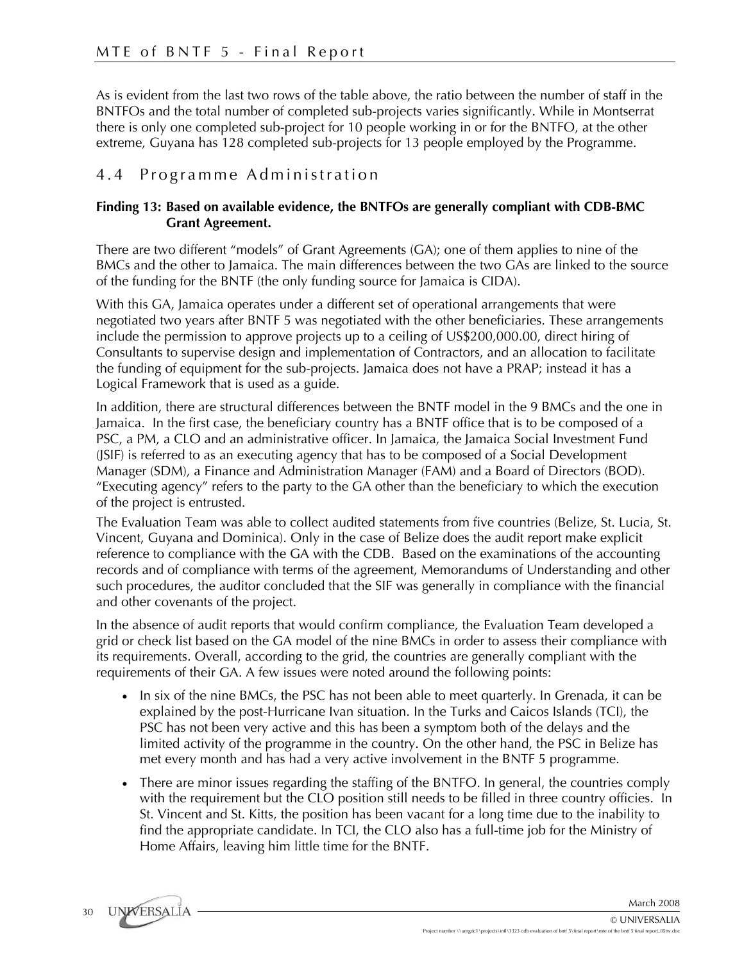As is evident from the last two rows of the table above, the ratio between the number of staff in the BNTFOs and the total number of completed sub-projects varies significantly. While in Montserrat there is only one completed sub-project for 10 people working in or for the BNTFO, at the other extreme, Guyana has 128 completed sub-projects for 13 people employed by the Programme.

# 4.4 Programme Administration

# **Finding 13: Based on available evidence, the BNTFOs are generally compliant with CDB-BMC Grant Agreement.**

There are two different "models" of Grant Agreements (GA); one of them applies to nine of the BMCs and the other to Jamaica. The main differences between the two GAs are linked to the source of the funding for the BNTF (the only funding source for Jamaica is CIDA).

With this GA, Jamaica operates under a different set of operational arrangements that were negotiated two years after BNTF 5 was negotiated with the other beneficiaries. These arrangements include the permission to approve projects up to a ceiling of US\$200,000.00, direct hiring of Consultants to supervise design and implementation of Contractors, and an allocation to facilitate the funding of equipment for the sub-projects. Jamaica does not have a PRAP; instead it has a Logical Framework that is used as a guide.

In addition, there are structural differences between the BNTF model in the 9 BMCs and the one in Jamaica. In the first case, the beneficiary country has a BNTF office that is to be composed of a PSC, a PM, a CLO and an administrative officer. In Jamaica, the Jamaica Social Investment Fund (JSIF) is referred to as an executing agency that has to be composed of a Social Development Manager (SDM), a Finance and Administration Manager (FAM) and a Board of Directors (BOD). "Executing agency" refers to the party to the GA other than the beneficiary to which the execution of the project is entrusted.

The Evaluation Team was able to collect audited statements from five countries (Belize, St. Lucia, St. Vincent, Guyana and Dominica). Only in the case of Belize does the audit report make explicit reference to compliance with the GA with the CDB. Based on the examinations of the accounting records and of compliance with terms of the agreement, Memorandums of Understanding and other such procedures, the auditor concluded that the SIF was generally in compliance with the financial and other covenants of the project.

In the absence of audit reports that would confirm compliance, the Evaluation Team developed a grid or check list based on the GA model of the nine BMCs in order to assess their compliance with its requirements. Overall, according to the grid, the countries are generally compliant with the requirements of their GA. A few issues were noted around the following points:

- In six of the nine BMCs, the PSC has not been able to meet quarterly. In Grenada, it can be explained by the post-Hurricane Ivan situation. In the Turks and Caicos Islands (TCI), the PSC has not been very active and this has been a symptom both of the delays and the limited activity of the programme in the country. On the other hand, the PSC in Belize has met every month and has had a very active involvement in the BNTF 5 programme.
- There are minor issues regarding the staffing of the BNTFO. In general, the countries comply with the requirement but the CLO position still needs to be filled in three country officies. In St. Vincent and St. Kitts, the position has been vacant for a long time due to the inability to find the appropriate candidate. In TCI, the CLO also has a full-time job for the Ministry of Home Affairs, leaving him little time for the BNTF.

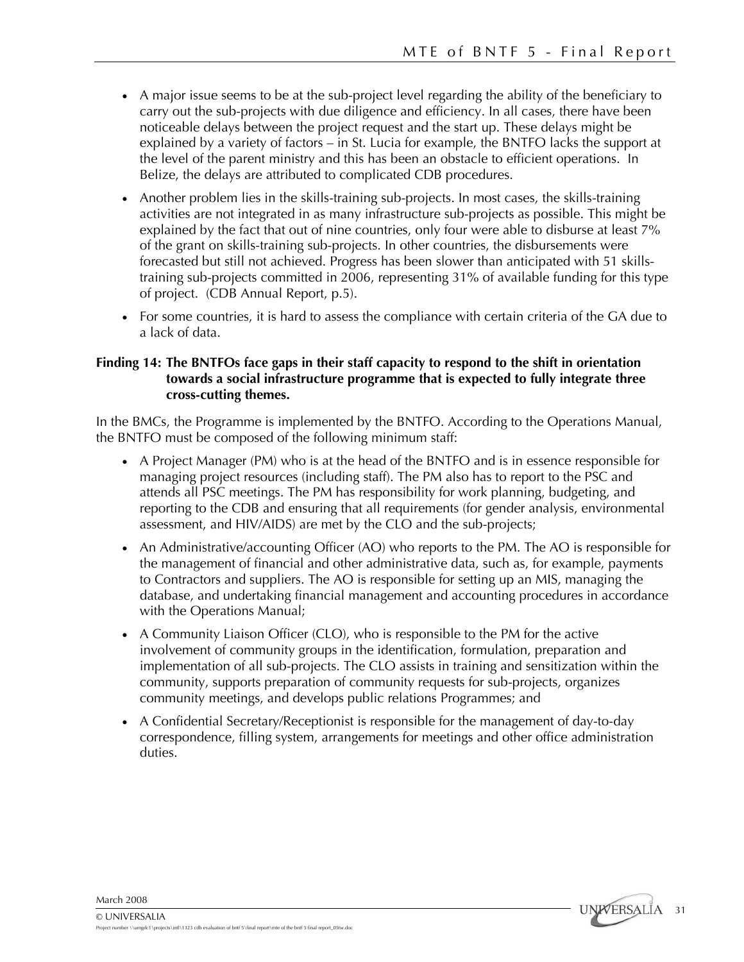- A major issue seems to be at the sub-project level regarding the ability of the beneficiary to carry out the sub-projects with due diligence and efficiency. In all cases, there have been noticeable delays between the project request and the start up. These delays might be explained by a variety of factors – in St. Lucia for example, the BNTFO lacks the support at the level of the parent ministry and this has been an obstacle to efficient operations. In Belize, the delays are attributed to complicated CDB procedures.
- Another problem lies in the skills-training sub-projects. In most cases, the skills-training activities are not integrated in as many infrastructure sub-projects as possible. This might be explained by the fact that out of nine countries, only four were able to disburse at least 7% of the grant on skills-training sub-projects. In other countries, the disbursements were forecasted but still not achieved. Progress has been slower than anticipated with 51 skillstraining sub-projects committed in 2006, representing 31% of available funding for this type of project. (CDB Annual Report, p.5).
- For some countries, it is hard to assess the compliance with certain criteria of the GA due to a lack of data.

## **Finding 14: The BNTFOs face gaps in their staff capacity to respond to the shift in orientation towards a social infrastructure programme that is expected to fully integrate three cross-cutting themes.**

In the BMCs, the Programme is implemented by the BNTFO. According to the Operations Manual, the BNTFO must be composed of the following minimum staff:

- A Project Manager (PM) who is at the head of the BNTFO and is in essence responsible for managing project resources (including staff). The PM also has to report to the PSC and attends all PSC meetings. The PM has responsibility for work planning, budgeting, and reporting to the CDB and ensuring that all requirements (for gender analysis, environmental assessment, and HIV/AIDS) are met by the CLO and the sub-projects;
- An Administrative/accounting Officer (AO) who reports to the PM. The AO is responsible for the management of financial and other administrative data, such as, for example, payments to Contractors and suppliers. The AO is responsible for setting up an MIS, managing the database, and undertaking financial management and accounting procedures in accordance with the Operations Manual;
- A Community Liaison Officer (CLO), who is responsible to the PM for the active involvement of community groups in the identification, formulation, preparation and implementation of all sub-projects. The CLO assists in training and sensitization within the community, supports preparation of community requests for sub-projects, organizes community meetings, and develops public relations Programmes; and
- A Confidential Secretary/Receptionist is responsible for the management of day-to-day correspondence, filling system, arrangements for meetings and other office administration duties.

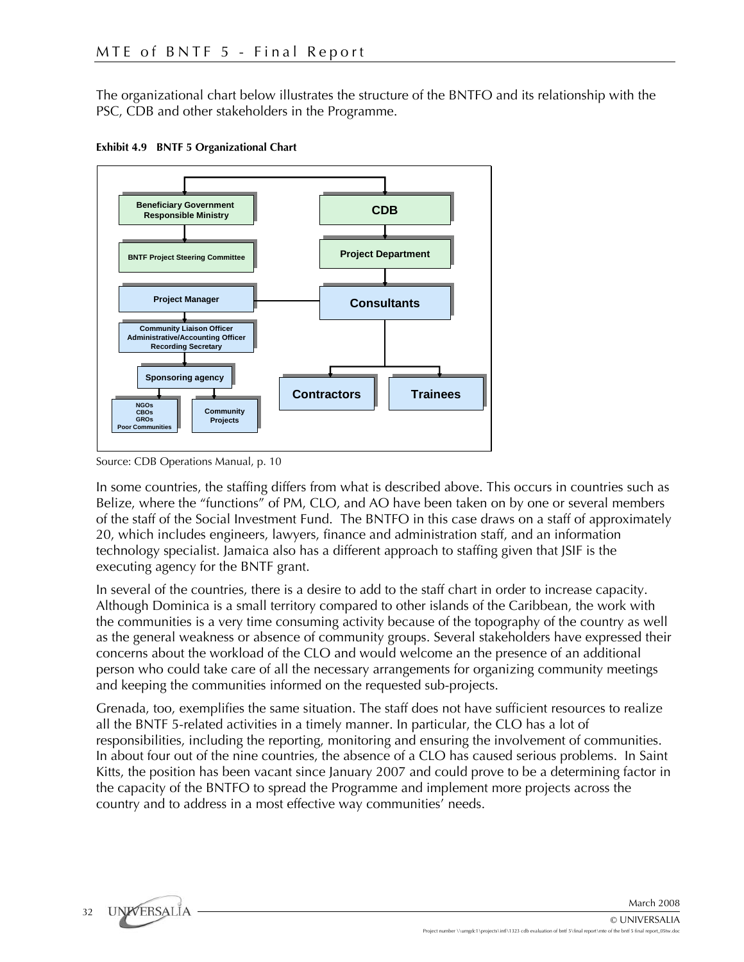The organizational chart below illustrates the structure of the BNTFO and its relationship with the PSC, CDB and other stakeholders in the Programme.





Source: CDB Operations Manual, p. 10

In some countries, the staffing differs from what is described above. This occurs in countries such as Belize, where the "functions" of PM, CLO, and AO have been taken on by one or several members of the staff of the Social Investment Fund. The BNTFO in this case draws on a staff of approximately 20, which includes engineers, lawyers, finance and administration staff, and an information technology specialist. Jamaica also has a different approach to staffing given that JSIF is the executing agency for the BNTF grant.

In several of the countries, there is a desire to add to the staff chart in order to increase capacity. Although Dominica is a small territory compared to other islands of the Caribbean, the work with the communities is a very time consuming activity because of the topography of the country as well as the general weakness or absence of community groups. Several stakeholders have expressed their concerns about the workload of the CLO and would welcome an the presence of an additional person who could take care of all the necessary arrangements for organizing community meetings and keeping the communities informed on the requested sub-projects.

Grenada, too, exemplifies the same situation. The staff does not have sufficient resources to realize all the BNTF 5-related activities in a timely manner. In particular, the CLO has a lot of responsibilities, including the reporting, monitoring and ensuring the involvement of communities. In about four out of the nine countries, the absence of a CLO has caused serious problems. In Saint Kitts, the position has been vacant since January 2007 and could prove to be a determining factor in the capacity of the BNTFO to spread the Programme and implement more projects across the country and to address in a most effective way communities' needs.

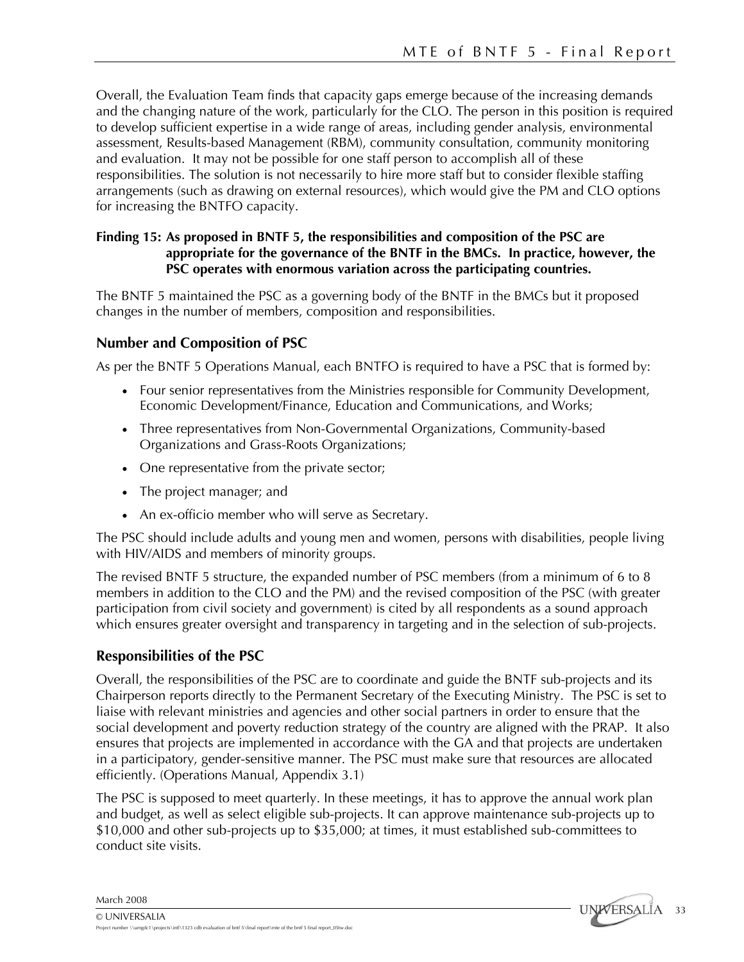Overall, the Evaluation Team finds that capacity gaps emerge because of the increasing demands and the changing nature of the work, particularly for the CLO. The person in this position is required to develop sufficient expertise in a wide range of areas, including gender analysis, environmental assessment, Results-based Management (RBM), community consultation, community monitoring and evaluation. It may not be possible for one staff person to accomplish all of these responsibilities. The solution is not necessarily to hire more staff but to consider flexible staffing arrangements (such as drawing on external resources), which would give the PM and CLO options for increasing the BNTFO capacity.

# **Finding 15: As proposed in BNTF 5, the responsibilities and composition of the PSC are appropriate for the governance of the BNTF in the BMCs. In practice, however, the PSC operates with enormous variation across the participating countries.**

The BNTF 5 maintained the PSC as a governing body of the BNTF in the BMCs but it proposed changes in the number of members, composition and responsibilities.

# **Number and Composition of PSC**

As per the BNTF 5 Operations Manual, each BNTFO is required to have a PSC that is formed by:

- Four senior representatives from the Ministries responsible for Community Development, Economic Development/Finance, Education and Communications, and Works;
- Three representatives from Non-Governmental Organizations, Community-based Organizations and Grass-Roots Organizations;
- One representative from the private sector;
- The project manager; and
- An ex-officio member who will serve as Secretary.

The PSC should include adults and young men and women, persons with disabilities, people living with HIV/AIDS and members of minority groups.

The revised BNTF 5 structure, the expanded number of PSC members (from a minimum of 6 to 8 members in addition to the CLO and the PM) and the revised composition of the PSC (with greater participation from civil society and government) is cited by all respondents as a sound approach which ensures greater oversight and transparency in targeting and in the selection of sub-projects.

# **Responsibilities of the PSC**

Overall, the responsibilities of the PSC are to coordinate and guide the BNTF sub-projects and its Chairperson reports directly to the Permanent Secretary of the Executing Ministry. The PSC is set to liaise with relevant ministries and agencies and other social partners in order to ensure that the social development and poverty reduction strategy of the country are aligned with the PRAP. It also ensures that projects are implemented in accordance with the GA and that projects are undertaken in a participatory, gender-sensitive manner. The PSC must make sure that resources are allocated efficiently. (Operations Manual, Appendix 3.1)

The PSC is supposed to meet quarterly. In these meetings, it has to approve the annual work plan and budget, as well as select eligible sub-projects. It can approve maintenance sub-projects up to \$10,000 and other sub-projects up to \$35,000; at times, it must established sub-committees to conduct site visits.

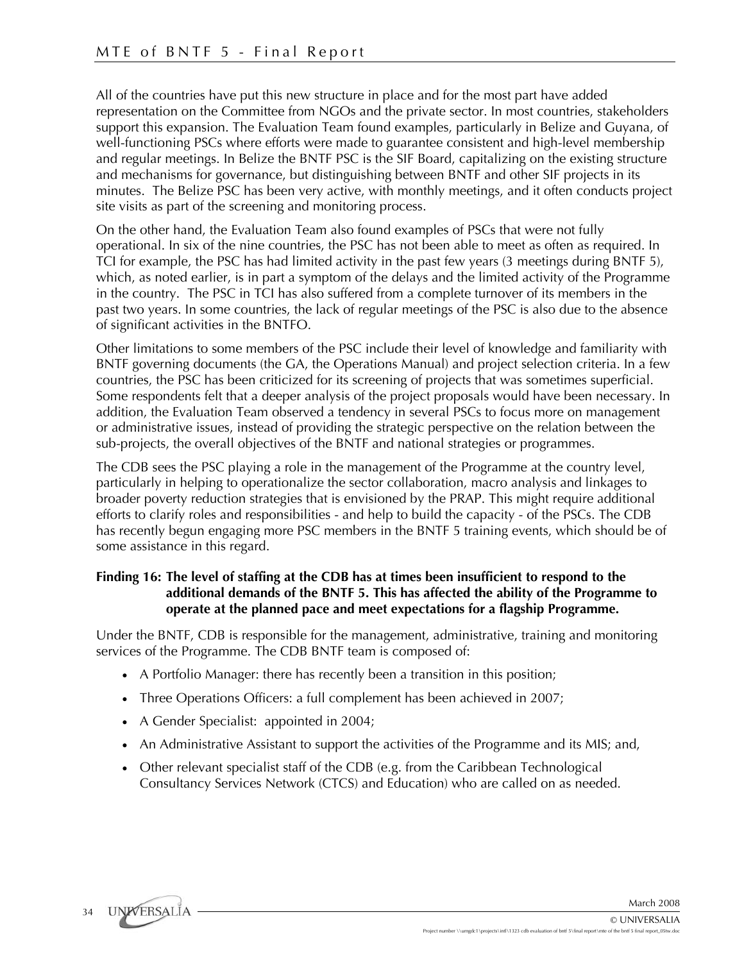All of the countries have put this new structure in place and for the most part have added representation on the Committee from NGOs and the private sector. In most countries, stakeholders support this expansion. The Evaluation Team found examples, particularly in Belize and Guyana, of well-functioning PSCs where efforts were made to guarantee consistent and high-level membership and regular meetings. In Belize the BNTF PSC is the SIF Board, capitalizing on the existing structure and mechanisms for governance, but distinguishing between BNTF and other SIF projects in its minutes. The Belize PSC has been very active, with monthly meetings, and it often conducts project site visits as part of the screening and monitoring process.

On the other hand, the Evaluation Team also found examples of PSCs that were not fully operational. In six of the nine countries, the PSC has not been able to meet as often as required. In TCI for example, the PSC has had limited activity in the past few years (3 meetings during BNTF 5), which, as noted earlier, is in part a symptom of the delays and the limited activity of the Programme in the country. The PSC in TCI has also suffered from a complete turnover of its members in the past two years. In some countries, the lack of regular meetings of the PSC is also due to the absence of significant activities in the BNTFO.

Other limitations to some members of the PSC include their level of knowledge and familiarity with BNTF governing documents (the GA, the Operations Manual) and project selection criteria. In a few countries, the PSC has been criticized for its screening of projects that was sometimes superficial. Some respondents felt that a deeper analysis of the project proposals would have been necessary. In addition, the Evaluation Team observed a tendency in several PSCs to focus more on management or administrative issues, instead of providing the strategic perspective on the relation between the sub-projects, the overall objectives of the BNTF and national strategies or programmes.

The CDB sees the PSC playing a role in the management of the Programme at the country level, particularly in helping to operationalize the sector collaboration, macro analysis and linkages to broader poverty reduction strategies that is envisioned by the PRAP. This might require additional efforts to clarify roles and responsibilities - and help to build the capacity - of the PSCs. The CDB has recently begun engaging more PSC members in the BNTF 5 training events, which should be of some assistance in this regard.

### **Finding 16: The level of staffing at the CDB has at times been insufficient to respond to the additional demands of the BNTF 5. This has affected the ability of the Programme to operate at the planned pace and meet expectations for a flagship Programme.**

Under the BNTF, CDB is responsible for the management, administrative, training and monitoring services of the Programme. The CDB BNTF team is composed of:

- A Portfolio Manager: there has recently been a transition in this position;
- Three Operations Officers: a full complement has been achieved in 2007;
- A Gender Specialist: appointed in 2004;
- An Administrative Assistant to support the activities of the Programme and its MIS; and,
- Other relevant specialist staff of the CDB (e.g. from the Caribbean Technological Consultancy Services Network (CTCS) and Education) who are called on as needed.

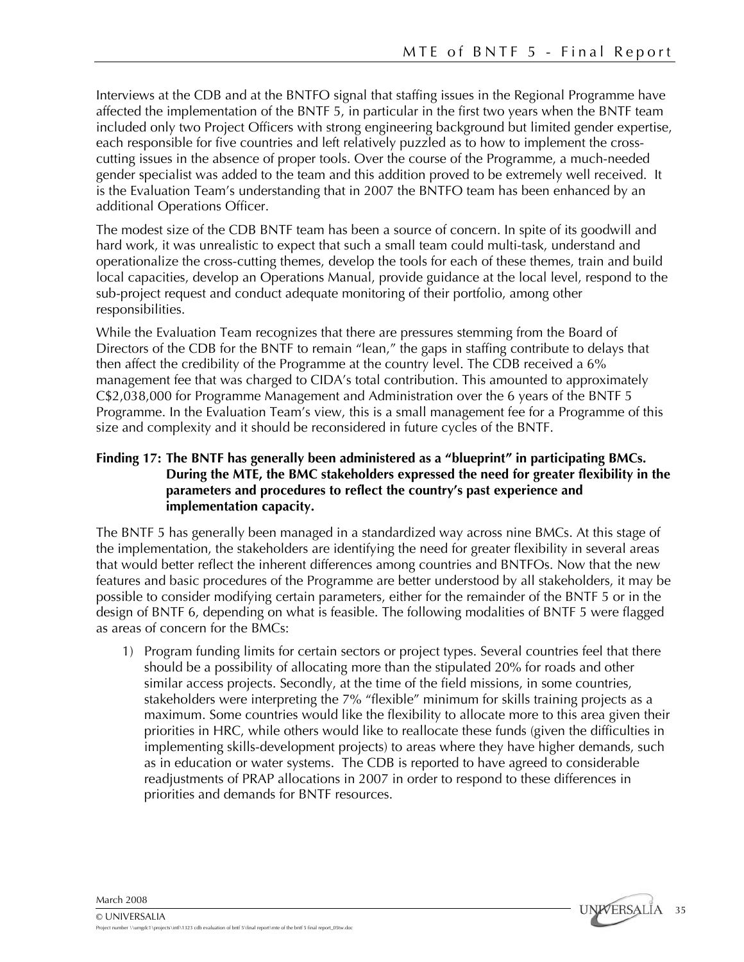Interviews at the CDB and at the BNTFO signal that staffing issues in the Regional Programme have affected the implementation of the BNTF 5, in particular in the first two years when the BNTF team included only two Project Officers with strong engineering background but limited gender expertise, each responsible for five countries and left relatively puzzled as to how to implement the crosscutting issues in the absence of proper tools. Over the course of the Programme, a much-needed gender specialist was added to the team and this addition proved to be extremely well received. It is the Evaluation Team's understanding that in 2007 the BNTFO team has been enhanced by an additional Operations Officer.

The modest size of the CDB BNTF team has been a source of concern. In spite of its goodwill and hard work, it was unrealistic to expect that such a small team could multi-task, understand and operationalize the cross-cutting themes, develop the tools for each of these themes, train and build local capacities, develop an Operations Manual, provide guidance at the local level, respond to the sub-project request and conduct adequate monitoring of their portfolio, among other responsibilities.

While the Evaluation Team recognizes that there are pressures stemming from the Board of Directors of the CDB for the BNTF to remain "lean," the gaps in staffing contribute to delays that then affect the credibility of the Programme at the country level. The CDB received a 6% management fee that was charged to CIDA's total contribution. This amounted to approximately C\$2,038,000 for Programme Management and Administration over the 6 years of the BNTF 5 Programme. In the Evaluation Team's view, this is a small management fee for a Programme of this size and complexity and it should be reconsidered in future cycles of the BNTF.

## **Finding 17: The BNTF has generally been administered as a "blueprint" in participating BMCs. During the MTE, the BMC stakeholders expressed the need for greater flexibility in the parameters and procedures to reflect the country's past experience and implementation capacity.**

The BNTF 5 has generally been managed in a standardized way across nine BMCs. At this stage of the implementation, the stakeholders are identifying the need for greater flexibility in several areas that would better reflect the inherent differences among countries and BNTFOs. Now that the new features and basic procedures of the Programme are better understood by all stakeholders, it may be possible to consider modifying certain parameters, either for the remainder of the BNTF 5 or in the design of BNTF 6, depending on what is feasible. The following modalities of BNTF 5 were flagged as areas of concern for the BMCs:

1) Program funding limits for certain sectors or project types. Several countries feel that there should be a possibility of allocating more than the stipulated 20% for roads and other similar access projects. Secondly, at the time of the field missions, in some countries, stakeholders were interpreting the 7% "flexible" minimum for skills training projects as a maximum. Some countries would like the flexibility to allocate more to this area given their priorities in HRC, while others would like to reallocate these funds (given the difficulties in implementing skills-development projects) to areas where they have higher demands, such as in education or water systems. The CDB is reported to have agreed to considerable readjustments of PRAP allocations in 2007 in order to respond to these differences in priorities and demands for BNTF resources.

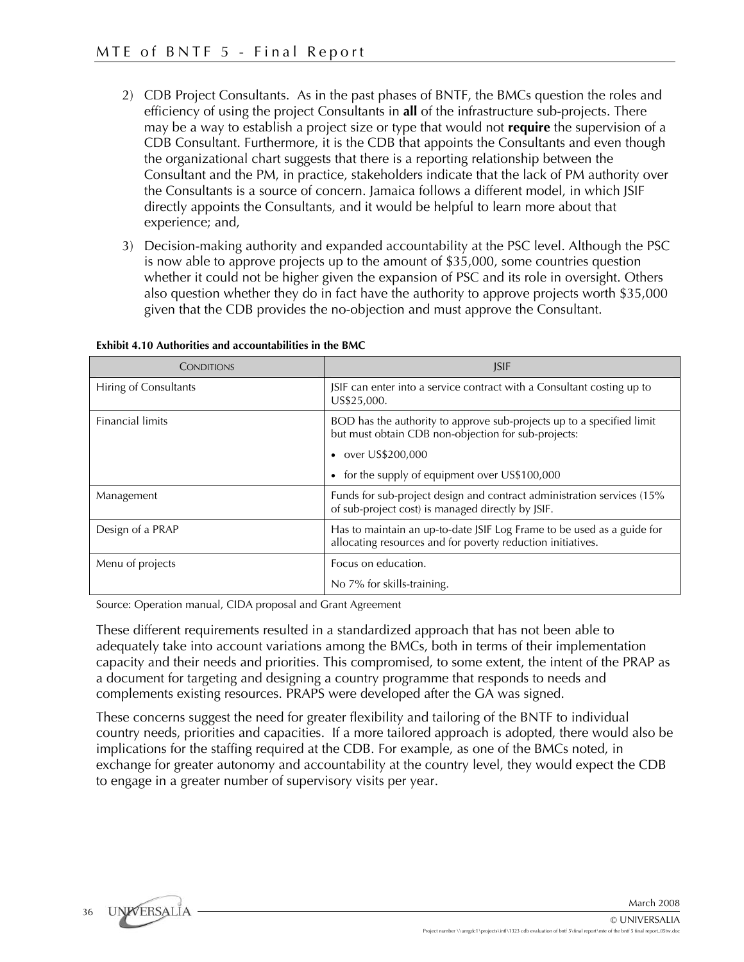- 2) CDB Project Consultants. As in the past phases of BNTF, the BMCs question the roles and efficiency of using the project Consultants in **all** of the infrastructure sub-projects. There may be a way to establish a project size or type that would not **require** the supervision of a CDB Consultant. Furthermore, it is the CDB that appoints the Consultants and even though the organizational chart suggests that there is a reporting relationship between the Consultant and the PM, in practice, stakeholders indicate that the lack of PM authority over the Consultants is a source of concern. Jamaica follows a different model, in which JSIF directly appoints the Consultants, and it would be helpful to learn more about that experience; and,
- 3) Decision-making authority and expanded accountability at the PSC level. Although the PSC is now able to approve projects up to the amount of \$35,000, some countries question whether it could not be higher given the expansion of PSC and its role in oversight. Others also question whether they do in fact have the authority to approve projects worth \$35,000 given that the CDB provides the no-objection and must approve the Consultant.

| CONDITIONS              | <b>ISIF</b>                                                                                                                           |
|-------------------------|---------------------------------------------------------------------------------------------------------------------------------------|
| Hiring of Consultants   | JSIF can enter into a service contract with a Consultant costing up to<br>US\$25,000.                                                 |
| <b>Financial limits</b> | BOD has the authority to approve sub-projects up to a specified limit<br>but must obtain CDB non-objection for sub-projects:          |
|                         | • over US\$200,000                                                                                                                    |
|                         | • for the supply of equipment over US\$100,000                                                                                        |
| Management              | Funds for sub-project design and contract administration services (15%<br>of sub-project cost) is managed directly by JSIF.           |
| Design of a PRAP        | Has to maintain an up-to-date JSIF Log Frame to be used as a guide for<br>allocating resources and for poverty reduction initiatives. |
| Menu of projects        | Focus on education.                                                                                                                   |
|                         | No 7% for skills-training.                                                                                                            |

#### **Exhibit 4.10 Authorities and accountabilities in the BMC**

Source: Operation manual, CIDA proposal and Grant Agreement

These different requirements resulted in a standardized approach that has not been able to adequately take into account variations among the BMCs, both in terms of their implementation capacity and their needs and priorities. This compromised, to some extent, the intent of the PRAP as a document for targeting and designing a country programme that responds to needs and complements existing resources. PRAPS were developed after the GA was signed.

These concerns suggest the need for greater flexibility and tailoring of the BNTF to individual country needs, priorities and capacities. If a more tailored approach is adopted, there would also be implications for the staffing required at the CDB. For example, as one of the BMCs noted, in exchange for greater autonomy and accountability at the country level, they would expect the CDB to engage in a greater number of supervisory visits per year.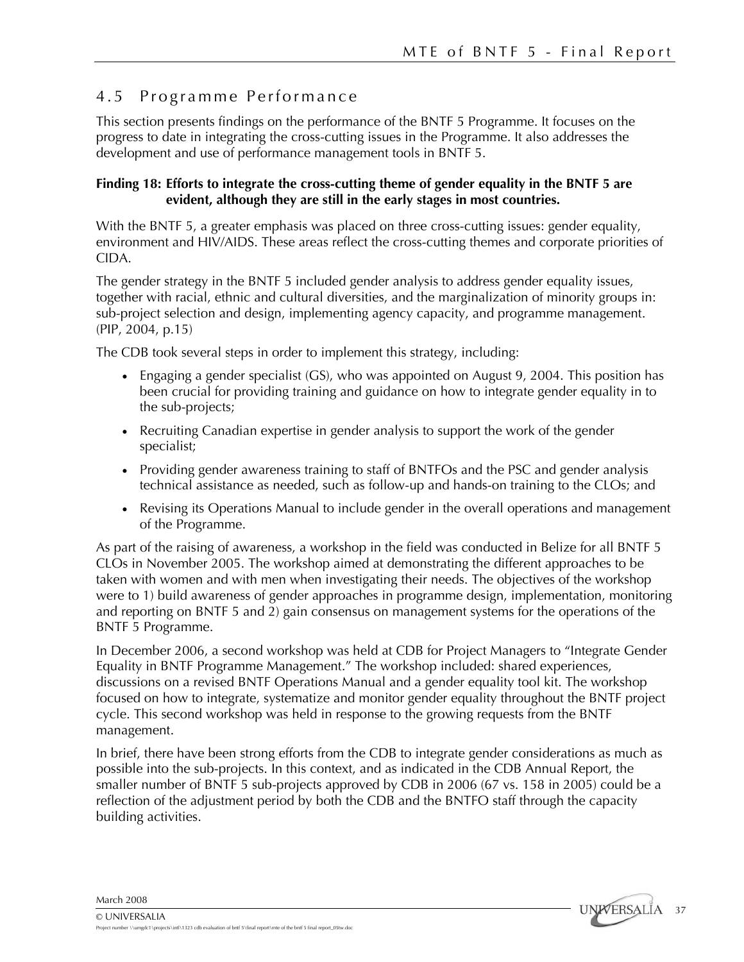# 4.5 Programme Performance

This section presents findings on the performance of the BNTF 5 Programme. It focuses on the progress to date in integrating the cross-cutting issues in the Programme. It also addresses the development and use of performance management tools in BNTF 5.

# **Finding 18: Efforts to integrate the cross-cutting theme of gender equality in the BNTF 5 are evident, although they are still in the early stages in most countries.**

With the BNTF 5, a greater emphasis was placed on three cross-cutting issues: gender equality, environment and HIV/AIDS. These areas reflect the cross-cutting themes and corporate priorities of CIDA.

The gender strategy in the BNTF 5 included gender analysis to address gender equality issues, together with racial, ethnic and cultural diversities, and the marginalization of minority groups in: sub-project selection and design, implementing agency capacity, and programme management. (PIP, 2004, p.15)

The CDB took several steps in order to implement this strategy, including:

- Engaging a gender specialist (GS), who was appointed on August 9, 2004. This position has been crucial for providing training and guidance on how to integrate gender equality in to the sub-projects;
- Recruiting Canadian expertise in gender analysis to support the work of the gender specialist;
- Providing gender awareness training to staff of BNTFOs and the PSC and gender analysis technical assistance as needed, such as follow-up and hands-on training to the CLOs; and
- Revising its Operations Manual to include gender in the overall operations and management of the Programme.

As part of the raising of awareness, a workshop in the field was conducted in Belize for all BNTF 5 CLOs in November 2005. The workshop aimed at demonstrating the different approaches to be taken with women and with men when investigating their needs. The objectives of the workshop were to 1) build awareness of gender approaches in programme design, implementation, monitoring and reporting on BNTF 5 and 2) gain consensus on management systems for the operations of the BNTF 5 Programme.

In December 2006, a second workshop was held at CDB for Project Managers to "Integrate Gender Equality in BNTF Programme Management." The workshop included: shared experiences, discussions on a revised BNTF Operations Manual and a gender equality tool kit. The workshop focused on how to integrate, systematize and monitor gender equality throughout the BNTF project cycle. This second workshop was held in response to the growing requests from the BNTF management.

In brief, there have been strong efforts from the CDB to integrate gender considerations as much as possible into the sub-projects. In this context, and as indicated in the CDB Annual Report, the smaller number of BNTF 5 sub-projects approved by CDB in 2006 (67 vs. 158 in 2005) could be a reflection of the adjustment period by both the CDB and the BNTFO staff through the capacity building activities.

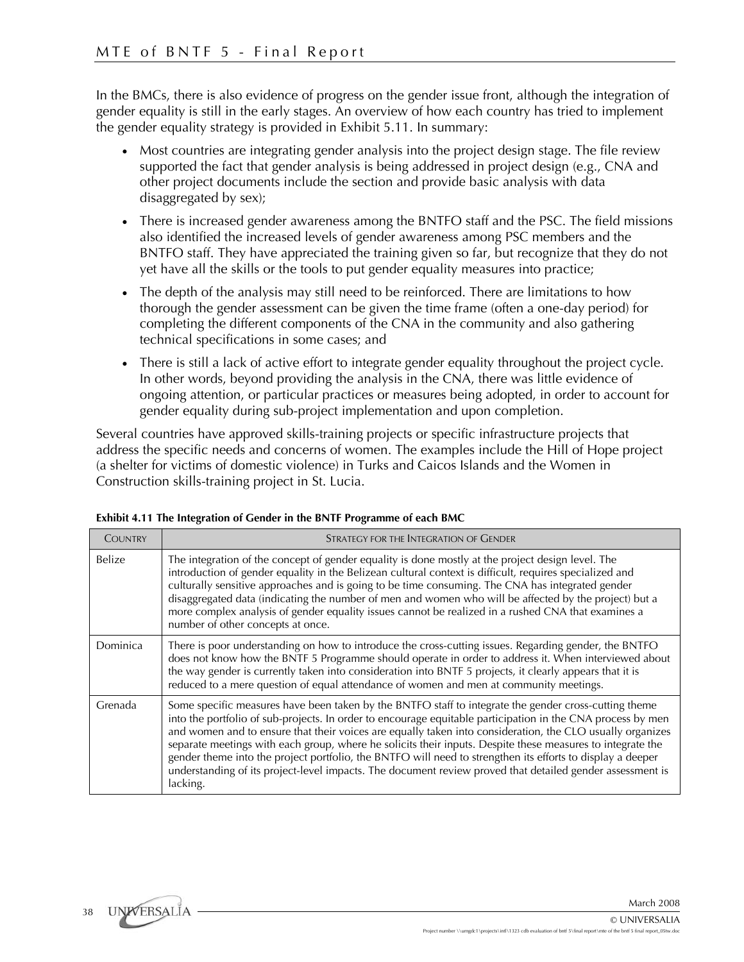In the BMCs, there is also evidence of progress on the gender issue front, although the integration of gender equality is still in the early stages. An overview of how each country has tried to implement the gender equality strategy is provided in Exhibit 5.11. In summary:

- Most countries are integrating gender analysis into the project design stage. The file review supported the fact that gender analysis is being addressed in project design (e.g., CNA and other project documents include the section and provide basic analysis with data disaggregated by sex);
- There is increased gender awareness among the BNTFO staff and the PSC. The field missions also identified the increased levels of gender awareness among PSC members and the BNTFO staff. They have appreciated the training given so far, but recognize that they do not yet have all the skills or the tools to put gender equality measures into practice;
- The depth of the analysis may still need to be reinforced. There are limitations to how thorough the gender assessment can be given the time frame (often a one-day period) for completing the different components of the CNA in the community and also gathering technical specifications in some cases; and
- There is still a lack of active effort to integrate gender equality throughout the project cycle. In other words, beyond providing the analysis in the CNA, there was little evidence of ongoing attention, or particular practices or measures being adopted, in order to account for gender equality during sub-project implementation and upon completion.

Several countries have approved skills-training projects or specific infrastructure projects that address the specific needs and concerns of women. The examples include the Hill of Hope project (a shelter for victims of domestic violence) in Turks and Caicos Islands and the Women in Construction skills-training project in St. Lucia.

| COUNTRY       | STRATEGY FOR THE INTEGRATION OF GENDER                                                                                                                                                                                                                                                                                                                                                                                                                                                                                                                                                                                                                                                 |  |  |
|---------------|----------------------------------------------------------------------------------------------------------------------------------------------------------------------------------------------------------------------------------------------------------------------------------------------------------------------------------------------------------------------------------------------------------------------------------------------------------------------------------------------------------------------------------------------------------------------------------------------------------------------------------------------------------------------------------------|--|--|
| <b>Belize</b> | The integration of the concept of gender equality is done mostly at the project design level. The<br>introduction of gender equality in the Belizean cultural context is difficult, requires specialized and<br>culturally sensitive approaches and is going to be time consuming. The CNA has integrated gender<br>disaggregated data (indicating the number of men and women who will be affected by the project) but a<br>more complex analysis of gender equality issues cannot be realized in a rushed CNA that examines a<br>number of other concepts at once.                                                                                                                   |  |  |
| Dominica      | There is poor understanding on how to introduce the cross-cutting issues. Regarding gender, the BNTFO<br>does not know how the BNTF 5 Programme should operate in order to address it. When interviewed about<br>the way gender is currently taken into consideration into BNTF 5 projects, it clearly appears that it is<br>reduced to a mere question of equal attendance of women and men at community meetings.                                                                                                                                                                                                                                                                    |  |  |
| Grenada       | Some specific measures have been taken by the BNTFO staff to integrate the gender cross-cutting theme<br>into the portfolio of sub-projects. In order to encourage equitable participation in the CNA process by men<br>and women and to ensure that their voices are equally taken into consideration, the CLO usually organizes<br>separate meetings with each group, where he solicits their inputs. Despite these measures to integrate the<br>gender theme into the project portfolio, the BNTFO will need to strengthen its efforts to display a deeper<br>understanding of its project-level impacts. The document review proved that detailed gender assessment is<br>lacking. |  |  |

**Exhibit 4.11 The Integration of Gender in the BNTF Programme of each BMC** 

38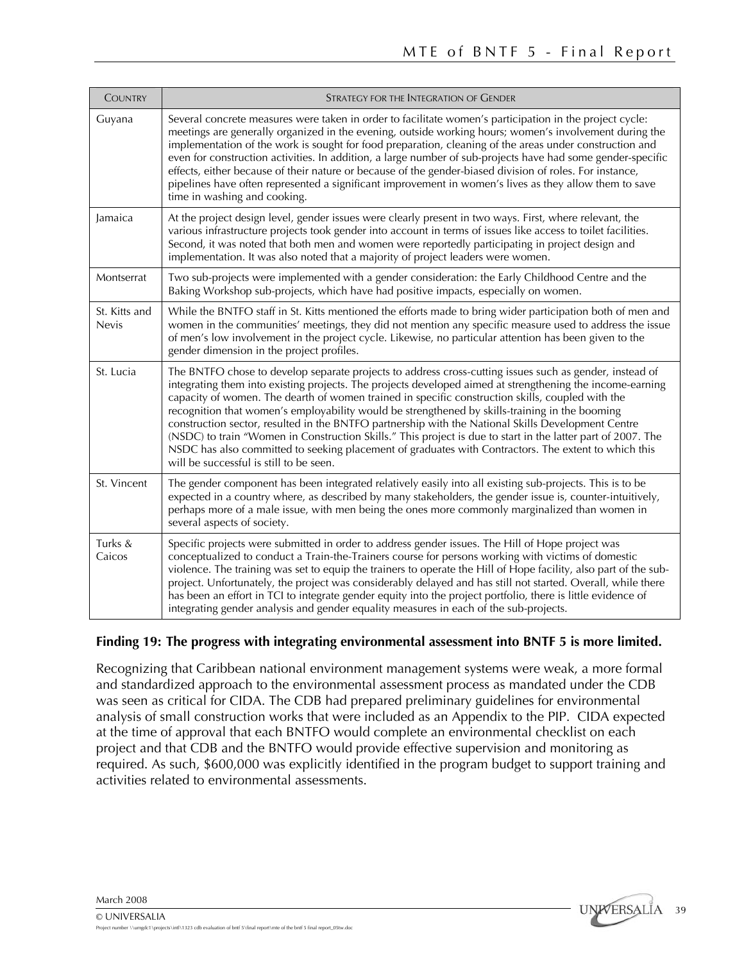| <b>COUNTRY</b>                | STRATEGY FOR THE INTEGRATION OF GENDER                                                                                                                                                                                                                                                                                                                                                                                                                                                                                                                                                                                                                                                                                                                                                              |  |  |
|-------------------------------|-----------------------------------------------------------------------------------------------------------------------------------------------------------------------------------------------------------------------------------------------------------------------------------------------------------------------------------------------------------------------------------------------------------------------------------------------------------------------------------------------------------------------------------------------------------------------------------------------------------------------------------------------------------------------------------------------------------------------------------------------------------------------------------------------------|--|--|
| Guyana                        | Several concrete measures were taken in order to facilitate women's participation in the project cycle:<br>meetings are generally organized in the evening, outside working hours; women's involvement during the<br>implementation of the work is sought for food preparation, cleaning of the areas under construction and<br>even for construction activities. In addition, a large number of sub-projects have had some gender-specific<br>effects, either because of their nature or because of the gender-biased division of roles. For instance,<br>pipelines have often represented a significant improvement in women's lives as they allow them to save<br>time in washing and cooking.                                                                                                   |  |  |
| Jamaica                       | At the project design level, gender issues were clearly present in two ways. First, where relevant, the<br>various infrastructure projects took gender into account in terms of issues like access to toilet facilities.<br>Second, it was noted that both men and women were reportedly participating in project design and<br>implementation. It was also noted that a majority of project leaders were women.                                                                                                                                                                                                                                                                                                                                                                                    |  |  |
| Montserrat                    | Two sub-projects were implemented with a gender consideration: the Early Childhood Centre and the<br>Baking Workshop sub-projects, which have had positive impacts, especially on women.                                                                                                                                                                                                                                                                                                                                                                                                                                                                                                                                                                                                            |  |  |
| St. Kitts and<br><b>Nevis</b> | While the BNTFO staff in St. Kitts mentioned the efforts made to bring wider participation both of men and<br>women in the communities' meetings, they did not mention any specific measure used to address the issue<br>of men's low involvement in the project cycle. Likewise, no particular attention has been given to the<br>gender dimension in the project profiles.                                                                                                                                                                                                                                                                                                                                                                                                                        |  |  |
| St. Lucia                     | The BNTFO chose to develop separate projects to address cross-cutting issues such as gender, instead of<br>integrating them into existing projects. The projects developed aimed at strengthening the income-earning<br>capacity of women. The dearth of women trained in specific construction skills, coupled with the<br>recognition that women's employability would be strengthened by skills-training in the booming<br>construction sector, resulted in the BNTFO partnership with the National Skills Development Centre<br>(NSDC) to train "Women in Construction Skills." This project is due to start in the latter part of 2007. The<br>NSDC has also committed to seeking placement of graduates with Contractors. The extent to which this<br>will be successful is still to be seen. |  |  |
| St. Vincent                   | The gender component has been integrated relatively easily into all existing sub-projects. This is to be<br>expected in a country where, as described by many stakeholders, the gender issue is, counter-intuitively,<br>perhaps more of a male issue, with men being the ones more commonly marginalized than women in<br>several aspects of society.                                                                                                                                                                                                                                                                                                                                                                                                                                              |  |  |
| Turks &<br>Caicos             | Specific projects were submitted in order to address gender issues. The Hill of Hope project was<br>conceptualized to conduct a Train-the-Trainers course for persons working with victims of domestic<br>violence. The training was set to equip the trainers to operate the Hill of Hope facility, also part of the sub-<br>project. Unfortunately, the project was considerably delayed and has still not started. Overall, while there<br>has been an effort in TCI to integrate gender equity into the project portfolio, there is little evidence of<br>integrating gender analysis and gender equality measures in each of the sub-projects.                                                                                                                                                 |  |  |

### **Finding 19: The progress with integrating environmental assessment into BNTF 5 is more limited.**

Recognizing that Caribbean national environment management systems were weak, a more formal and standardized approach to the environmental assessment process as mandated under the CDB was seen as critical for CIDA. The CDB had prepared preliminary guidelines for environmental analysis of small construction works that were included as an Appendix to the PIP. CIDA expected at the time of approval that each BNTFO would complete an environmental checklist on each project and that CDB and the BNTFO would provide effective supervision and monitoring as required. As such, \$600,000 was explicitly identified in the program budget to support training and activities related to environmental assessments.

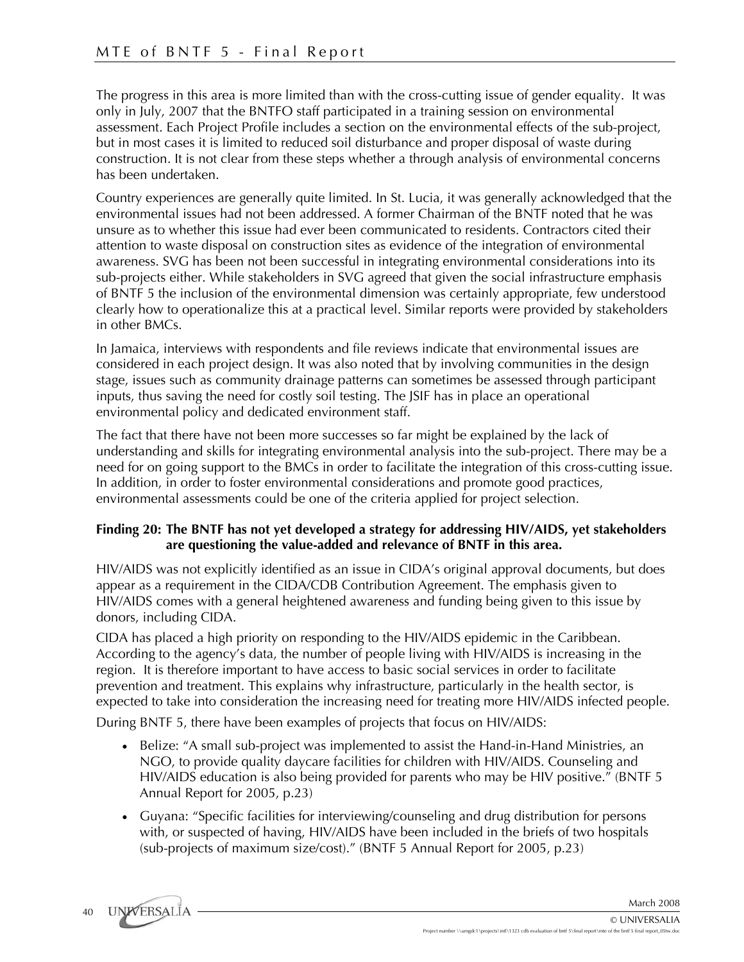The progress in this area is more limited than with the cross-cutting issue of gender equality. It was only in July, 2007 that the BNTFO staff participated in a training session on environmental assessment. Each Project Profile includes a section on the environmental effects of the sub-project, but in most cases it is limited to reduced soil disturbance and proper disposal of waste during construction. It is not clear from these steps whether a through analysis of environmental concerns has been undertaken.

Country experiences are generally quite limited. In St. Lucia, it was generally acknowledged that the environmental issues had not been addressed. A former Chairman of the BNTF noted that he was unsure as to whether this issue had ever been communicated to residents. Contractors cited their attention to waste disposal on construction sites as evidence of the integration of environmental awareness. SVG has been not been successful in integrating environmental considerations into its sub-projects either. While stakeholders in SVG agreed that given the social infrastructure emphasis of BNTF 5 the inclusion of the environmental dimension was certainly appropriate, few understood clearly how to operationalize this at a practical level. Similar reports were provided by stakeholders in other BMCs.

In Jamaica, interviews with respondents and file reviews indicate that environmental issues are considered in each project design. It was also noted that by involving communities in the design stage, issues such as community drainage patterns can sometimes be assessed through participant inputs, thus saving the need for costly soil testing. The JSIF has in place an operational environmental policy and dedicated environment staff.

The fact that there have not been more successes so far might be explained by the lack of understanding and skills for integrating environmental analysis into the sub-project. There may be a need for on going support to the BMCs in order to facilitate the integration of this cross-cutting issue. In addition, in order to foster environmental considerations and promote good practices, environmental assessments could be one of the criteria applied for project selection.

# **Finding 20: The BNTF has not yet developed a strategy for addressing HIV/AIDS, yet stakeholders are questioning the value-added and relevance of BNTF in this area.**

HIV/AIDS was not explicitly identified as an issue in CIDA's original approval documents, but does appear as a requirement in the CIDA/CDB Contribution Agreement. The emphasis given to HIV/AIDS comes with a general heightened awareness and funding being given to this issue by donors, including CIDA.

CIDA has placed a high priority on responding to the HIV/AIDS epidemic in the Caribbean. According to the agency's data, the number of people living with HIV/AIDS is increasing in the region. It is therefore important to have access to basic social services in order to facilitate prevention and treatment. This explains why infrastructure, particularly in the health sector, is expected to take into consideration the increasing need for treating more HIV/AIDS infected people.

During BNTF 5, there have been examples of projects that focus on HIV/AIDS:

- Belize: "A small sub-project was implemented to assist the Hand-in-Hand Ministries, an NGO, to provide quality daycare facilities for children with HIV/AIDS. Counseling and HIV/AIDS education is also being provided for parents who may be HIV positive." (BNTF 5 Annual Report for 2005, p.23)
- Guyana: "Specific facilities for interviewing/counseling and drug distribution for persons with, or suspected of having, HIV/AIDS have been included in the briefs of two hospitals (sub-projects of maximum size/cost)." (BNTF 5 Annual Report for 2005, p.23)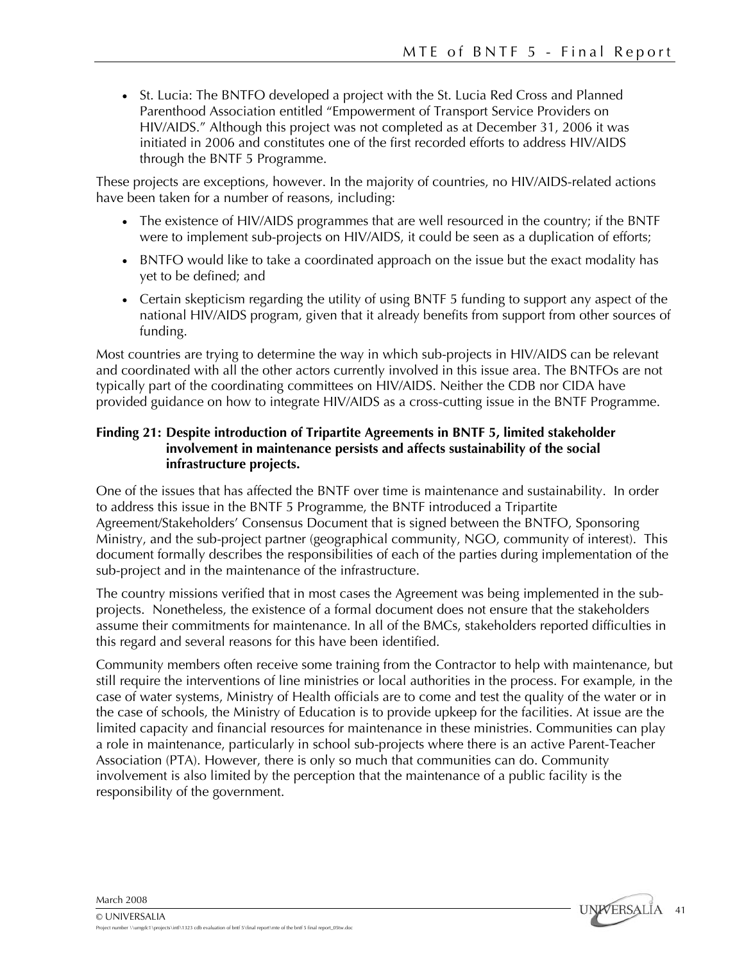• St. Lucia: The BNTFO developed a project with the St. Lucia Red Cross and Planned Parenthood Association entitled "Empowerment of Transport Service Providers on HIV/AIDS." Although this project was not completed as at December 31, 2006 it was initiated in 2006 and constitutes one of the first recorded efforts to address HIV/AIDS through the BNTF 5 Programme.

These projects are exceptions, however. In the majority of countries, no HIV/AIDS-related actions have been taken for a number of reasons, including:

- The existence of HIV/AIDS programmes that are well resourced in the country; if the BNTF were to implement sub-projects on HIV/AIDS, it could be seen as a duplication of efforts;
- BNTFO would like to take a coordinated approach on the issue but the exact modality has yet to be defined; and
- Certain skepticism regarding the utility of using BNTF 5 funding to support any aspect of the national HIV/AIDS program, given that it already benefits from support from other sources of funding.

Most countries are trying to determine the way in which sub-projects in HIV/AIDS can be relevant and coordinated with all the other actors currently involved in this issue area. The BNTFOs are not typically part of the coordinating committees on HIV/AIDS. Neither the CDB nor CIDA have provided guidance on how to integrate HIV/AIDS as a cross-cutting issue in the BNTF Programme.

# **Finding 21: Despite introduction of Tripartite Agreements in BNTF 5, limited stakeholder involvement in maintenance persists and affects sustainability of the social infrastructure projects.**

One of the issues that has affected the BNTF over time is maintenance and sustainability. In order to address this issue in the BNTF 5 Programme, the BNTF introduced a Tripartite Agreement/Stakeholders' Consensus Document that is signed between the BNTFO, Sponsoring Ministry, and the sub-project partner (geographical community, NGO, community of interest). This document formally describes the responsibilities of each of the parties during implementation of the sub-project and in the maintenance of the infrastructure.

The country missions verified that in most cases the Agreement was being implemented in the subprojects. Nonetheless, the existence of a formal document does not ensure that the stakeholders assume their commitments for maintenance. In all of the BMCs, stakeholders reported difficulties in this regard and several reasons for this have been identified.

Community members often receive some training from the Contractor to help with maintenance, but still require the interventions of line ministries or local authorities in the process. For example, in the case of water systems, Ministry of Health officials are to come and test the quality of the water or in the case of schools, the Ministry of Education is to provide upkeep for the facilities. At issue are the limited capacity and financial resources for maintenance in these ministries. Communities can play a role in maintenance, particularly in school sub-projects where there is an active Parent-Teacher Association (PTA). However, there is only so much that communities can do. Community involvement is also limited by the perception that the maintenance of a public facility is the responsibility of the government.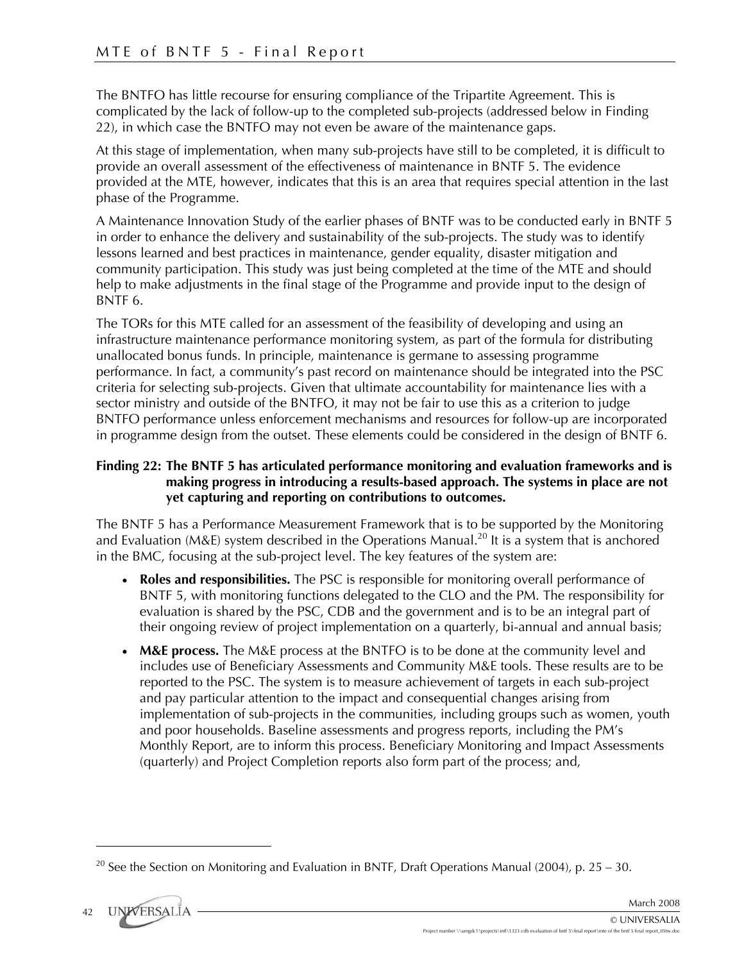The BNTFO has little recourse for ensuring compliance of the Tripartite Agreement. This is complicated by the lack of follow-up to the completed sub-projects (addressed below in Finding 22), in which case the BNTFO may not even be aware of the maintenance gaps.

At this stage of implementation, when many sub-projects have still to be completed, it is difficult to provide an overall assessment of the effectiveness of maintenance in BNTF 5. The evidence provided at the MTE, however, indicates that this is an area that requires special attention in the last phase of the Programme.

A Maintenance Innovation Study of the earlier phases of BNTF was to be conducted early in BNTF 5 in order to enhance the delivery and sustainability of the sub-projects. The study was to identify lessons learned and best practices in maintenance, gender equality, disaster mitigation and community participation. This study was just being completed at the time of the MTE and should help to make adjustments in the final stage of the Programme and provide input to the design of BNTF 6.

The TORs for this MTE called for an assessment of the feasibility of developing and using an infrastructure maintenance performance monitoring system, as part of the formula for distributing unallocated bonus funds. In principle, maintenance is germane to assessing programme performance. In fact, a community's past record on maintenance should be integrated into the PSC criteria for selecting sub-projects. Given that ultimate accountability for maintenance lies with a sector ministry and outside of the BNTFO, it may not be fair to use this as a criterion to judge BNTFO performance unless enforcement mechanisms and resources for follow-up are incorporated in programme design from the outset. These elements could be considered in the design of BNTF 6.

# **Finding 22: The BNTF 5 has articulated performance monitoring and evaluation frameworks and is making progress in introducing a results-based approach. The systems in place are not yet capturing and reporting on contributions to outcomes.**

The BNTF 5 has a Performance Measurement Framework that is to be supported by the Monitoring and Evaluation (M&E) system described in the Operations Manual.<sup>20</sup> It is a system that is anchored in the BMC, focusing at the sub-project level. The key features of the system are:

- **Roles and responsibilities.** The PSC is responsible for monitoring overall performance of BNTF 5, with monitoring functions delegated to the CLO and the PM. The responsibility for evaluation is shared by the PSC, CDB and the government and is to be an integral part of their ongoing review of project implementation on a quarterly, bi-annual and annual basis;
- **M&E process.** The M&E process at the BNTFO is to be done at the community level and includes use of Beneficiary Assessments and Community M&E tools. These results are to be reported to the PSC. The system is to measure achievement of targets in each sub-project and pay particular attention to the impact and consequential changes arising from implementation of sub-projects in the communities, including groups such as women, youth and poor households. Baseline assessments and progress reports, including the PM's Monthly Report, are to inform this process. Beneficiary Monitoring and Impact Assessments (quarterly) and Project Completion reports also form part of the process; and,

<sup>&</sup>lt;sup>20</sup> See the Section on Monitoring and Evaluation in BNTF, Draft Operations Manual (2004), p. 25 – 30.



<u>.</u>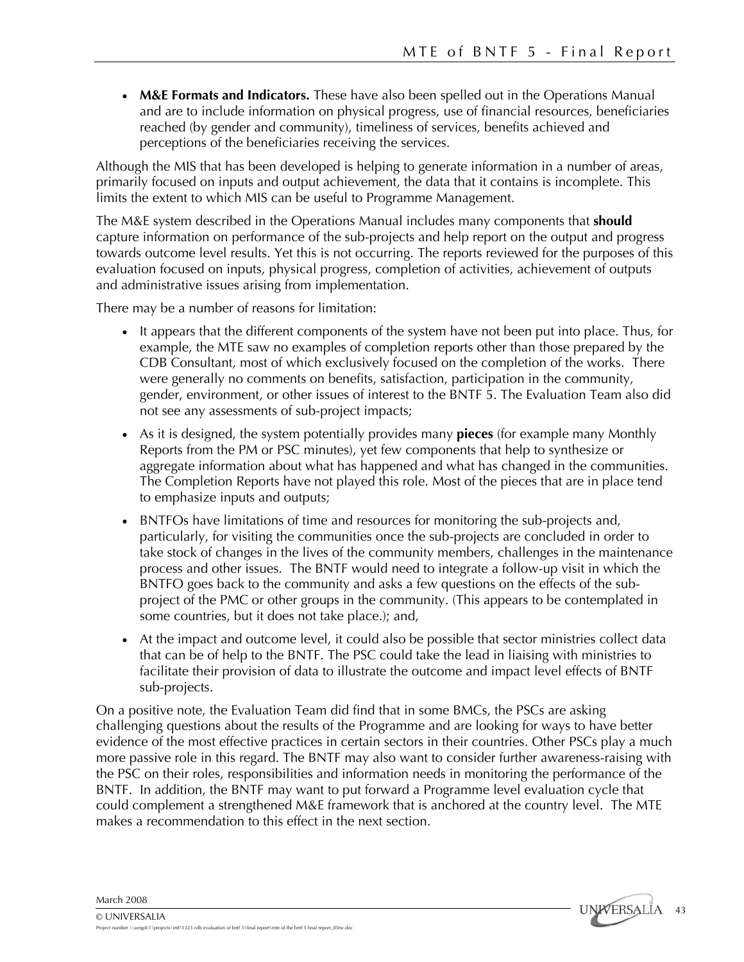• **M&E Formats and Indicators.** These have also been spelled out in the Operations Manual and are to include information on physical progress, use of financial resources, beneficiaries reached (by gender and community), timeliness of services, benefits achieved and perceptions of the beneficiaries receiving the services.

Although the MIS that has been developed is helping to generate information in a number of areas, primarily focused on inputs and output achievement, the data that it contains is incomplete. This limits the extent to which MIS can be useful to Programme Management.

The M&E system described in the Operations Manual includes many components that **should** capture information on performance of the sub-projects and help report on the output and progress towards outcome level results. Yet this is not occurring. The reports reviewed for the purposes of this evaluation focused on inputs, physical progress, completion of activities, achievement of outputs and administrative issues arising from implementation.

There may be a number of reasons for limitation:

- It appears that the different components of the system have not been put into place. Thus, for example, the MTE saw no examples of completion reports other than those prepared by the CDB Consultant, most of which exclusively focused on the completion of the works. There were generally no comments on benefits, satisfaction, participation in the community, gender, environment, or other issues of interest to the BNTF 5. The Evaluation Team also did not see any assessments of sub-project impacts;
- As it is designed, the system potentially provides many **pieces** (for example many Monthly Reports from the PM or PSC minutes), yet few components that help to synthesize or aggregate information about what has happened and what has changed in the communities. The Completion Reports have not played this role. Most of the pieces that are in place tend to emphasize inputs and outputs;
- BNTFOs have limitations of time and resources for monitoring the sub-projects and, particularly, for visiting the communities once the sub-projects are concluded in order to take stock of changes in the lives of the community members, challenges in the maintenance process and other issues. The BNTF would need to integrate a follow-up visit in which the BNTFO goes back to the community and asks a few questions on the effects of the subproject of the PMC or other groups in the community. (This appears to be contemplated in some countries, but it does not take place.); and,
- At the impact and outcome level, it could also be possible that sector ministries collect data that can be of help to the BNTF. The PSC could take the lead in liaising with ministries to facilitate their provision of data to illustrate the outcome and impact level effects of BNTF sub-projects.

On a positive note, the Evaluation Team did find that in some BMCs, the PSCs are asking challenging questions about the results of the Programme and are looking for ways to have better evidence of the most effective practices in certain sectors in their countries. Other PSCs play a much more passive role in this regard. The BNTF may also want to consider further awareness-raising with the PSC on their roles, responsibilities and information needs in monitoring the performance of the BNTF. In addition, the BNTF may want to put forward a Programme level evaluation cycle that could complement a strengthened M&E framework that is anchored at the country level. The MTE makes a recommendation to this effect in the next section.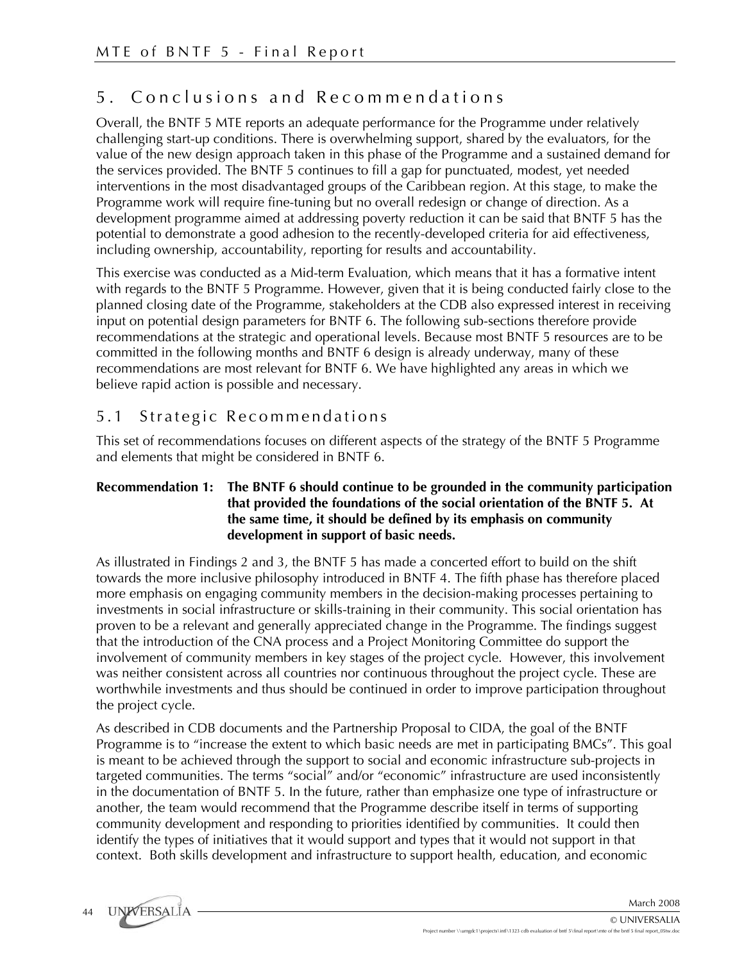# 5 . Conclusions and Recommendations

Overall, the BNTF 5 MTE reports an adequate performance for the Programme under relatively challenging start-up conditions. There is overwhelming support, shared by the evaluators, for the value of the new design approach taken in this phase of the Programme and a sustained demand for the services provided. The BNTF 5 continues to fill a gap for punctuated, modest, yet needed interventions in the most disadvantaged groups of the Caribbean region. At this stage, to make the Programme work will require fine-tuning but no overall redesign or change of direction. As a development programme aimed at addressing poverty reduction it can be said that BNTF 5 has the potential to demonstrate a good adhesion to the recently-developed criteria for aid effectiveness, including ownership, accountability, reporting for results and accountability.

This exercise was conducted as a Mid-term Evaluation, which means that it has a formative intent with regards to the BNTF 5 Programme. However, given that it is being conducted fairly close to the planned closing date of the Programme, stakeholders at the CDB also expressed interest in receiving input on potential design parameters for BNTF 6. The following sub-sections therefore provide recommendations at the strategic and operational levels. Because most BNTF 5 resources are to be committed in the following months and BNTF 6 design is already underway, many of these recommendations are most relevant for BNTF 6. We have highlighted any areas in which we believe rapid action is possible and necessary.

# 5.1 Strategic Recommendations

This set of recommendations focuses on different aspects of the strategy of the BNTF 5 Programme and elements that might be considered in BNTF 6.

#### **Recommendation 1: The BNTF 6 should continue to be grounded in the community participation that provided the foundations of the social orientation of the BNTF 5. At the same time, it should be defined by its emphasis on community development in support of basic needs.**

As illustrated in Findings 2 and 3, the BNTF 5 has made a concerted effort to build on the shift towards the more inclusive philosophy introduced in BNTF 4. The fifth phase has therefore placed more emphasis on engaging community members in the decision-making processes pertaining to investments in social infrastructure or skills-training in their community. This social orientation has proven to be a relevant and generally appreciated change in the Programme. The findings suggest that the introduction of the CNA process and a Project Monitoring Committee do support the involvement of community members in key stages of the project cycle. However, this involvement was neither consistent across all countries nor continuous throughout the project cycle. These are worthwhile investments and thus should be continued in order to improve participation throughout the project cycle.

As described in CDB documents and the Partnership Proposal to CIDA, the goal of the BNTF Programme is to "increase the extent to which basic needs are met in participating BMCs". This goal is meant to be achieved through the support to social and economic infrastructure sub-projects in targeted communities. The terms "social" and/or "economic" infrastructure are used inconsistently in the documentation of BNTF 5. In the future, rather than emphasize one type of infrastructure or another, the team would recommend that the Programme describe itself in terms of supporting community development and responding to priorities identified by communities. It could then identify the types of initiatives that it would support and types that it would not support in that context. Both skills development and infrastructure to support health, education, and economic

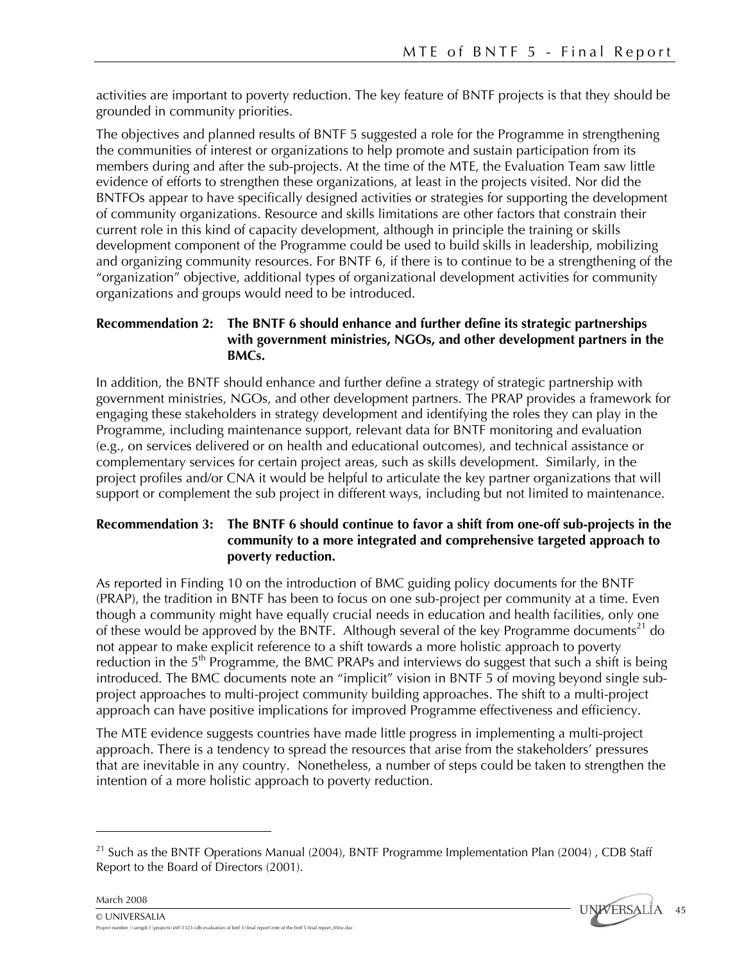activities are important to poverty reduction. The key feature of BNTF projects is that they should be grounded in community priorities.

The objectives and planned results of BNTF 5 suggested a role for the Programme in strengthening the communities of interest or organizations to help promote and sustain participation from its members during and after the sub-projects. At the time of the MTE, the Evaluation Team saw little evidence of efforts to strengthen these organizations, at least in the projects visited. Nor did the BNTFOs appear to have specifically designed activities or strategies for supporting the development of community organizations. Resource and skills limitations are other factors that constrain their current role in this kind of capacity development, although in principle the training or skills development component of the Programme could be used to build skills in leadership, mobilizing and organizing community resources. For BNTF 6, if there is to continue to be a strengthening of the "organization" objective, additional types of organizational development activities for community organizations and groups would need to be introduced.

# **Recommendation 2: The BNTF 6 should enhance and further define its strategic partnerships with government ministries, NGOs, and other development partners in the BMCs.**

In addition, the BNTF should enhance and further define a strategy of strategic partnership with government ministries, NGOs, and other development partners. The PRAP provides a framework for engaging these stakeholders in strategy development and identifying the roles they can play in the Programme, including maintenance support, relevant data for BNTF monitoring and evaluation (e.g., on services delivered or on health and educational outcomes), and technical assistance or complementary services for certain project areas, such as skills development. Similarly, in the project profiles and/or CNA it would be helpful to articulate the key partner organizations that will support or complement the sub project in different ways, including but not limited to maintenance.

# **Recommendation 3: The BNTF 6 should continue to favor a shift from one-off sub-projects in the community to a more integrated and comprehensive targeted approach to poverty reduction.**

As reported in Finding 10 on the introduction of BMC guiding policy documents for the BNTF (PRAP), the tradition in BNTF has been to focus on one sub-project per community at a time. Even though a community might have equally crucial needs in education and health facilities, only one of these would be approved by the BNTF. Although several of the key Programme documents<sup>21</sup> do not appear to make explicit reference to a shift towards a more holistic approach to poverty reduction in the  $5<sup>th</sup>$  Programme, the BMC PRAPs and interviews do suggest that such a shift is being introduced. The BMC documents note an "implicit" vision in BNTF 5 of moving beyond single subproject approaches to multi-project community building approaches. The shift to a multi-project approach can have positive implications for improved Programme effectiveness and efficiency.

The MTE evidence suggests countries have made little progress in implementing a multi-project approach. There is a tendency to spread the resources that arise from the stakeholders' pressures that are inevitable in any country. Nonetheless, a number of steps could be taken to strengthen the intention of a more holistic approach to poverty reduction.

<sup>&</sup>lt;sup>21</sup> Such as the BNTF Operations Manual (2004), BNTF Programme Implementation Plan (2004), CDB Staff Report to the Board of Directors (2001).



1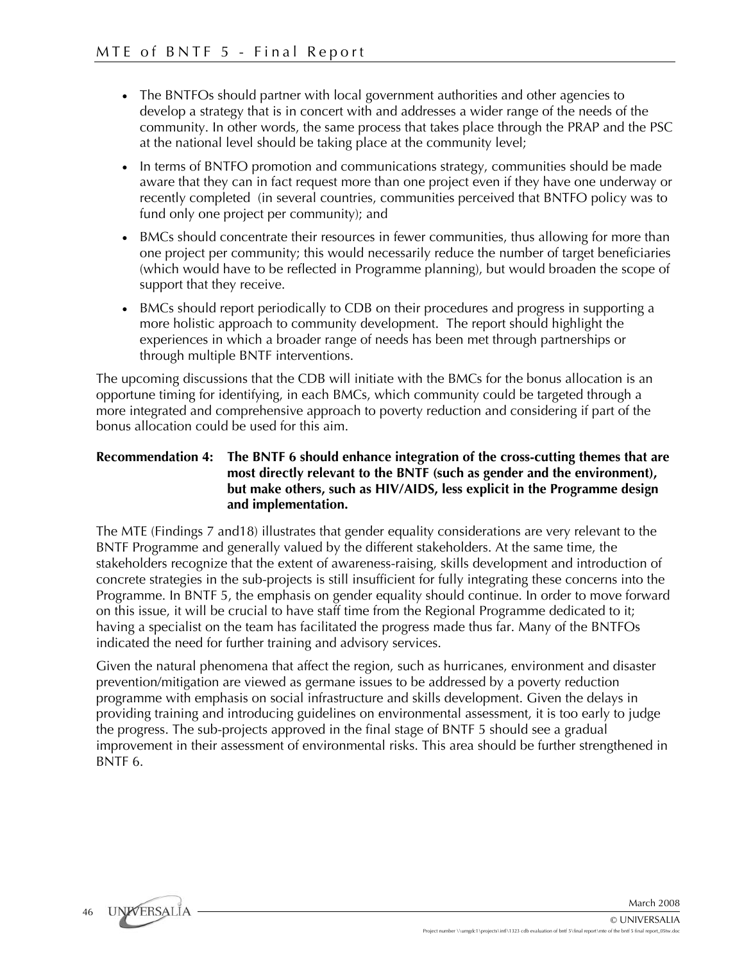- The BNTFOs should partner with local government authorities and other agencies to develop a strategy that is in concert with and addresses a wider range of the needs of the community. In other words, the same process that takes place through the PRAP and the PSC at the national level should be taking place at the community level;
- In terms of BNTFO promotion and communications strategy, communities should be made aware that they can in fact request more than one project even if they have one underway or recently completed (in several countries, communities perceived that BNTFO policy was to fund only one project per community); and
- BMCs should concentrate their resources in fewer communities, thus allowing for more than one project per community; this would necessarily reduce the number of target beneficiaries (which would have to be reflected in Programme planning), but would broaden the scope of support that they receive.
- BMCs should report periodically to CDB on their procedures and progress in supporting a more holistic approach to community development. The report should highlight the experiences in which a broader range of needs has been met through partnerships or through multiple BNTF interventions.

The upcoming discussions that the CDB will initiate with the BMCs for the bonus allocation is an opportune timing for identifying, in each BMCs, which community could be targeted through a more integrated and comprehensive approach to poverty reduction and considering if part of the bonus allocation could be used for this aim.

## **Recommendation 4: The BNTF 6 should enhance integration of the cross-cutting themes that are most directly relevant to the BNTF (such as gender and the environment), but make others, such as HIV/AIDS, less explicit in the Programme design and implementation.**

The MTE (Findings 7 and18) illustrates that gender equality considerations are very relevant to the BNTF Programme and generally valued by the different stakeholders. At the same time, the stakeholders recognize that the extent of awareness-raising, skills development and introduction of concrete strategies in the sub-projects is still insufficient for fully integrating these concerns into the Programme. In BNTF 5, the emphasis on gender equality should continue. In order to move forward on this issue, it will be crucial to have staff time from the Regional Programme dedicated to it; having a specialist on the team has facilitated the progress made thus far. Many of the BNTFOs indicated the need for further training and advisory services.

Given the natural phenomena that affect the region, such as hurricanes, environment and disaster prevention/mitigation are viewed as germane issues to be addressed by a poverty reduction programme with emphasis on social infrastructure and skills development. Given the delays in providing training and introducing guidelines on environmental assessment, it is too early to judge the progress. The sub-projects approved in the final stage of BNTF 5 should see a gradual improvement in their assessment of environmental risks. This area should be further strengthened in BNTF 6.

UNWERSALIA 46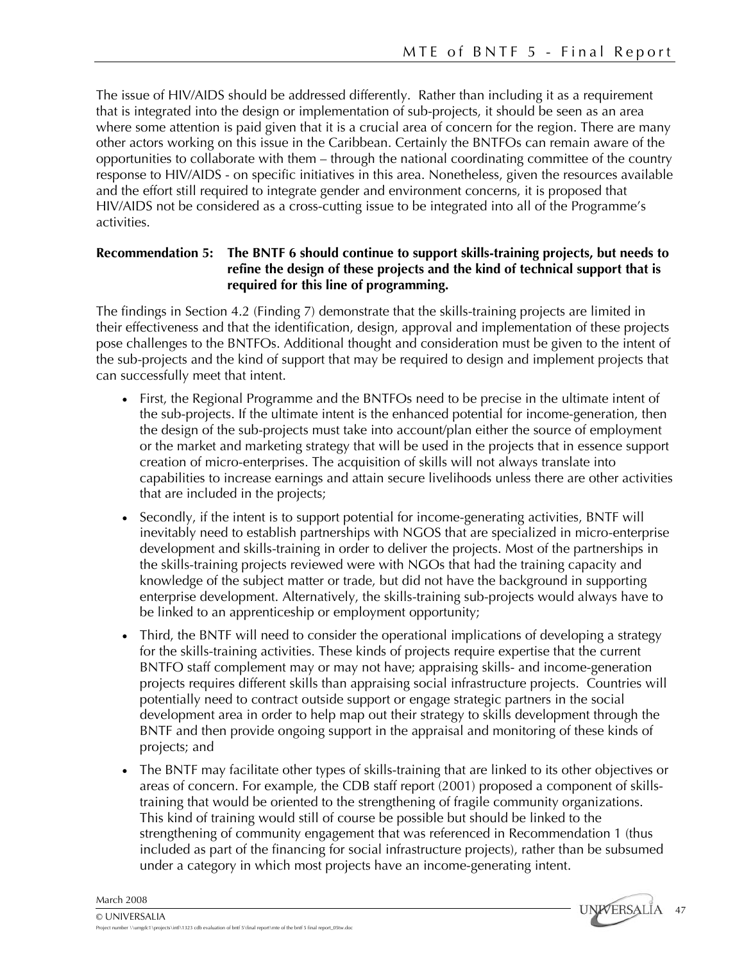The issue of HIV/AIDS should be addressed differently. Rather than including it as a requirement that is integrated into the design or implementation of sub-projects, it should be seen as an area where some attention is paid given that it is a crucial area of concern for the region. There are many other actors working on this issue in the Caribbean. Certainly the BNTFOs can remain aware of the opportunities to collaborate with them – through the national coordinating committee of the country response to HIV/AIDS - on specific initiatives in this area. Nonetheless, given the resources available and the effort still required to integrate gender and environment concerns, it is proposed that HIV/AIDS not be considered as a cross-cutting issue to be integrated into all of the Programme's activities.

# **Recommendation 5: The BNTF 6 should continue to support skills-training projects, but needs to refine the design of these projects and the kind of technical support that is required for this line of programming.**

The findings in Section 4.2 (Finding 7) demonstrate that the skills-training projects are limited in their effectiveness and that the identification, design, approval and implementation of these projects pose challenges to the BNTFOs. Additional thought and consideration must be given to the intent of the sub-projects and the kind of support that may be required to design and implement projects that can successfully meet that intent.

- First, the Regional Programme and the BNTFOs need to be precise in the ultimate intent of the sub-projects. If the ultimate intent is the enhanced potential for income-generation, then the design of the sub-projects must take into account/plan either the source of employment or the market and marketing strategy that will be used in the projects that in essence support creation of micro-enterprises. The acquisition of skills will not always translate into capabilities to increase earnings and attain secure livelihoods unless there are other activities that are included in the projects;
- Secondly, if the intent is to support potential for income-generating activities, BNTF will inevitably need to establish partnerships with NGOS that are specialized in micro-enterprise development and skills-training in order to deliver the projects. Most of the partnerships in the skills-training projects reviewed were with NGOs that had the training capacity and knowledge of the subject matter or trade, but did not have the background in supporting enterprise development. Alternatively, the skills-training sub-projects would always have to be linked to an apprenticeship or employment opportunity;
- Third, the BNTF will need to consider the operational implications of developing a strategy for the skills-training activities. These kinds of projects require expertise that the current BNTFO staff complement may or may not have; appraising skills- and income-generation projects requires different skills than appraising social infrastructure projects. Countries will potentially need to contract outside support or engage strategic partners in the social development area in order to help map out their strategy to skills development through the BNTF and then provide ongoing support in the appraisal and monitoring of these kinds of projects; and
- The BNTF may facilitate other types of skills-training that are linked to its other objectives or areas of concern. For example, the CDB staff report (2001) proposed a component of skillstraining that would be oriented to the strengthening of fragile community organizations. This kind of training would still of course be possible but should be linked to the strengthening of community engagement that was referenced in Recommendation 1 (thus included as part of the financing for social infrastructure projects), rather than be subsumed under a category in which most projects have an income-generating intent.

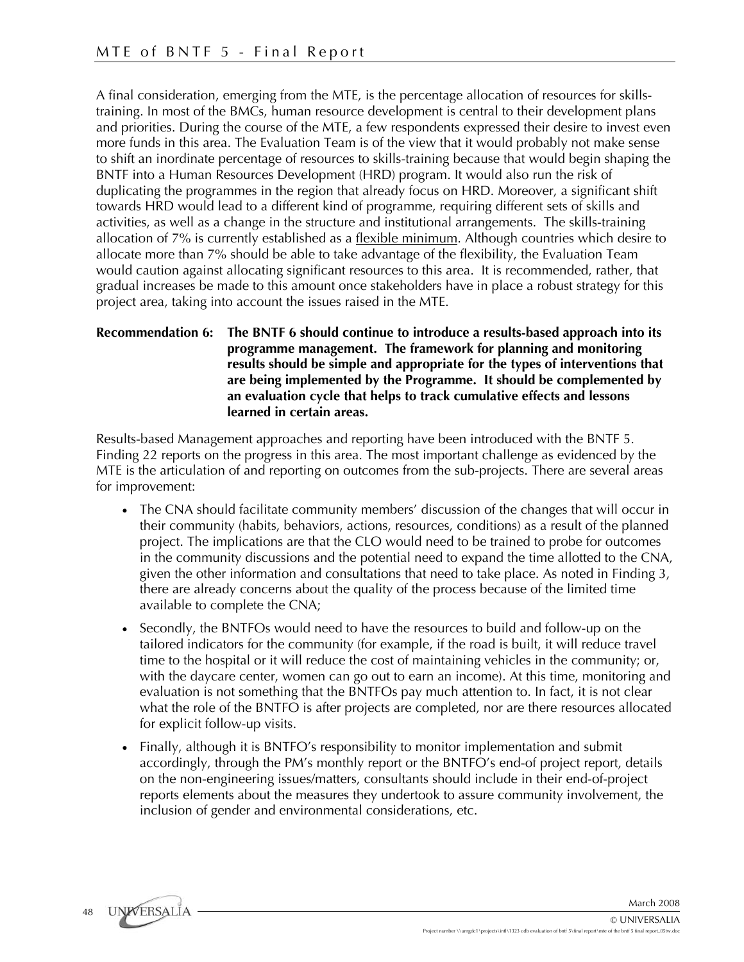A final consideration, emerging from the MTE, is the percentage allocation of resources for skillstraining. In most of the BMCs, human resource development is central to their development plans and priorities. During the course of the MTE, a few respondents expressed their desire to invest even more funds in this area. The Evaluation Team is of the view that it would probably not make sense to shift an inordinate percentage of resources to skills-training because that would begin shaping the BNTF into a Human Resources Development (HRD) program. It would also run the risk of duplicating the programmes in the region that already focus on HRD. Moreover, a significant shift towards HRD would lead to a different kind of programme, requiring different sets of skills and activities, as well as a change in the structure and institutional arrangements. The skills-training allocation of 7% is currently established as a flexible minimum. Although countries which desire to allocate more than 7% should be able to take advantage of the flexibility, the Evaluation Team would caution against allocating significant resources to this area. It is recommended, rather, that gradual increases be made to this amount once stakeholders have in place a robust strategy for this project area, taking into account the issues raised in the MTE.

## **Recommendation 6: The BNTF 6 should continue to introduce a results-based approach into its programme management. The framework for planning and monitoring results should be simple and appropriate for the types of interventions that are being implemented by the Programme. It should be complemented by an evaluation cycle that helps to track cumulative effects and lessons learned in certain areas.**

Results-based Management approaches and reporting have been introduced with the BNTF 5. Finding 22 reports on the progress in this area. The most important challenge as evidenced by the MTE is the articulation of and reporting on outcomes from the sub-projects. There are several areas for improvement:

- The CNA should facilitate community members' discussion of the changes that will occur in their community (habits, behaviors, actions, resources, conditions) as a result of the planned project. The implications are that the CLO would need to be trained to probe for outcomes in the community discussions and the potential need to expand the time allotted to the CNA, given the other information and consultations that need to take place. As noted in Finding 3, there are already concerns about the quality of the process because of the limited time available to complete the CNA;
- Secondly, the BNTFOs would need to have the resources to build and follow-up on the tailored indicators for the community (for example, if the road is built, it will reduce travel time to the hospital or it will reduce the cost of maintaining vehicles in the community; or, with the daycare center, women can go out to earn an income). At this time, monitoring and evaluation is not something that the BNTFOs pay much attention to. In fact, it is not clear what the role of the BNTFO is after projects are completed, nor are there resources allocated for explicit follow-up visits.
- Finally, although it is BNTFO's responsibility to monitor implementation and submit accordingly, through the PM's monthly report or the BNTFO's end-of project report, details on the non-engineering issues/matters, consultants should include in their end-of-project reports elements about the measures they undertook to assure community involvement, the inclusion of gender and environmental considerations, etc.

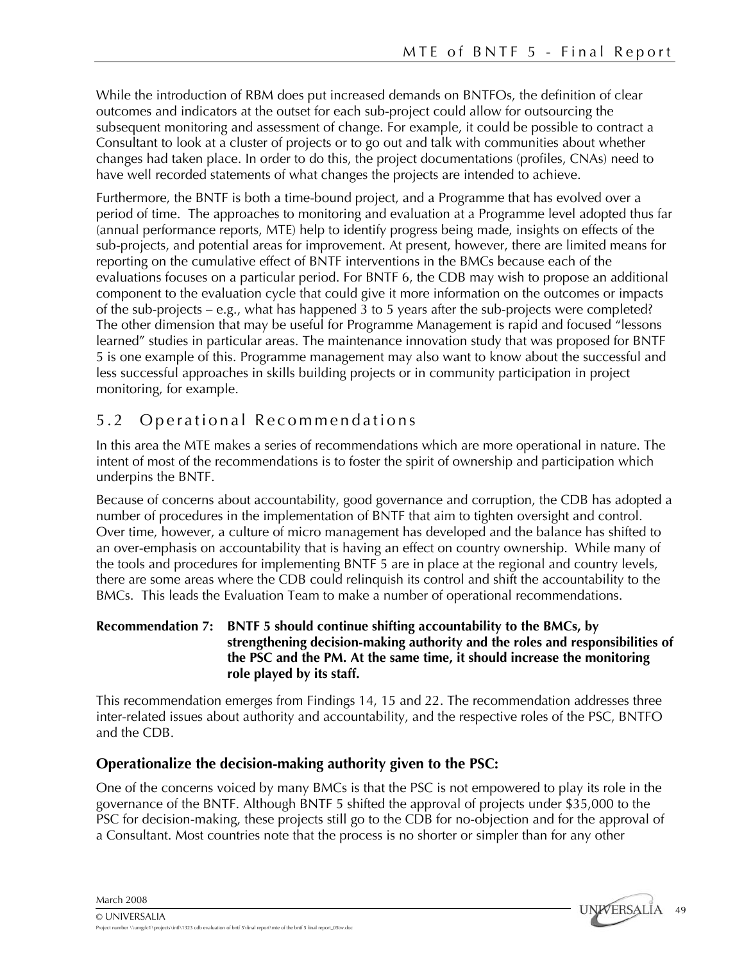While the introduction of RBM does put increased demands on BNTFOs, the definition of clear outcomes and indicators at the outset for each sub-project could allow for outsourcing the subsequent monitoring and assessment of change. For example, it could be possible to contract a Consultant to look at a cluster of projects or to go out and talk with communities about whether changes had taken place. In order to do this, the project documentations (profiles, CNAs) need to have well recorded statements of what changes the projects are intended to achieve.

Furthermore, the BNTF is both a time-bound project, and a Programme that has evolved over a period of time. The approaches to monitoring and evaluation at a Programme level adopted thus far (annual performance reports, MTE) help to identify progress being made, insights on effects of the sub-projects, and potential areas for improvement. At present, however, there are limited means for reporting on the cumulative effect of BNTF interventions in the BMCs because each of the evaluations focuses on a particular period. For BNTF 6, the CDB may wish to propose an additional component to the evaluation cycle that could give it more information on the outcomes or impacts of the sub-projects – e.g., what has happened 3 to 5 years after the sub-projects were completed? The other dimension that may be useful for Programme Management is rapid and focused "lessons learned" studies in particular areas. The maintenance innovation study that was proposed for BNTF 5 is one example of this. Programme management may also want to know about the successful and less successful approaches in skills building projects or in community participation in project monitoring, for example.

# 5.2 Operational Recommendations

In this area the MTE makes a series of recommendations which are more operational in nature. The intent of most of the recommendations is to foster the spirit of ownership and participation which underpins the BNTF.

Because of concerns about accountability, good governance and corruption, the CDB has adopted a number of procedures in the implementation of BNTF that aim to tighten oversight and control. Over time, however, a culture of micro management has developed and the balance has shifted to an over-emphasis on accountability that is having an effect on country ownership. While many of the tools and procedures for implementing BNTF 5 are in place at the regional and country levels, there are some areas where the CDB could relinquish its control and shift the accountability to the BMCs. This leads the Evaluation Team to make a number of operational recommendations.

# **Recommendation 7: BNTF 5 should continue shifting accountability to the BMCs, by strengthening decision-making authority and the roles and responsibilities of the PSC and the PM. At the same time, it should increase the monitoring role played by its staff.**

This recommendation emerges from Findings 14, 15 and 22. The recommendation addresses three inter-related issues about authority and accountability, and the respective roles of the PSC, BNTFO and the CDB.

# **Operationalize the decision-making authority given to the PSC:**

One of the concerns voiced by many BMCs is that the PSC is not empowered to play its role in the governance of the BNTF. Although BNTF 5 shifted the approval of projects under \$35,000 to the PSC for decision-making, these projects still go to the CDB for no-objection and for the approval of a Consultant. Most countries note that the process is no shorter or simpler than for any other

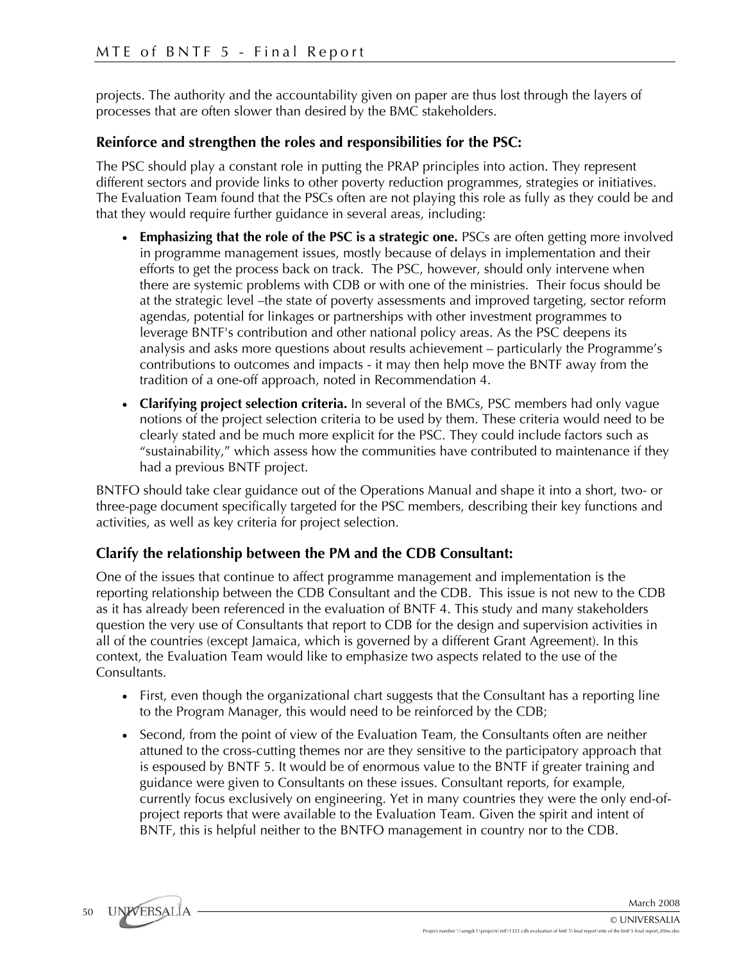projects. The authority and the accountability given on paper are thus lost through the layers of processes that are often slower than desired by the BMC stakeholders.

# **Reinforce and strengthen the roles and responsibilities for the PSC:**

The PSC should play a constant role in putting the PRAP principles into action. They represent different sectors and provide links to other poverty reduction programmes, strategies or initiatives. The Evaluation Team found that the PSCs often are not playing this role as fully as they could be and that they would require further guidance in several areas, including:

- **Emphasizing that the role of the PSC is a strategic one.** PSCs are often getting more involved in programme management issues, mostly because of delays in implementation and their efforts to get the process back on track. The PSC, however, should only intervene when there are systemic problems with CDB or with one of the ministries. Their focus should be at the strategic level –the state of poverty assessments and improved targeting, sector reform agendas, potential for linkages or partnerships with other investment programmes to leverage BNTF's contribution and other national policy areas. As the PSC deepens its analysis and asks more questions about results achievement – particularly the Programme's contributions to outcomes and impacts - it may then help move the BNTF away from the tradition of a one-off approach, noted in Recommendation 4.
- **Clarifying project selection criteria.** In several of the BMCs, PSC members had only vague notions of the project selection criteria to be used by them. These criteria would need to be clearly stated and be much more explicit for the PSC. They could include factors such as "sustainability," which assess how the communities have contributed to maintenance if they had a previous BNTF project.

BNTFO should take clear guidance out of the Operations Manual and shape it into a short, two- or three-page document specifically targeted for the PSC members, describing their key functions and activities, as well as key criteria for project selection.

# **Clarify the relationship between the PM and the CDB Consultant:**

One of the issues that continue to affect programme management and implementation is the reporting relationship between the CDB Consultant and the CDB. This issue is not new to the CDB as it has already been referenced in the evaluation of BNTF 4. This study and many stakeholders question the very use of Consultants that report to CDB for the design and supervision activities in all of the countries (except Jamaica, which is governed by a different Grant Agreement). In this context, the Evaluation Team would like to emphasize two aspects related to the use of the Consultants.

- First, even though the organizational chart suggests that the Consultant has a reporting line to the Program Manager, this would need to be reinforced by the CDB;
- Second, from the point of view of the Evaluation Team, the Consultants often are neither attuned to the cross-cutting themes nor are they sensitive to the participatory approach that is espoused by BNTF 5. It would be of enormous value to the BNTF if greater training and guidance were given to Consultants on these issues. Consultant reports, for example, currently focus exclusively on engineering. Yet in many countries they were the only end-ofproject reports that were available to the Evaluation Team. Given the spirit and intent of BNTF, this is helpful neither to the BNTFO management in country nor to the CDB.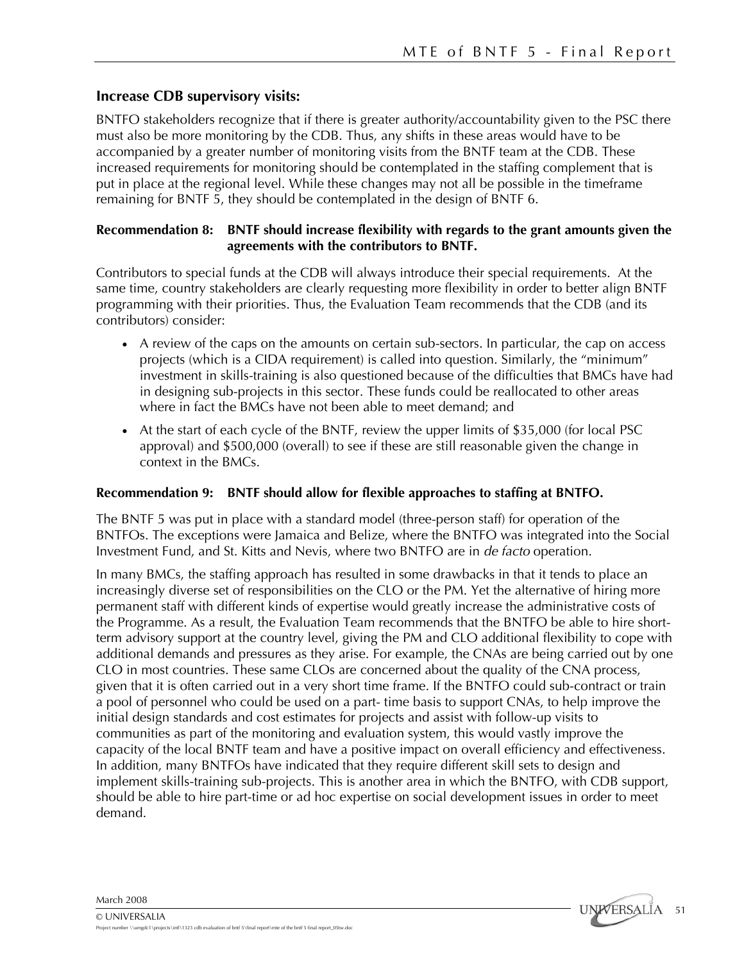# **Increase CDB supervisory visits:**

BNTFO stakeholders recognize that if there is greater authority/accountability given to the PSC there must also be more monitoring by the CDB. Thus, any shifts in these areas would have to be accompanied by a greater number of monitoring visits from the BNTF team at the CDB. These increased requirements for monitoring should be contemplated in the staffing complement that is put in place at the regional level. While these changes may not all be possible in the timeframe remaining for BNTF 5, they should be contemplated in the design of BNTF 6.

# **Recommendation 8: BNTF should increase flexibility with regards to the grant amounts given the agreements with the contributors to BNTF.**

Contributors to special funds at the CDB will always introduce their special requirements. At the same time, country stakeholders are clearly requesting more flexibility in order to better align BNTF programming with their priorities. Thus, the Evaluation Team recommends that the CDB (and its contributors) consider:

- A review of the caps on the amounts on certain sub-sectors. In particular, the cap on access projects (which is a CIDA requirement) is called into question. Similarly, the "minimum" investment in skills-training is also questioned because of the difficulties that BMCs have had in designing sub-projects in this sector. These funds could be reallocated to other areas where in fact the BMCs have not been able to meet demand; and
- At the start of each cycle of the BNTF, review the upper limits of \$35,000 (for local PSC approval) and \$500,000 (overall) to see if these are still reasonable given the change in context in the BMCs.

### **Recommendation 9: BNTF should allow for flexible approaches to staffing at BNTFO.**

The BNTF 5 was put in place with a standard model (three-person staff) for operation of the BNTFOs. The exceptions were Jamaica and Belize, where the BNTFO was integrated into the Social Investment Fund, and St. Kitts and Nevis, where two BNTFO are in *de facto* operation.

In many BMCs, the staffing approach has resulted in some drawbacks in that it tends to place an increasingly diverse set of responsibilities on the CLO or the PM. Yet the alternative of hiring more permanent staff with different kinds of expertise would greatly increase the administrative costs of the Programme. As a result, the Evaluation Team recommends that the BNTFO be able to hire shortterm advisory support at the country level, giving the PM and CLO additional flexibility to cope with additional demands and pressures as they arise. For example, the CNAs are being carried out by one CLO in most countries. These same CLOs are concerned about the quality of the CNA process, given that it is often carried out in a very short time frame. If the BNTFO could sub-contract or train a pool of personnel who could be used on a part- time basis to support CNAs, to help improve the initial design standards and cost estimates for projects and assist with follow-up visits to communities as part of the monitoring and evaluation system, this would vastly improve the capacity of the local BNTF team and have a positive impact on overall efficiency and effectiveness. In addition, many BNTFOs have indicated that they require different skill sets to design and implement skills-training sub-projects. This is another area in which the BNTFO, with CDB support, should be able to hire part-time or ad hoc expertise on social development issues in order to meet demand.

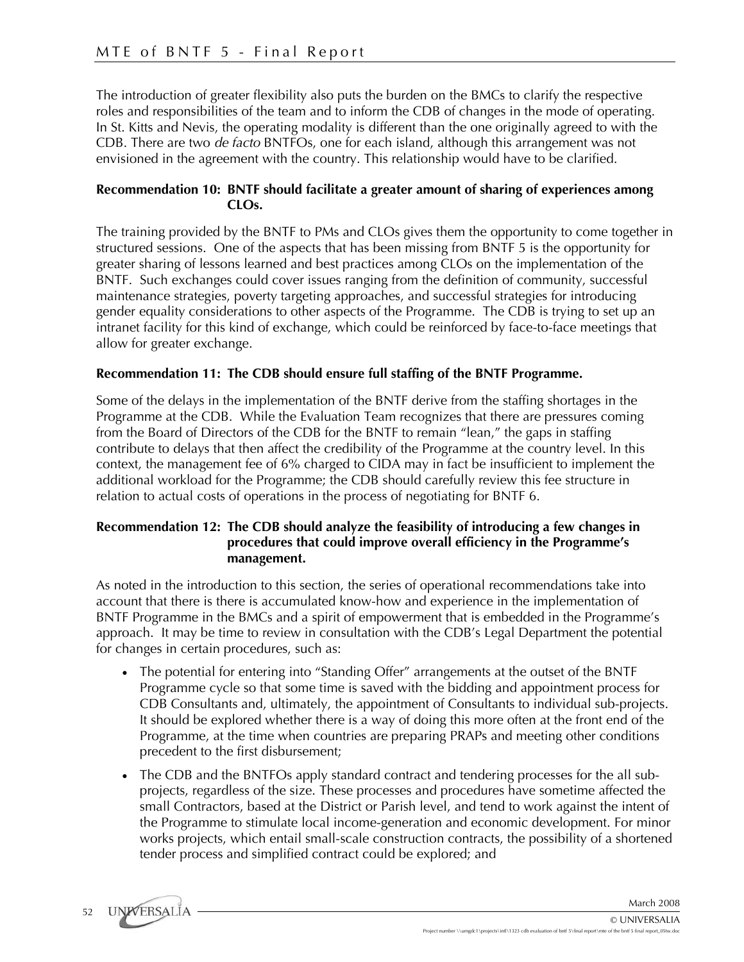The introduction of greater flexibility also puts the burden on the BMCs to clarify the respective roles and responsibilities of the team and to inform the CDB of changes in the mode of operating. In St. Kitts and Nevis, the operating modality is different than the one originally agreed to with the CDB. There are two *de facto* BNTFOs, one for each island, although this arrangement was not envisioned in the agreement with the country. This relationship would have to be clarified.

### **Recommendation 10: BNTF should facilitate a greater amount of sharing of experiences among CLOs.**

The training provided by the BNTF to PMs and CLOs gives them the opportunity to come together in structured sessions. One of the aspects that has been missing from BNTF 5 is the opportunity for greater sharing of lessons learned and best practices among CLOs on the implementation of the BNTF. Such exchanges could cover issues ranging from the definition of community, successful maintenance strategies, poverty targeting approaches, and successful strategies for introducing gender equality considerations to other aspects of the Programme. The CDB is trying to set up an intranet facility for this kind of exchange, which could be reinforced by face-to-face meetings that allow for greater exchange.

# **Recommendation 11: The CDB should ensure full staffing of the BNTF Programme.**

Some of the delays in the implementation of the BNTF derive from the staffing shortages in the Programme at the CDB. While the Evaluation Team recognizes that there are pressures coming from the Board of Directors of the CDB for the BNTF to remain "lean," the gaps in staffing contribute to delays that then affect the credibility of the Programme at the country level. In this context, the management fee of 6% charged to CIDA may in fact be insufficient to implement the additional workload for the Programme; the CDB should carefully review this fee structure in relation to actual costs of operations in the process of negotiating for BNTF 6.

# **Recommendation 12: The CDB should analyze the feasibility of introducing a few changes in procedures that could improve overall efficiency in the Programme's management.**

As noted in the introduction to this section, the series of operational recommendations take into account that there is there is accumulated know-how and experience in the implementation of BNTF Programme in the BMCs and a spirit of empowerment that is embedded in the Programme's approach. It may be time to review in consultation with the CDB's Legal Department the potential for changes in certain procedures, such as:

- The potential for entering into "Standing Offer" arrangements at the outset of the BNTF Programme cycle so that some time is saved with the bidding and appointment process for CDB Consultants and, ultimately, the appointment of Consultants to individual sub-projects. It should be explored whether there is a way of doing this more often at the front end of the Programme, at the time when countries are preparing PRAPs and meeting other conditions precedent to the first disbursement;
- The CDB and the BNTFOs apply standard contract and tendering processes for the all subprojects, regardless of the size. These processes and procedures have sometime affected the small Contractors, based at the District or Parish level, and tend to work against the intent of the Programme to stimulate local income-generation and economic development. For minor works projects, which entail small-scale construction contracts, the possibility of a shortened tender process and simplified contract could be explored; and

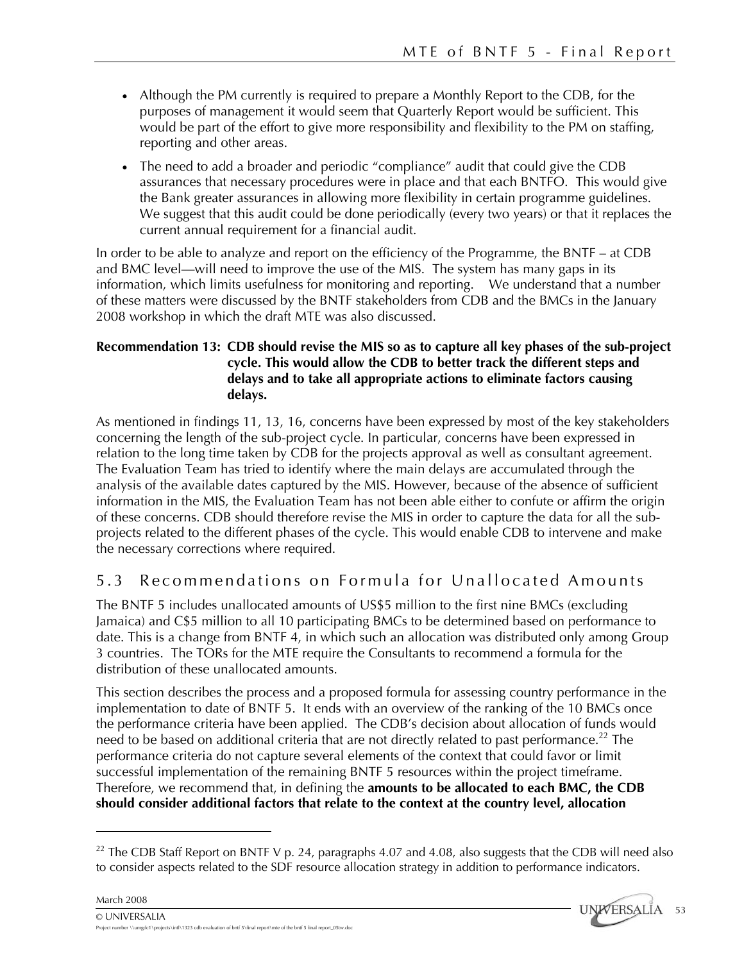- Although the PM currently is required to prepare a Monthly Report to the CDB, for the purposes of management it would seem that Quarterly Report would be sufficient. This would be part of the effort to give more responsibility and flexibility to the PM on staffing, reporting and other areas.
- The need to add a broader and periodic "compliance" audit that could give the CDB assurances that necessary procedures were in place and that each BNTFO. This would give the Bank greater assurances in allowing more flexibility in certain programme guidelines. We suggest that this audit could be done periodically (every two years) or that it replaces the current annual requirement for a financial audit.

In order to be able to analyze and report on the efficiency of the Programme, the BNTF – at CDB and BMC level—will need to improve the use of the MIS. The system has many gaps in its information, which limits usefulness for monitoring and reporting. We understand that a number of these matters were discussed by the BNTF stakeholders from CDB and the BMCs in the January 2008 workshop in which the draft MTE was also discussed.

# **Recommendation 13: CDB should revise the MIS so as to capture all key phases of the sub-project cycle. This would allow the CDB to better track the different steps and delays and to take all appropriate actions to eliminate factors causing delays.**

As mentioned in findings 11, 13, 16, concerns have been expressed by most of the key stakeholders concerning the length of the sub-project cycle. In particular, concerns have been expressed in relation to the long time taken by CDB for the projects approval as well as consultant agreement. The Evaluation Team has tried to identify where the main delays are accumulated through the analysis of the available dates captured by the MIS. However, because of the absence of sufficient information in the MIS, the Evaluation Team has not been able either to confute or affirm the origin of these concerns. CDB should therefore revise the MIS in order to capture the data for all the subprojects related to the different phases of the cycle. This would enable CDB to intervene and make the necessary corrections where required.

# 5.3 Recommendations on Formula for Unallocated Amounts

The BNTF 5 includes unallocated amounts of US\$5 million to the first nine BMCs (excluding Jamaica) and C\$5 million to all 10 participating BMCs to be determined based on performance to date. This is a change from BNTF 4, in which such an allocation was distributed only among Group 3 countries. The TORs for the MTE require the Consultants to recommend a formula for the distribution of these unallocated amounts.

This section describes the process and a proposed formula for assessing country performance in the implementation to date of BNTF 5. It ends with an overview of the ranking of the 10 BMCs once the performance criteria have been applied. The CDB's decision about allocation of funds would need to be based on additional criteria that are not directly related to past performance.<sup>22</sup> The performance criteria do not capture several elements of the context that could favor or limit successful implementation of the remaining BNTF 5 resources within the project timeframe. Therefore, we recommend that, in defining the **amounts to be allocated to each BMC, the CDB should consider additional factors that relate to the context at the country level, allocation** 

March 2008

1

© UNIVERSALIA





<sup>&</sup>lt;sup>22</sup> The CDB Staff Report on BNTF V p. 24, paragraphs 4.07 and 4.08, also suggests that the CDB will need also to consider aspects related to the SDF resource allocation strategy in addition to performance indicators.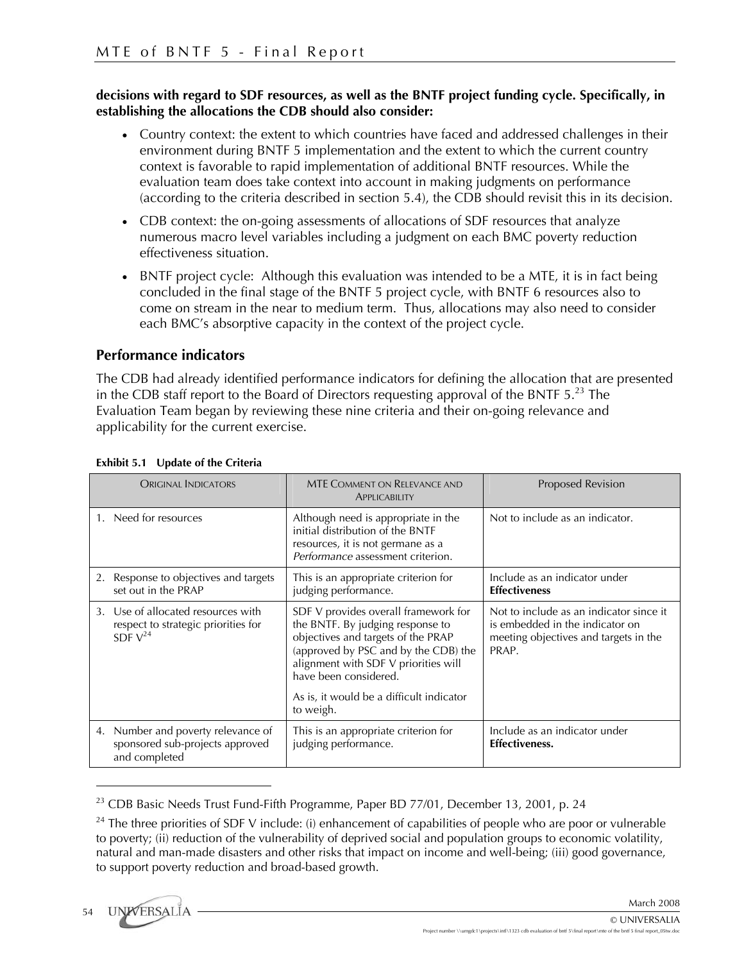## **decisions with regard to SDF resources, as well as the BNTF project funding cycle. Specifically, in establishing the allocations the CDB should also consider:**

- Country context: the extent to which countries have faced and addressed challenges in their environment during BNTF 5 implementation and the extent to which the current country context is favorable to rapid implementation of additional BNTF resources. While the evaluation team does take context into account in making judgments on performance (according to the criteria described in section 5.4), the CDB should revisit this in its decision.
- CDB context: the on-going assessments of allocations of SDF resources that analyze numerous macro level variables including a judgment on each BMC poverty reduction effectiveness situation.
- BNTF project cycle: Although this evaluation was intended to be a MTE, it is in fact being concluded in the final stage of the BNTF 5 project cycle, with BNTF 6 resources also to come on stream in the near to medium term. Thus, allocations may also need to consider each BMC's absorptive capacity in the context of the project cycle.

# **Performance indicators**

The CDB had already identified performance indicators for defining the allocation that are presented in the CDB staff report to the Board of Directors requesting approval of the BNTF  $5.^{23}$  The Evaluation Team began by reviewing these nine criteria and their on-going relevance and applicability for the current exercise.

| <b>ORIGINAL INDICATORS</b>                                                                               | <b>MTE COMMENT ON RELEVANCE AND</b><br>APPLICABILITY                                                                                                                                                                                                                             | <b>Proposed Revision</b>                                                                                                     |
|----------------------------------------------------------------------------------------------------------|----------------------------------------------------------------------------------------------------------------------------------------------------------------------------------------------------------------------------------------------------------------------------------|------------------------------------------------------------------------------------------------------------------------------|
| 1. Need for resources                                                                                    | Although need is appropriate in the<br>initial distribution of the BNTF<br>resources, it is not germane as a<br>Performance assessment criterion.                                                                                                                                | Not to include as an indicator.                                                                                              |
| 2. Response to objectives and targets<br>set out in the PRAP                                             | This is an appropriate criterion for<br>judging performance.                                                                                                                                                                                                                     | Include as an indicator under<br><b>Effectiveness</b>                                                                        |
| Use of allocated resources with<br>3 <sub>1</sub><br>respect to strategic priorities for<br>SDF $V^{24}$ | SDF V provides overall framework for<br>the BNTF. By judging response to<br>objectives and targets of the PRAP<br>(approved by PSC and by the CDB) the<br>alignment with SDF V priorities will<br>have been considered.<br>As is, it would be a difficult indicator<br>to weigh. | Not to include as an indicator since it<br>is embedded in the indicator on<br>meeting objectives and targets in the<br>PRAP. |
| 4. Number and poverty relevance of<br>sponsored sub-projects approved<br>and completed                   | This is an appropriate criterion for<br>judging performance.                                                                                                                                                                                                                     | Include as an indicator under<br><b>Effectiveness.</b>                                                                       |

### **Exhibit 5.1 Update of the Criteria**

1

 $23$  CDB Basic Needs Trust Fund-Fifth Programme, Paper BD 77/01, December 13, 2001, p. 24

 $24$  The three priorities of SDF V include: (i) enhancement of capabilities of people who are poor or vulnerable to poverty; (ii) reduction of the vulnerability of deprived social and population groups to economic volatility, natural and man-made disasters and other risks that impact on income and well-being; (iii) good governance, to support poverty reduction and broad-based growth.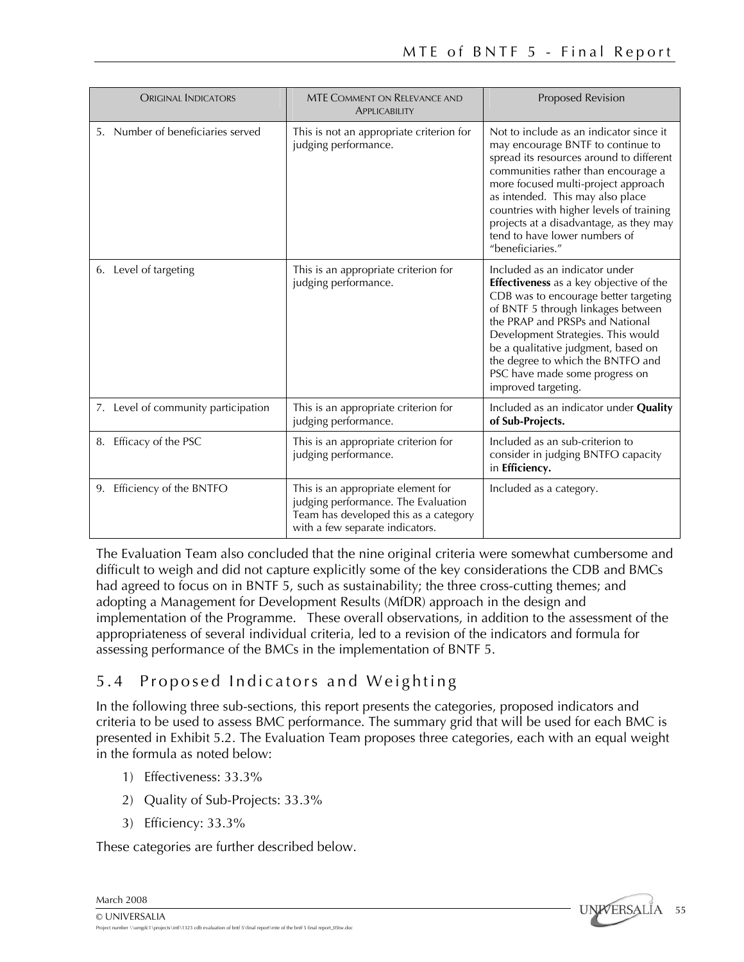| <b>ORIGINAL INDICATORS</b>          | <b>MTE COMMENT ON RELEVANCE AND</b><br>APPLICABILITY                                                                                                  | Proposed Revision                                                                                                                                                                                                                                                                                                                                                                      |
|-------------------------------------|-------------------------------------------------------------------------------------------------------------------------------------------------------|----------------------------------------------------------------------------------------------------------------------------------------------------------------------------------------------------------------------------------------------------------------------------------------------------------------------------------------------------------------------------------------|
| 5. Number of beneficiaries served   | This is not an appropriate criterion for<br>judging performance.                                                                                      | Not to include as an indicator since it<br>may encourage BNTF to continue to<br>spread its resources around to different<br>communities rather than encourage a<br>more focused multi-project approach<br>as intended. This may also place<br>countries with higher levels of training<br>projects at a disadvantage, as they may<br>tend to have lower numbers of<br>"beneficiaries." |
| 6. Level of targeting               | This is an appropriate criterion for<br>judging performance.                                                                                          | Included as an indicator under<br><b>Effectiveness</b> as a key objective of the<br>CDB was to encourage better targeting<br>of BNTF 5 through linkages between<br>the PRAP and PRSPs and National<br>Development Strategies. This would<br>be a qualitative judgment, based on<br>the degree to which the BNTFO and<br>PSC have made some progress on<br>improved targeting.          |
| 7. Level of community participation | This is an appropriate criterion for<br>judging performance.                                                                                          | Included as an indicator under Quality<br>of Sub-Projects.                                                                                                                                                                                                                                                                                                                             |
| Efficacy of the PSC<br>8.           | This is an appropriate criterion for<br>judging performance.                                                                                          | Included as an sub-criterion to<br>consider in judging BNTFO capacity<br>in Efficiency.                                                                                                                                                                                                                                                                                                |
| 9. Efficiency of the BNTFO          | This is an appropriate element for<br>judging performance. The Evaluation<br>Team has developed this as a category<br>with a few separate indicators. | Included as a category.                                                                                                                                                                                                                                                                                                                                                                |

The Evaluation Team also concluded that the nine original criteria were somewhat cumbersome and difficult to weigh and did not capture explicitly some of the key considerations the CDB and BMCs had agreed to focus on in BNTF 5, such as sustainability; the three cross-cutting themes; and adopting a Management for Development Results (MfDR) approach in the design and implementation of the Programme. These overall observations, in addition to the assessment of the appropriateness of several individual criteria, led to a revision of the indicators and formula for assessing performance of the BMCs in the implementation of BNTF 5.

## 5.4 Proposed Indicators and Weighting

In the following three sub-sections, this report presents the categories, proposed indicators and criteria to be used to assess BMC performance. The summary grid that will be used for each BMC is presented in Exhibit 5.2. The Evaluation Team proposes three categories, each with an equal weight in the formula as noted below:

- 1) Effectiveness: 33.3%
- 2) Quality of Sub-Projects: 33.3%
- 3) Efficiency: 33.3%

These categories are further described below.

March 2008

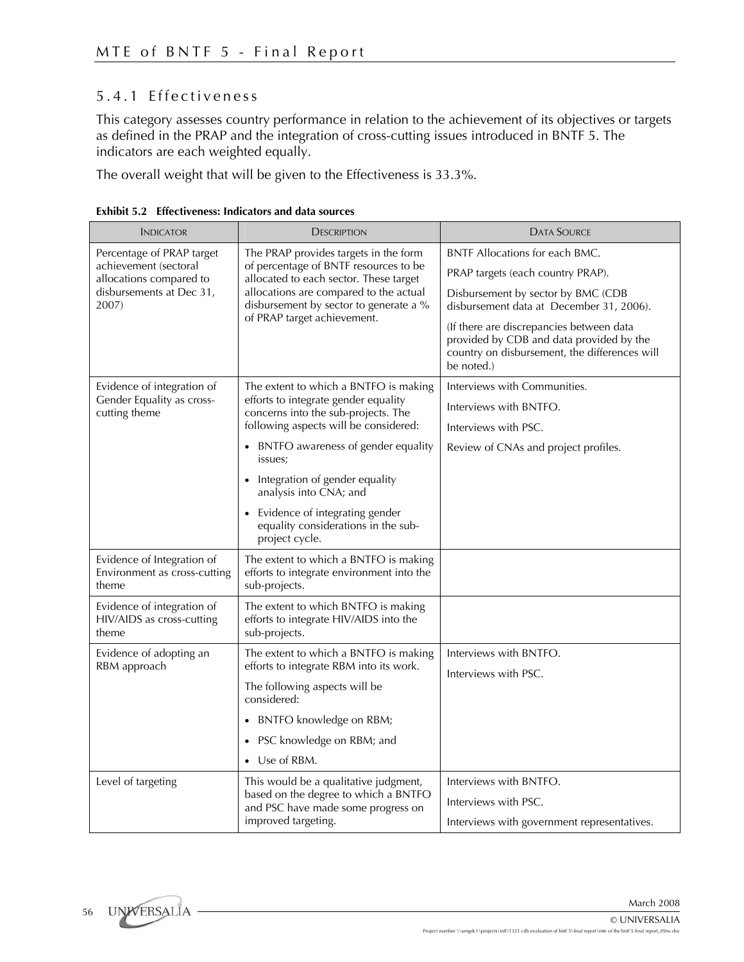#### 5.4.1 Effectiveness

This category assesses country performance in relation to the achievement of its objectives or targets as defined in the PRAP and the integration of cross-cutting issues introduced in BNTF 5. The indicators are each weighted equally.

The overall weight that will be given to the Effectiveness is 33.3%.

| <b>INDICATOR</b>                                                    | <b>DESCRIPTION</b>                                                                                  | <b>DATA SOURCE</b>                                                                                                                                  |  |  |
|---------------------------------------------------------------------|-----------------------------------------------------------------------------------------------------|-----------------------------------------------------------------------------------------------------------------------------------------------------|--|--|
| Percentage of PRAP target                                           | The PRAP provides targets in the form                                                               | <b>BNTF Allocations for each BMC.</b>                                                                                                               |  |  |
| achievement (sectoral<br>allocations compared to                    | of percentage of BNTF resources to be<br>allocated to each sector. These target                     | PRAP targets (each country PRAP).                                                                                                                   |  |  |
| disbursements at Dec 31,<br>2007)                                   | allocations are compared to the actual<br>disbursement by sector to generate a %                    | Disbursement by sector by BMC (CDB<br>disbursement data at December 31, 2006).                                                                      |  |  |
|                                                                     | of PRAP target achievement.                                                                         | (If there are discrepancies between data<br>provided by CDB and data provided by the<br>country on disbursement, the differences will<br>be noted.) |  |  |
| Evidence of integration of                                          | The extent to which a BNTFO is making                                                               | Interviews with Communities.                                                                                                                        |  |  |
| Gender Equality as cross-<br>cutting theme                          | efforts to integrate gender equality<br>concerns into the sub-projects. The                         | Interviews with BNTFO.                                                                                                                              |  |  |
|                                                                     | following aspects will be considered:                                                               | Interviews with PSC.                                                                                                                                |  |  |
|                                                                     | • BNTFO awareness of gender equality<br>issues;                                                     | Review of CNAs and project profiles.                                                                                                                |  |  |
|                                                                     | Integration of gender equality<br>$\bullet$<br>analysis into CNA; and                               |                                                                                                                                                     |  |  |
|                                                                     | Evidence of integrating gender<br>equality considerations in the sub-<br>project cycle.             |                                                                                                                                                     |  |  |
| Evidence of Integration of<br>Environment as cross-cutting<br>theme | The extent to which a BNTFO is making<br>efforts to integrate environment into the<br>sub-projects. |                                                                                                                                                     |  |  |
| Evidence of integration of<br>HIV/AIDS as cross-cutting<br>theme    | The extent to which BNTFO is making<br>efforts to integrate HIV/AIDS into the<br>sub-projects.      |                                                                                                                                                     |  |  |
| Evidence of adopting an                                             | The extent to which a BNTFO is making                                                               | Interviews with BNTFO.                                                                                                                              |  |  |
| RBM approach                                                        | efforts to integrate RBM into its work.                                                             | Interviews with PSC.                                                                                                                                |  |  |
|                                                                     | The following aspects will be<br>considered:                                                        |                                                                                                                                                     |  |  |
|                                                                     | BNTFO knowledge on RBM;<br>$\bullet$                                                                |                                                                                                                                                     |  |  |
|                                                                     | PSC knowledge on RBM; and                                                                           |                                                                                                                                                     |  |  |
|                                                                     | • Use of RBM.                                                                                       |                                                                                                                                                     |  |  |
| Level of targeting                                                  | This would be a qualitative judgment,                                                               | Interviews with BNTFO.                                                                                                                              |  |  |
|                                                                     | based on the degree to which a BNTFO<br>and PSC have made some progress on                          | Interviews with PSC.                                                                                                                                |  |  |
|                                                                     | improved targeting.                                                                                 | Interviews with government representatives.                                                                                                         |  |  |

**Exhibit 5.2 Effectiveness: Indicators and data sources**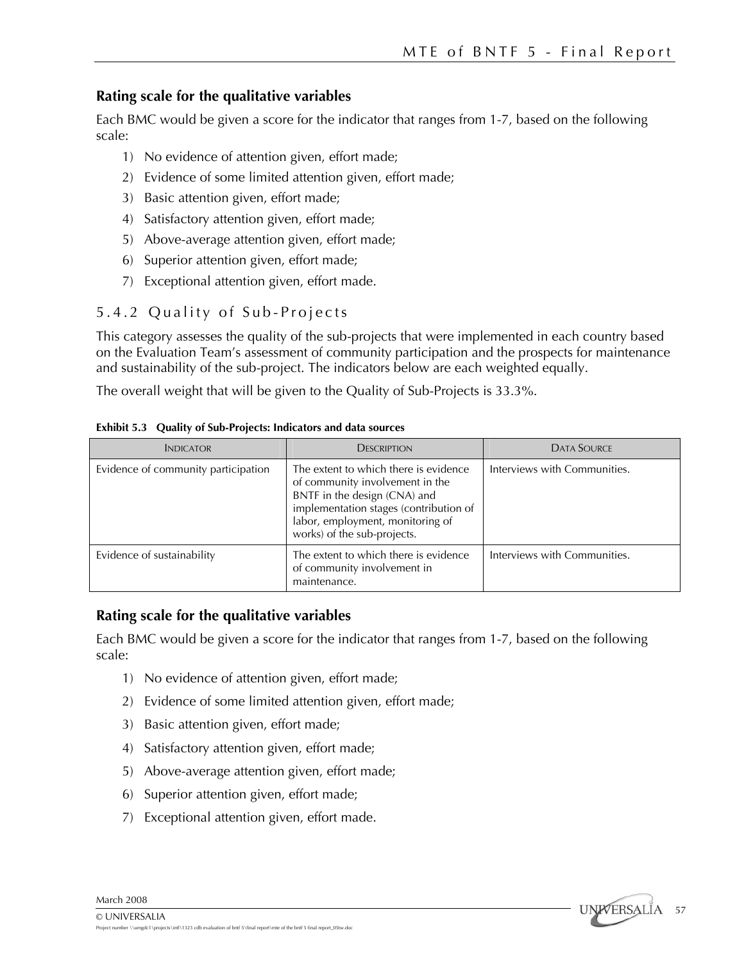#### **Rating scale for the qualitative variables**

Each BMC would be given a score for the indicator that ranges from 1-7, based on the following scale:

- 1) No evidence of attention given, effort made;
- 2) Evidence of some limited attention given, effort made;
- 3) Basic attention given, effort made;
- 4) Satisfactory attention given, effort made;
- 5) Above-average attention given, effort made;
- 6) Superior attention given, effort made;
- 7) Exceptional attention given, effort made.

#### 5.4.2 Quality of Sub-Projects

This category assesses the quality of the sub-projects that were implemented in each country based on the Evaluation Team's assessment of community participation and the prospects for maintenance and sustainability of the sub-project. The indicators below are each weighted equally.

The overall weight that will be given to the Quality of Sub-Projects is 33.3%.

| <b>INDICATOR</b>                    | <b>DESCRIPTION</b>                                                                                                                                                                                                    | <b>DATA SOURCE</b>           |
|-------------------------------------|-----------------------------------------------------------------------------------------------------------------------------------------------------------------------------------------------------------------------|------------------------------|
| Evidence of community participation | The extent to which there is evidence<br>of community involvement in the<br>BNTF in the design (CNA) and<br>implementation stages (contribution of<br>labor, employment, monitoring of<br>works) of the sub-projects. | Interviews with Communities. |
| Evidence of sustainability          | The extent to which there is evidence<br>of community involvement in<br>maintenance.                                                                                                                                  | Interviews with Communities. |

**Exhibit 5.3 Quality of Sub-Projects: Indicators and data sources** 

#### **Rating scale for the qualitative variables**

Each BMC would be given a score for the indicator that ranges from 1-7, based on the following scale:

- 1) No evidence of attention given, effort made;
- 2) Evidence of some limited attention given, effort made;
- 3) Basic attention given, effort made;
- 4) Satisfactory attention given, effort made;
- 5) Above-average attention given, effort made;
- 6) Superior attention given, effort made;
- 7) Exceptional attention given, effort made.

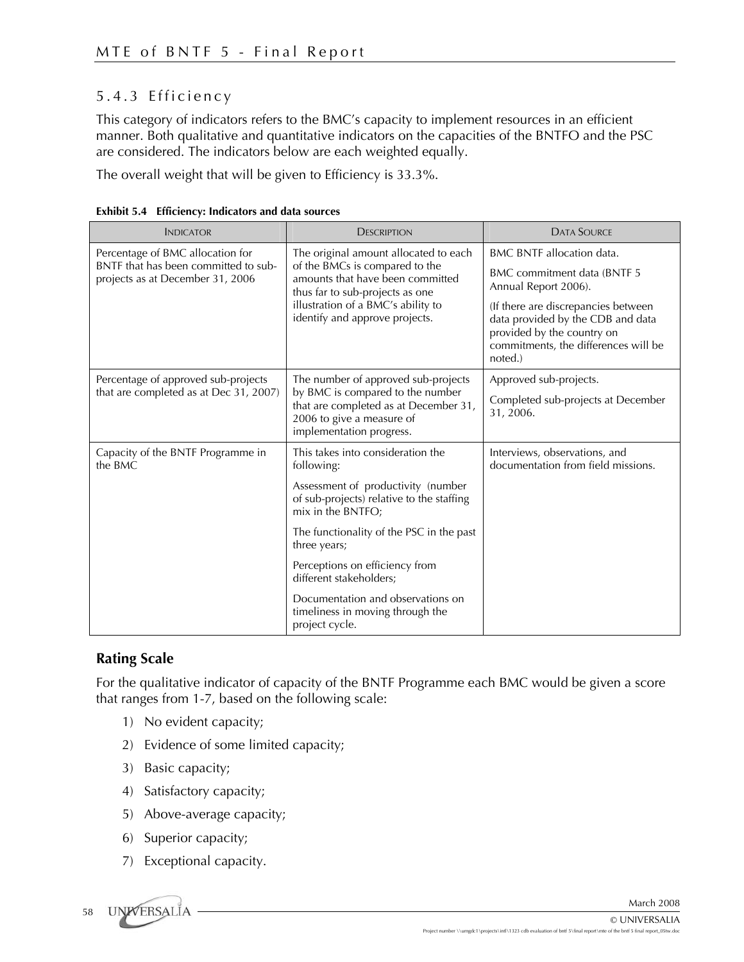### 5.4.3 Efficiency

This category of indicators refers to the BMC's capacity to implement resources in an efficient manner. Both qualitative and quantitative indicators on the capacities of the BNTFO and the PSC are considered. The indicators below are each weighted equally.

The overall weight that will be given to Efficiency is 33.3%.

| <b>INDICATOR</b>                                                                                             | <b>DESCRIPTION</b>                                                                                                                                                                                                                                                                                                                                                          | <b>DATA SOURCE</b>                                                                                                                                                                                                                                   |
|--------------------------------------------------------------------------------------------------------------|-----------------------------------------------------------------------------------------------------------------------------------------------------------------------------------------------------------------------------------------------------------------------------------------------------------------------------------------------------------------------------|------------------------------------------------------------------------------------------------------------------------------------------------------------------------------------------------------------------------------------------------------|
| Percentage of BMC allocation for<br>BNTF that has been committed to sub-<br>projects as at December 31, 2006 | The original amount allocated to each<br>of the BMCs is compared to the<br>amounts that have been committed<br>thus far to sub-projects as one<br>illustration of a BMC's ability to<br>identify and approve projects.                                                                                                                                                      | <b>BMC BNTF</b> allocation data.<br>BMC commitment data (BNTF 5<br>Annual Report 2006).<br>(If there are discrepancies between<br>data provided by the CDB and data<br>provided by the country on<br>commitments, the differences will be<br>noted.) |
| Percentage of approved sub-projects<br>that are completed as at Dec 31, 2007)                                | The number of approved sub-projects<br>by BMC is compared to the number<br>that are completed as at December 31,<br>2006 to give a measure of<br>implementation progress.                                                                                                                                                                                                   | Approved sub-projects.<br>Completed sub-projects at December<br>31, 2006.                                                                                                                                                                            |
| Capacity of the BNTF Programme in<br>the BMC                                                                 | This takes into consideration the<br>following:<br>Assessment of productivity (number<br>of sub-projects) relative to the staffing<br>mix in the BNTFO;<br>The functionality of the PSC in the past<br>three years;<br>Perceptions on efficiency from<br>different stakeholders;<br>Documentation and observations on<br>timeliness in moving through the<br>project cycle. | Interviews, observations, and<br>documentation from field missions.                                                                                                                                                                                  |

|  | Exhibit 5.4 Efficiency: Indicators and data sources |  |
|--|-----------------------------------------------------|--|
|  |                                                     |  |

#### **Rating Scale**

For the qualitative indicator of capacity of the BNTF Programme each BMC would be given a score that ranges from 1-7, based on the following scale:

- 1) No evident capacity;
- 2) Evidence of some limited capacity;
- 3) Basic capacity;
- 4) Satisfactory capacity;
- 5) Above-average capacity;
- 6) Superior capacity;
- 7) Exceptional capacity.

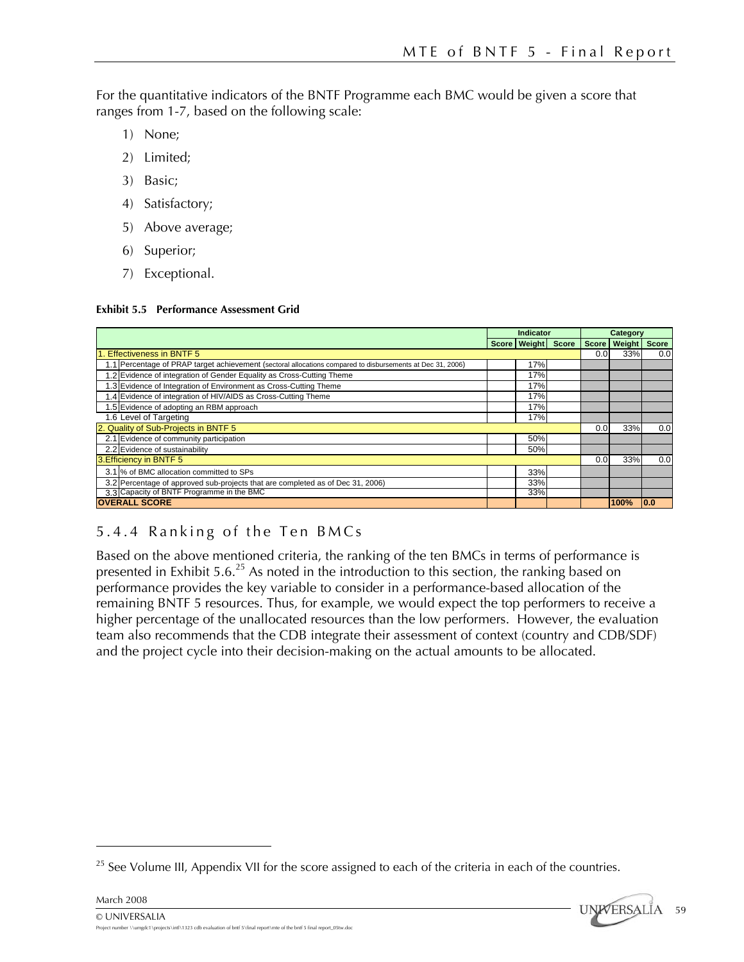For the quantitative indicators of the BNTF Programme each BMC would be given a score that ranges from 1-7, based on the following scale:

- 1) None;
- 2) Limited;
- 3) Basic;
- 4) Satisfactory;
- 5) Above average;
- 6) Superior;
- 7) Exceptional.

#### **Exhibit 5.5 Performance Assessment Grid**

|                                                                                                            | Indicator |                    | Category |                  |                |              |
|------------------------------------------------------------------------------------------------------------|-----------|--------------------|----------|------------------|----------------|--------------|
|                                                                                                            |           | Score Weight Score |          |                  | Score   Weight | <b>Score</b> |
| 1. Effectiveness in BNTF 5                                                                                 |           |                    |          | 0.0 <sub>l</sub> | 33%            | 0.0          |
| 1.1 Percentage of PRAP target achievement (sectoral allocations compared to disbursements at Dec 31, 2006) |           | 17%                |          |                  |                |              |
| 1.2 Evidence of integration of Gender Equality as Cross-Cutting Theme                                      |           | 17%                |          |                  |                |              |
| 1.3 Evidence of Integration of Environment as Cross-Cutting Theme                                          |           | 17%                |          |                  |                |              |
| 1.4 Evidence of integration of HIV/AIDS as Cross-Cutting Theme                                             |           | 17%                |          |                  |                |              |
| 1.5 Evidence of adopting an RBM approach                                                                   | 17%       |                    |          |                  |                |              |
| 1.6 Level of Targeting<br>17%                                                                              |           |                    |          |                  |                |              |
| 2. Quality of Sub-Projects in BNTF 5                                                                       |           |                    |          | 0.0              | 33%            | 0.0          |
| 2.1 Evidence of community participation                                                                    |           | 50%                |          |                  |                |              |
| 2.2 Evidence of sustainability                                                                             |           | 50%                |          |                  |                |              |
| 3. Efficiency in BNTF 5                                                                                    |           |                    | 0.0      | 33%              | 0.0            |              |
| 3.1 % of BMC allocation committed to SPs                                                                   |           | 33%                |          |                  |                |              |
| 3.2 Percentage of approved sub-projects that are completed as of Dec 31, 2006)                             |           | 33%                |          |                  |                |              |
| 3.3 Capacity of BNTF Programme in the BMC                                                                  |           | 33%                |          |                  |                |              |
| <b>OVERALL SCORE</b>                                                                                       |           |                    |          |                  | 100%           | 0.0          |

### 5.4.4 Ranking of the Ten BMCs

Based on the above mentioned criteria, the ranking of the ten BMCs in terms of performance is presented in Exhibit 5.6.<sup>25</sup> As noted in the introduction to this section, the ranking based on performance provides the key variable to consider in a performance-based allocation of the remaining BNTF 5 resources. Thus, for example, we would expect the top performers to receive a higher percentage of the unallocated resources than the low performers. However, the evaluation team also recommends that the CDB integrate their assessment of context (country and CDB/SDF) and the project cycle into their decision-making on the actual amounts to be allocated.

 $25$  See Volume III, Appendix VII for the score assigned to each of the criteria in each of the countries.



<u>.</u>

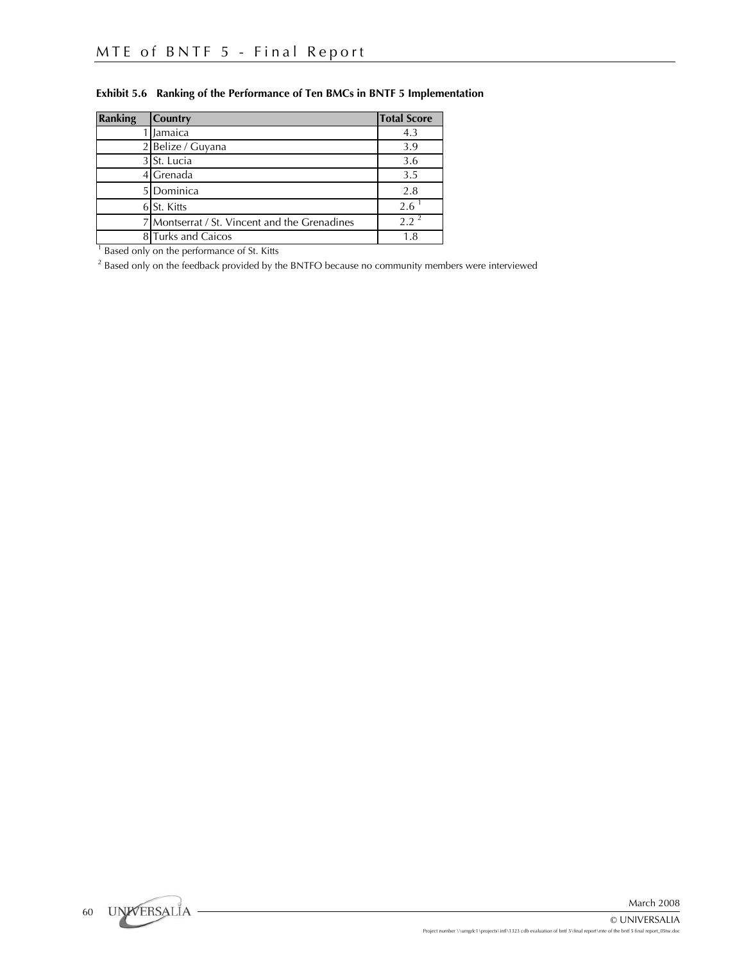| <b>Ranking</b> | Country                                       | <b>Total Score</b> |
|----------------|-----------------------------------------------|--------------------|
|                | Jamaica                                       | 4.3                |
|                | 2 Belize / Guyana                             | 3.9                |
|                | 3 St. Lucia                                   | 3.6                |
|                | Grenada                                       | 3.5                |
|                | Dominica                                      | 2.8                |
|                | 6 St. Kitts                                   | 2.6                |
|                | 7 Montserrat / St. Vincent and the Grenadines | $2.2^{\circ}$      |
|                | 8 Turks and Caicos                            | 1.8                |
|                | Based only on the performance of St. Kitts    |                    |

#### **Exhibit 5.6 Ranking of the Performance of Ten BMCs in BNTF 5 Implementation**

 $^2$  Based only on the feedback provided by the BNTFO because no community members were interviewed

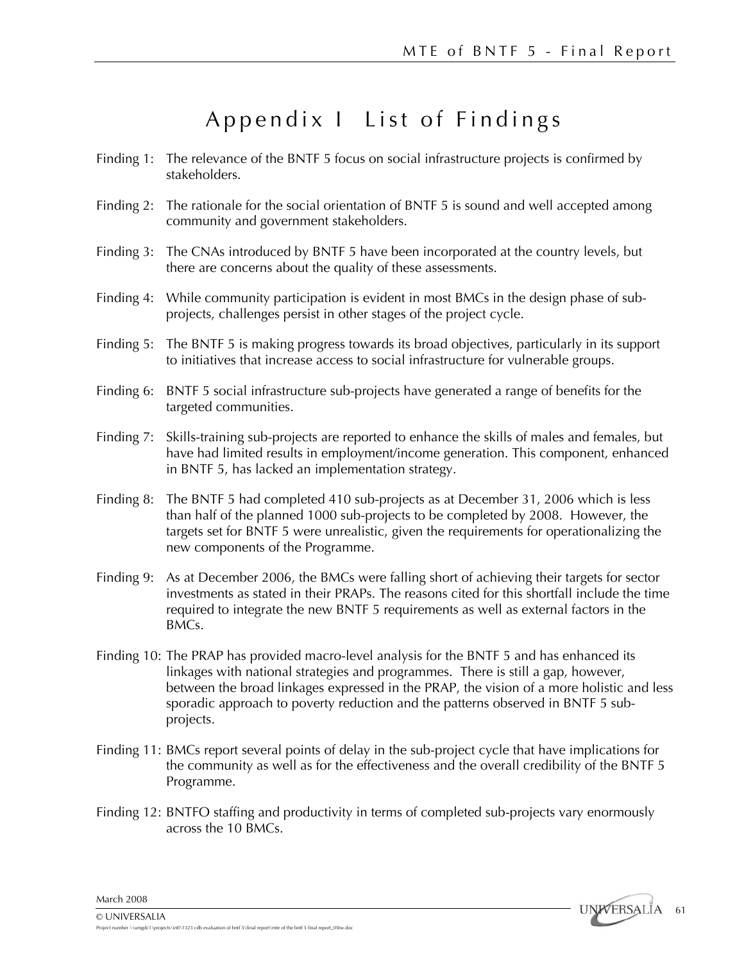# Appendix I List of Findings

- Finding 1: The relevance of the BNTF 5 focus on social infrastructure projects is confirmed by stakeholders.
- Finding 2: The rationale for the social orientation of BNTF 5 is sound and well accepted among community and government stakeholders.
- Finding 3: The CNAs introduced by BNTF 5 have been incorporated at the country levels, but there are concerns about the quality of these assessments.
- Finding 4: While community participation is evident in most BMCs in the design phase of subprojects, challenges persist in other stages of the project cycle.
- Finding 5: The BNTF 5 is making progress towards its broad objectives, particularly in its support to initiatives that increase access to social infrastructure for vulnerable groups.
- Finding 6: BNTF 5 social infrastructure sub-projects have generated a range of benefits for the targeted communities.
- Finding 7: Skills-training sub-projects are reported to enhance the skills of males and females, but have had limited results in employment/income generation. This component, enhanced in BNTF 5, has lacked an implementation strategy.
- Finding 8: The BNTF 5 had completed 410 sub-projects as at December 31, 2006 which is less than half of the planned 1000 sub-projects to be completed by 2008. However, the targets set for BNTF 5 were unrealistic, given the requirements for operationalizing the new components of the Programme.
- Finding 9: As at December 2006, the BMCs were falling short of achieving their targets for sector investments as stated in their PRAPs. The reasons cited for this shortfall include the time required to integrate the new BNTF 5 requirements as well as external factors in the BMCs.
- Finding 10: The PRAP has provided macro-level analysis for the BNTF 5 and has enhanced its linkages with national strategies and programmes. There is still a gap, however, between the broad linkages expressed in the PRAP, the vision of a more holistic and less sporadic approach to poverty reduction and the patterns observed in BNTF 5 subprojects.
- Finding 11: BMCs report several points of delay in the sub-project cycle that have implications for the community as well as for the effectiveness and the overall credibility of the BNTF 5 Programme.
- Finding 12: BNTFO staffing and productivity in terms of completed sub-projects vary enormously across the 10 BMCs.

March 2008

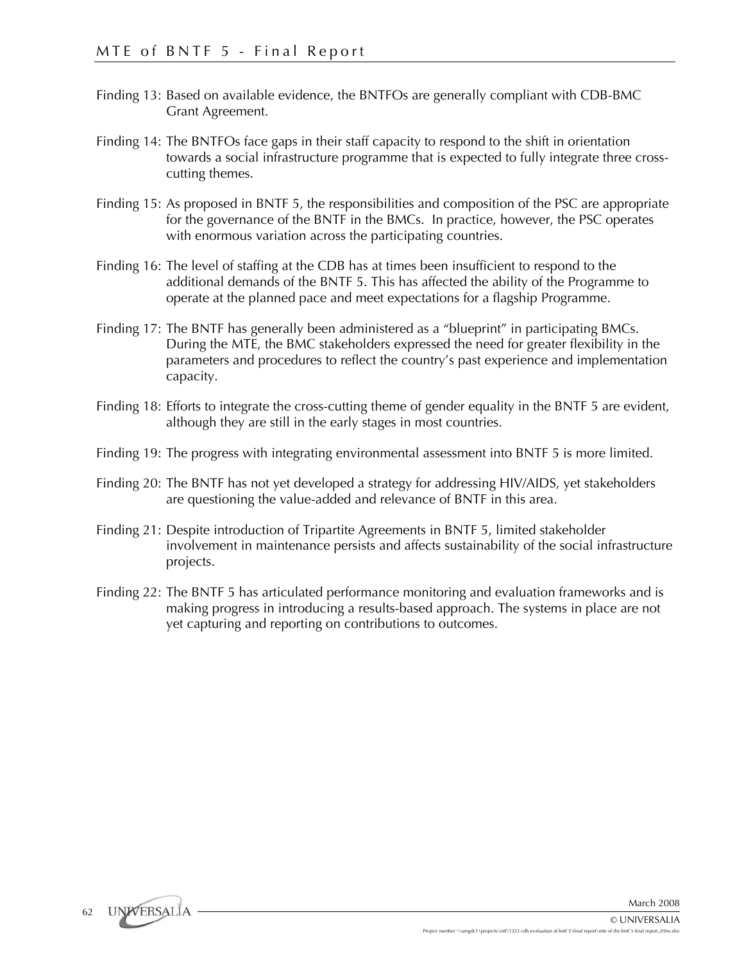- Finding 13: Based on available evidence, the BNTFOs are generally compliant with CDB-BMC Grant Agreement.
- Finding 14: The BNTFOs face gaps in their staff capacity to respond to the shift in orientation towards a social infrastructure programme that is expected to fully integrate three crosscutting themes.
- Finding 15: As proposed in BNTF 5, the responsibilities and composition of the PSC are appropriate for the governance of the BNTF in the BMCs. In practice, however, the PSC operates with enormous variation across the participating countries.
- Finding 16: The level of staffing at the CDB has at times been insufficient to respond to the additional demands of the BNTF 5. This has affected the ability of the Programme to operate at the planned pace and meet expectations for a flagship Programme.
- Finding 17: The BNTF has generally been administered as a "blueprint" in participating BMCs. During the MTE, the BMC stakeholders expressed the need for greater flexibility in the parameters and procedures to reflect the country's past experience and implementation capacity.
- Finding 18: Efforts to integrate the cross-cutting theme of gender equality in the BNTF 5 are evident, although they are still in the early stages in most countries.
- Finding 19: The progress with integrating environmental assessment into BNTF 5 is more limited.
- Finding 20: The BNTF has not yet developed a strategy for addressing HIV/AIDS, yet stakeholders are questioning the value-added and relevance of BNTF in this area.
- Finding 21: Despite introduction of Tripartite Agreements in BNTF 5, limited stakeholder involvement in maintenance persists and affects sustainability of the social infrastructure projects.
- Finding 22: The BNTF 5 has articulated performance monitoring and evaluation frameworks and is making progress in introducing a results-based approach. The systems in place are not yet capturing and reporting on contributions to outcomes.